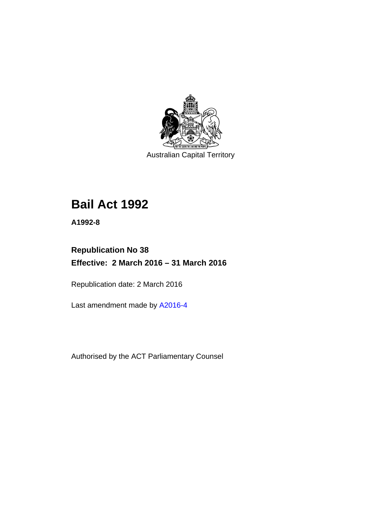

Australian Capital Territory

# **Bail Act 1992**

**A1992-8** 

# **Republication No 38 Effective: 2 March 2016 – 31 March 2016**

Republication date: 2 March 2016

Last amendment made by [A2016-4](http://www.legislation.act.gov.au/a/2016-4/default.asp)

Authorised by the ACT Parliamentary Counsel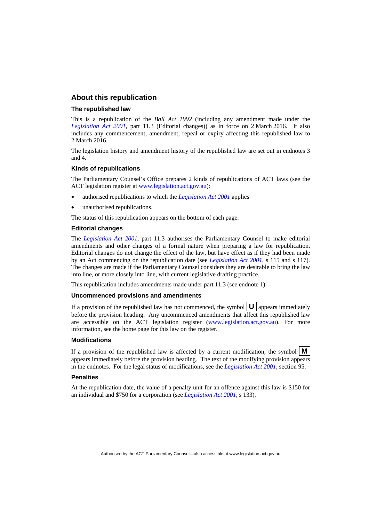#### **About this republication**

#### **The republished law**

This is a republication of the *Bail Act 1992* (including any amendment made under the *[Legislation Act 2001](http://www.legislation.act.gov.au/a/2001-14)*, part 11.3 (Editorial changes)) as in force on 2 March 2016*.* It also includes any commencement, amendment, repeal or expiry affecting this republished law to 2 March 2016.

The legislation history and amendment history of the republished law are set out in endnotes 3 and 4.

#### **Kinds of republications**

The Parliamentary Counsel's Office prepares 2 kinds of republications of ACT laws (see the ACT legislation register at [www.legislation.act.gov.au](http://www.legislation.act.gov.au/)):

- authorised republications to which the *[Legislation Act 2001](http://www.legislation.act.gov.au/a/2001-14)* applies
- unauthorised republications.

The status of this republication appears on the bottom of each page.

#### **Editorial changes**

The *[Legislation Act 2001](http://www.legislation.act.gov.au/a/2001-14)*, part 11.3 authorises the Parliamentary Counsel to make editorial amendments and other changes of a formal nature when preparing a law for republication. Editorial changes do not change the effect of the law, but have effect as if they had been made by an Act commencing on the republication date (see *[Legislation Act 2001](http://www.legislation.act.gov.au/a/2001-14)*, s 115 and s 117). The changes are made if the Parliamentary Counsel considers they are desirable to bring the law into line, or more closely into line, with current legislative drafting practice.

This republication includes amendments made under part 11.3 (see endnote 1).

#### **Uncommenced provisions and amendments**

If a provision of the republished law has not commenced, the symbol  $\mathbf{U}$  appears immediately before the provision heading. Any uncommenced amendments that affect this republished law are accessible on the ACT legislation register [\(www.legislation.act.gov.au\)](http://www.legislation.act.gov.au/). For more information, see the home page for this law on the register.

#### **Modifications**

If a provision of the republished law is affected by a current modification, the symbol  $\mathbf{M}$ appears immediately before the provision heading. The text of the modifying provision appears in the endnotes. For the legal status of modifications, see the *[Legislation Act 2001](http://www.legislation.act.gov.au/a/2001-14)*, section 95.

#### **Penalties**

At the republication date, the value of a penalty unit for an offence against this law is \$150 for an individual and \$750 for a corporation (see *[Legislation Act 2001](http://www.legislation.act.gov.au/a/2001-14)*, s 133).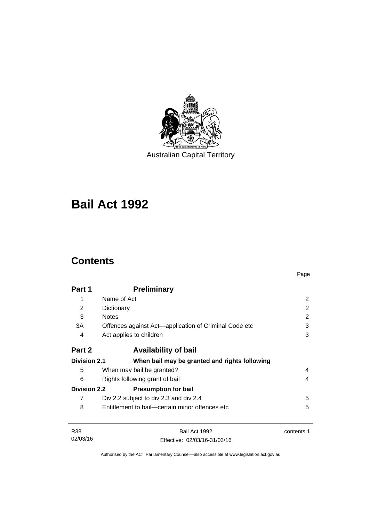

Australian Capital Territory

# **Bail Act 1992**

# **Contents**

|                     |                                                       | Page       |
|---------------------|-------------------------------------------------------|------------|
| Part 1              | <b>Preliminary</b>                                    |            |
| 1                   | Name of Act                                           | 2          |
| 2                   | Dictionary                                            | 2          |
| 3                   | <b>Notes</b>                                          | 2          |
| 3A                  | Offences against Act-application of Criminal Code etc | 3          |
| 4                   | Act applies to children                               | 3          |
| Part 2              | <b>Availability of bail</b>                           |            |
| <b>Division 2.1</b> | When bail may be granted and rights following         |            |
| 5                   | When may bail be granted?                             | 4          |
| 6                   | Rights following grant of bail                        | 4          |
| <b>Division 2.2</b> | <b>Presumption for bail</b>                           |            |
| 7                   | Div 2.2 subject to div 2.3 and div 2.4                | 5          |
| 8                   | Entitlement to bail—certain minor offences etc        | 5          |
| <b>R38</b>          | Bail Act 1992                                         | contents 1 |
| 02/03/16            | Effective: 02/03/16-31/03/16                          |            |

Authorised by the ACT Parliamentary Counsel—also accessible at www.legislation.act.gov.au

Effective: 02/03/16-31/03/16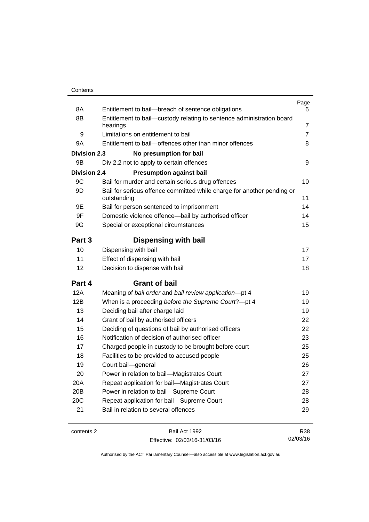| 8A                  | Entitlement to bail-breach of sentence obligations                                    | Page<br>6      |
|---------------------|---------------------------------------------------------------------------------------|----------------|
| 8B                  | Entitlement to bail-custody relating to sentence administration board                 |                |
|                     | hearings                                                                              | 7              |
| 9                   | Limitations on entitlement to bail                                                    | $\overline{7}$ |
| 9A                  | Entitlement to bail-offences other than minor offences                                | 8              |
| <b>Division 2.3</b> | No presumption for bail                                                               |                |
| 9B                  | Div 2.2 not to apply to certain offences                                              | 9              |
| <b>Division 2.4</b> | <b>Presumption against bail</b>                                                       |                |
| 9C                  | Bail for murder and certain serious drug offences                                     | 10             |
| 9D                  | Bail for serious offence committed while charge for another pending or<br>outstanding | 11             |
| 9Ε                  | Bail for person sentenced to imprisonment                                             | 14             |
| 9F                  | Domestic violence offence-bail by authorised officer                                  | 14             |
| 9G                  | Special or exceptional circumstances                                                  | 15             |
| Part 3              | Dispensing with bail                                                                  |                |
| 10                  | Dispensing with bail                                                                  | 17             |
| 11                  | Effect of dispensing with bail                                                        | 17             |
| 12                  | Decision to dispense with bail                                                        | 18             |
| Part 4              | <b>Grant of bail</b>                                                                  |                |
| 12A                 | Meaning of bail order and bail review application-pt 4                                | 19             |
| 12B                 | When is a proceeding before the Supreme Court?-pt 4                                   | 19             |
| 13                  | Deciding bail after charge laid                                                       | 19             |
| 14                  | Grant of bail by authorised officers                                                  | 22             |
| 15                  | Deciding of questions of bail by authorised officers                                  | 22             |
| 16                  | Notification of decision of authorised officer                                        | 23             |
| 17                  | Charged people in custody to be brought before court                                  | 25             |
| 18                  | Facilities to be provided to accused people                                           | 25             |
| 19                  | Court bail-general                                                                    | 26             |
| 20                  | Power in relation to bail-Magistrates Court                                           | 27             |
| 20A                 | Repeat application for bail-Magistrates Court                                         | 27             |
| 20B                 | Power in relation to bail-Supreme Court                                               | 28             |
| 20C                 | Repeat application for bail-Supreme Court                                             | 28             |
| 21                  | Bail in relation to several offences                                                  | 29             |
| contents 2          | Bail Act 1992                                                                         | R38            |

| contents 2 |  |  |
|------------|--|--|
|------------|--|--|

Effective: 02/03/16-31/03/16

R38 02/03/16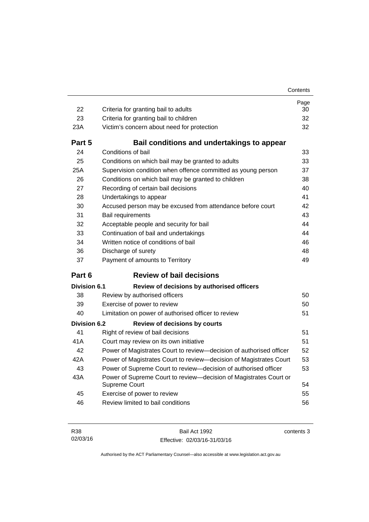| 22                  | Criteria for granting bail to adults                                               | Page<br>30 |
|---------------------|------------------------------------------------------------------------------------|------------|
| 23                  | Criteria for granting bail to children                                             | 32         |
| 23A                 | Victim's concern about need for protection                                         | 32         |
| Part 5              | Bail conditions and undertakings to appear                                         |            |
| 24                  | Conditions of bail                                                                 | 33         |
| 25                  | Conditions on which bail may be granted to adults                                  | 33         |
| 25A                 | Supervision condition when offence committed as young person                       | 37         |
| 26                  | Conditions on which bail may be granted to children                                | 38         |
| 27                  | Recording of certain bail decisions                                                | 40         |
| 28                  | Undertakings to appear                                                             | 41         |
| 30                  | Accused person may be excused from attendance before court                         | 42         |
| 31                  | Bail requirements                                                                  | 43         |
| 32                  | Acceptable people and security for bail                                            | 44         |
| 33                  | Continuation of bail and undertakings                                              | 44         |
| 34                  | Written notice of conditions of bail                                               | 46         |
| 36                  | Discharge of surety                                                                | 48         |
| 37                  | Payment of amounts to Territory                                                    | 49         |
| Part 6              | <b>Review of bail decisions</b>                                                    |            |
| <b>Division 6.1</b> | Review of decisions by authorised officers                                         |            |
| 38                  | Review by authorised officers                                                      | 50         |
| 39                  | Exercise of power to review                                                        | 50         |
| 40                  | Limitation on power of authorised officer to review                                | 51         |
| <b>Division 6.2</b> | <b>Review of decisions by courts</b>                                               |            |
| 41                  | Right of review of bail decisions                                                  | 51         |
| 41 A                | Court may review on its own initiative                                             | 51         |
| 42                  | Power of Magistrates Court to review-decision of authorised officer                | 52         |
| 42A                 | Power of Magistrates Court to review—decision of Magistrates Court                 | 53         |
| 43                  | Power of Supreme Court to review-decision of authorised officer                    | 53         |
| 43A                 | Power of Supreme Court to review-decision of Magistrates Court or<br>Supreme Court | 54         |
| 45                  | Exercise of power to review                                                        | 55         |
| 46                  | Review limited to bail conditions                                                  | 56         |

Bail Act 1992 Effective: 02/03/16-31/03/16 contents 3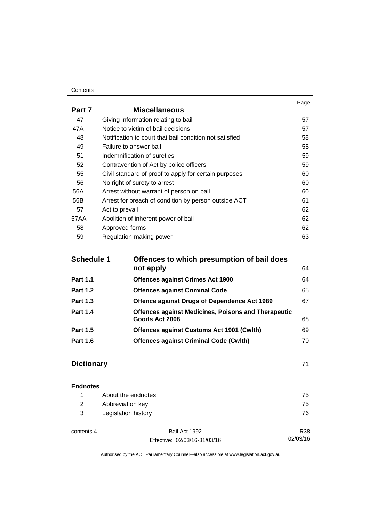#### **Contents**

|        |                                                         | Page |
|--------|---------------------------------------------------------|------|
| Part 7 | <b>Miscellaneous</b>                                    |      |
| 47     | Giving information relating to bail                     | 57   |
| 47A    | Notice to victim of bail decisions                      | 57   |
| 48     | Notification to court that bail condition not satisfied | 58   |
| 49     | Failure to answer bail                                  | 58   |
| 51     | Indemnification of sureties                             | 59   |
| 52     | Contravention of Act by police officers                 | 59   |
| 55     | Civil standard of proof to apply for certain purposes   | 60   |
| 56     | No right of surety to arrest                            | 60   |
| 56A    | Arrest without warrant of person on bail                | 60   |
| 56B    | Arrest for breach of condition by person outside ACT    | 61   |
| 57     | Act to prevail                                          | 62   |
| 57AA   | Abolition of inherent power of bail                     | 62   |
| 58     | Approved forms                                          | 62   |
| 59     | Regulation-making power                                 | 63   |

| <b>Schedule 1</b> | Offences to which presumption of bail does                 |    |  |
|-------------------|------------------------------------------------------------|----|--|
|                   | not apply                                                  | 64 |  |
| <b>Part 1.1</b>   | <b>Offences against Crimes Act 1900</b>                    | 64 |  |
| <b>Part 1.2</b>   | <b>Offences against Criminal Code</b>                      | 65 |  |
| <b>Part 1.3</b>   | Offence against Drugs of Dependence Act 1989               | 67 |  |
| <b>Part 1.4</b>   | <b>Offences against Medicines, Poisons and Therapeutic</b> |    |  |
|                   | Goods Act 2008                                             | 68 |  |
| <b>Part 1.5</b>   | <b>Offences against Customs Act 1901 (Cwith)</b>           | 69 |  |
| <b>Part 1.6</b>   | <b>Offences against Criminal Code (Cwlth)</b>              | 70 |  |
|                   |                                                            |    |  |

## **[Dictionary](#page-78-0)** [71](#page-78-0)

| <b>Endnotes</b> |                     |    |
|-----------------|---------------------|----|
|                 | About the endnotes  | 75 |
| 2               | Abbreviation key    | 75 |
| 3               | Legislation history | 76 |
|                 |                     |    |

 $\overline{a}$ 

contents 4 Bail Act 1992 Effective: 02/03/16-31/03/16

R38 02/03/16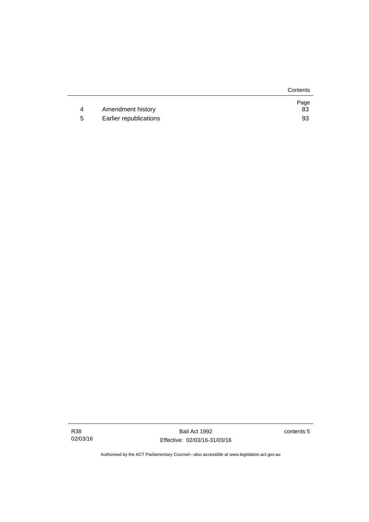|   |                        | Contents   |
|---|------------------------|------------|
| 4 | Amendment history      | Page<br>83 |
| b | Earlier republications | 93         |

R38 02/03/16

Bail Act 1992 Effective: 02/03/16-31/03/16 contents 5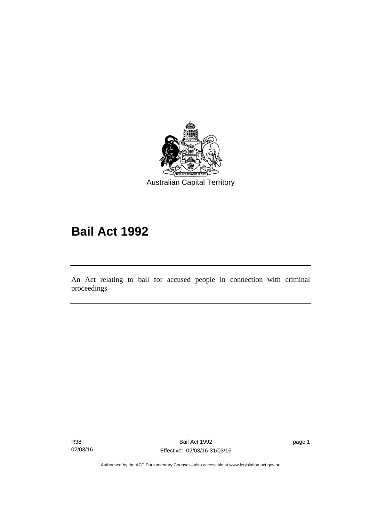

# **Bail Act 1992**

An Act relating to bail for accused people in connection with criminal proceedings

R38 02/03/16

l

page 1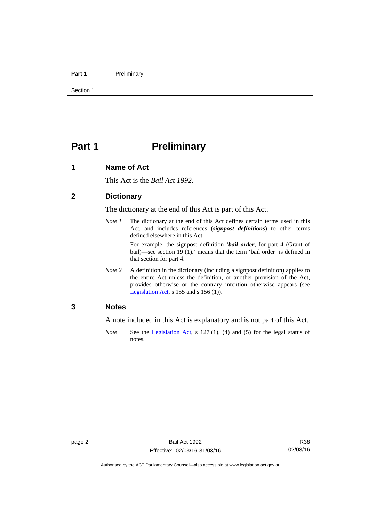#### Part 1 **Preliminary**

Section 1

# <span id="page-9-0"></span>**Part 1** Preliminary

#### <span id="page-9-1"></span>**1 Name of Act**

This Act is the *Bail Act 1992*.

#### <span id="page-9-2"></span>**2 Dictionary**

The dictionary at the end of this Act is part of this Act.

*Note 1* The dictionary at the end of this Act defines certain terms used in this Act, and includes references (*signpost definitions*) to other terms defined elsewhere in this Act.

> For example, the signpost definition '*bail order*, for part 4 (Grant of bail)—see section 19 (1).' means that the term 'bail order' is defined in that section for part 4.

*Note 2* A definition in the dictionary (including a signpost definition) applies to the entire Act unless the definition, or another provision of the Act, provides otherwise or the contrary intention otherwise appears (see [Legislation Act,](http://www.legislation.act.gov.au/a/2001-14)  $s$  155 and  $s$  156 (1)).

#### <span id="page-9-3"></span>**3 Notes**

A note included in this Act is explanatory and is not part of this Act.

*Note* See the [Legislation Act,](http://www.legislation.act.gov.au/a/2001-14) s 127 (1), (4) and (5) for the legal status of notes.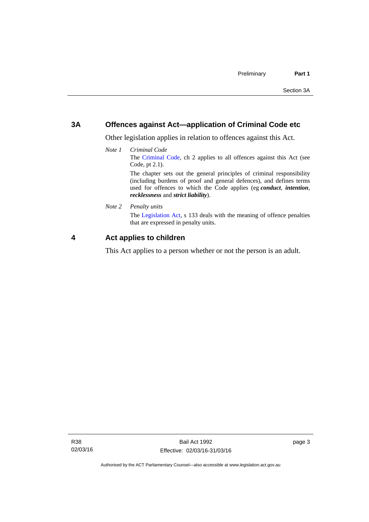#### <span id="page-10-0"></span>**3A Offences against Act—application of Criminal Code etc**

Other legislation applies in relation to offences against this Act.

*Note 1 Criminal Code* The [Criminal Code](http://www.legislation.act.gov.au/a/2002-51), ch 2 applies to all offences against this Act (see Code, pt 2.1). The chapter sets out the general principles of criminal responsibility (including burdens of proof and general defences), and defines terms

used for offences to which the Code applies (eg *conduct*, *intention*, *recklessness* and *strict liability*).

*Note 2 Penalty units* 

The [Legislation Act](http://www.legislation.act.gov.au/a/2001-14), s 133 deals with the meaning of offence penalties that are expressed in penalty units.

#### <span id="page-10-1"></span>**4 Act applies to children**

This Act applies to a person whether or not the person is an adult.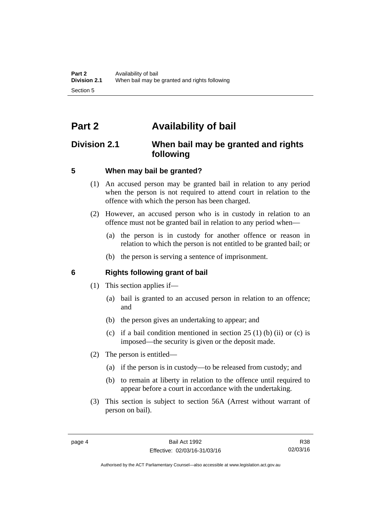# <span id="page-11-0"></span>**Part 2 Availability of bail**

## <span id="page-11-1"></span>**Division 2.1 When bail may be granted and rights following**

#### <span id="page-11-2"></span>**5 When may bail be granted?**

- (1) An accused person may be granted bail in relation to any period when the person is not required to attend court in relation to the offence with which the person has been charged.
- (2) However, an accused person who is in custody in relation to an offence must not be granted bail in relation to any period when—
	- (a) the person is in custody for another offence or reason in relation to which the person is not entitled to be granted bail; or
	- (b) the person is serving a sentence of imprisonment.

#### <span id="page-11-3"></span>**6 Rights following grant of bail**

- (1) This section applies if—
	- (a) bail is granted to an accused person in relation to an offence; and
	- (b) the person gives an undertaking to appear; and
	- (c) if a bail condition mentioned in section  $25(1)$  (b) (ii) or (c) is imposed—the security is given or the deposit made.
- (2) The person is entitled—
	- (a) if the person is in custody—to be released from custody; and
	- (b) to remain at liberty in relation to the offence until required to appear before a court in accordance with the undertaking.
- (3) This section is subject to section 56A (Arrest without warrant of person on bail).

Authorised by the ACT Parliamentary Counsel—also accessible at www.legislation.act.gov.au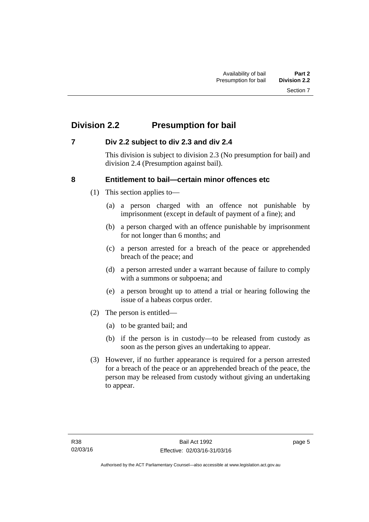# <span id="page-12-0"></span>**Division 2.2 Presumption for bail**

#### <span id="page-12-1"></span>**7 Div 2.2 subject to div 2.3 and div 2.4**

This division is subject to division 2.3 (No presumption for bail) and division 2.4 (Presumption against bail).

#### <span id="page-12-2"></span>**8 Entitlement to bail—certain minor offences etc**

- (1) This section applies to—
	- (a) a person charged with an offence not punishable by imprisonment (except in default of payment of a fine); and
	- (b) a person charged with an offence punishable by imprisonment for not longer than 6 months; and
	- (c) a person arrested for a breach of the peace or apprehended breach of the peace; and
	- (d) a person arrested under a warrant because of failure to comply with a summons or subpoena; and
	- (e) a person brought up to attend a trial or hearing following the issue of a habeas corpus order.
- (2) The person is entitled—
	- (a) to be granted bail; and
	- (b) if the person is in custody—to be released from custody as soon as the person gives an undertaking to appear.
- (3) However, if no further appearance is required for a person arrested for a breach of the peace or an apprehended breach of the peace, the person may be released from custody without giving an undertaking to appear.

page 5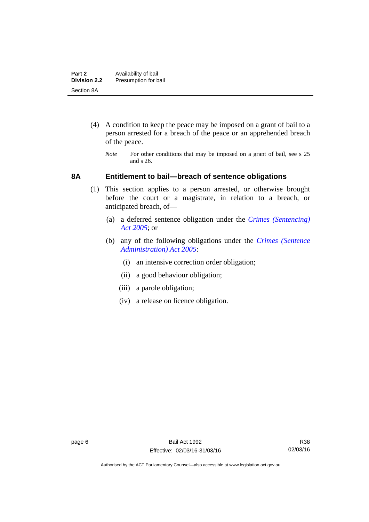- (4) A condition to keep the peace may be imposed on a grant of bail to a person arrested for a breach of the peace or an apprehended breach of the peace.
	- *Note* For other conditions that may be imposed on a grant of bail, see s 25 and s 26.

#### <span id="page-13-0"></span>**8A Entitlement to bail—breach of sentence obligations**

- (1) This section applies to a person arrested, or otherwise brought before the court or a magistrate, in relation to a breach, or anticipated breach, of—
	- (a) a deferred sentence obligation under the *[Crimes \(Sentencing\)](http://www.legislation.act.gov.au/a/2005-58)  [Act 2005](http://www.legislation.act.gov.au/a/2005-58)*; or
	- (b) any of the following obligations under the *[Crimes \(Sentence](http://www.legislation.act.gov.au/a/2005-59)  [Administration\) Act 2005](http://www.legislation.act.gov.au/a/2005-59)*:
		- (i) an intensive correction order obligation;
		- (ii) a good behaviour obligation;
		- (iii) a parole obligation;
		- (iv) a release on licence obligation.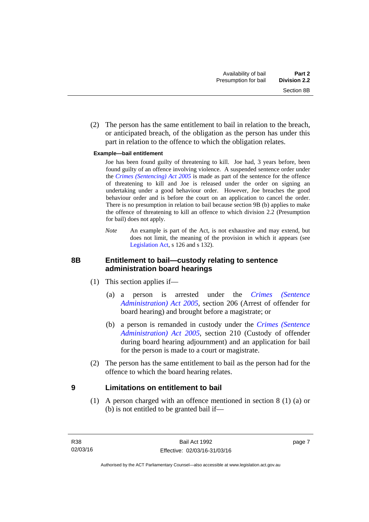(2) The person has the same entitlement to bail in relation to the breach, or anticipated breach, of the obligation as the person has under this part in relation to the offence to which the obligation relates.

#### **Example—bail entitlement**

 Joe has been found guilty of threatening to kill. Joe had, 3 years before, been found guilty of an offence involving violence. A suspended sentence order under the *[Crimes \(Sentencing\) Act 2005](http://www.legislation.act.gov.au/a/2005-58)* is made as part of the sentence for the offence of threatening to kill and Joe is released under the order on signing an undertaking under a good behaviour order. However, Joe breaches the good behaviour order and is before the court on an application to cancel the order. There is no presumption in relation to bail because section 9B (b) applies to make the offence of threatening to kill an offence to which division 2.2 (Presumption for bail) does not apply.

*Note* An example is part of the Act, is not exhaustive and may extend, but does not limit, the meaning of the provision in which it appears (see [Legislation Act,](http://www.legislation.act.gov.au/a/2001-14) s 126 and s 132).

#### <span id="page-14-0"></span>**8B Entitlement to bail—custody relating to sentence administration board hearings**

- (1) This section applies if—
	- (a) a person is arrested under the *[Crimes \(Sentence](http://www.legislation.act.gov.au/a/2005-59)  [Administration\) Act 2005](http://www.legislation.act.gov.au/a/2005-59)*, section 206 (Arrest of offender for board hearing) and brought before a magistrate; or
	- (b) a person is remanded in custody under the *[Crimes \(Sentence](http://www.legislation.act.gov.au/a/2005-59)  [Administration\) Act 2005](http://www.legislation.act.gov.au/a/2005-59)*, section 210 (Custody of offender during board hearing adjournment) and an application for bail for the person is made to a court or magistrate.
- (2) The person has the same entitlement to bail as the person had for the offence to which the board hearing relates.

#### <span id="page-14-1"></span>**9 Limitations on entitlement to bail**

(1) A person charged with an offence mentioned in section 8 (1) (a) or (b) is not entitled to be granted bail if—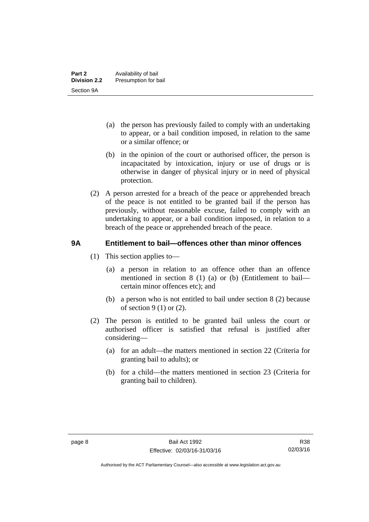- (a) the person has previously failed to comply with an undertaking to appear, or a bail condition imposed, in relation to the same or a similar offence; or
- (b) in the opinion of the court or authorised officer, the person is incapacitated by intoxication, injury or use of drugs or is otherwise in danger of physical injury or in need of physical protection.
- (2) A person arrested for a breach of the peace or apprehended breach of the peace is not entitled to be granted bail if the person has previously, without reasonable excuse, failed to comply with an undertaking to appear, or a bail condition imposed, in relation to a breach of the peace or apprehended breach of the peace.

#### <span id="page-15-0"></span>**9A Entitlement to bail—offences other than minor offences**

- (1) This section applies to—
	- (a) a person in relation to an offence other than an offence mentioned in section 8 (1) (a) or (b) (Entitlement to bail certain minor offences etc); and
	- (b) a person who is not entitled to bail under section 8 (2) because of section 9 (1) or (2).
- (2) The person is entitled to be granted bail unless the court or authorised officer is satisfied that refusal is justified after considering—
	- (a) for an adult—the matters mentioned in section 22 (Criteria for granting bail to adults); or
	- (b) for a child—the matters mentioned in section 23 (Criteria for granting bail to children).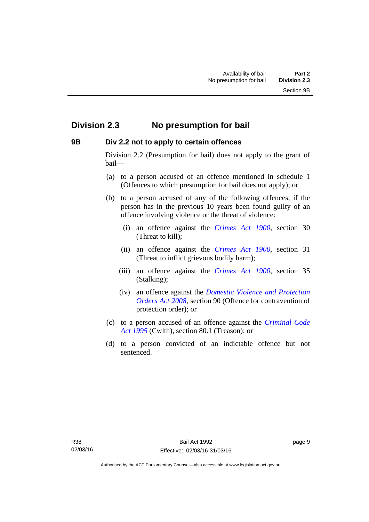### <span id="page-16-0"></span>**Division 2.3 No presumption for bail**

#### <span id="page-16-1"></span>**9B Div 2.2 not to apply to certain offences**

Division 2.2 (Presumption for bail) does not apply to the grant of bail—

- (a) to a person accused of an offence mentioned in schedule 1 (Offences to which presumption for bail does not apply); or
- (b) to a person accused of any of the following offences, if the person has in the previous 10 years been found guilty of an offence involving violence or the threat of violence:
	- (i) an offence against the *[Crimes Act 1900](http://www.legislation.act.gov.au/a/1900-40)*, section 30 (Threat to kill);
	- (ii) an offence against the *[Crimes Act 1900](http://www.legislation.act.gov.au/a/1900-40)*, section 31 (Threat to inflict grievous bodily harm);
	- (iii) an offence against the *[Crimes Act 1900](http://www.legislation.act.gov.au/a/1900-40)*, section 35 (Stalking);
	- (iv) an offence against the *[Domestic Violence and Protection](http://www.legislation.act.gov.au/a/2008-46)  [Orders Act 2008](http://www.legislation.act.gov.au/a/2008-46)*, section 90 (Offence for contravention of protection order); or
- (c) to a person accused of an offence against the *[Criminal Code](http://www.comlaw.gov.au/Details/C2013C00138)  [Act 1995](http://www.comlaw.gov.au/Details/C2013C00138)* (Cwlth), section 80.1 (Treason); or
- (d) to a person convicted of an indictable offence but not sentenced.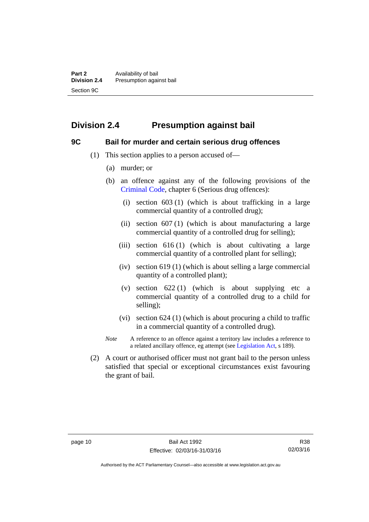# <span id="page-17-0"></span>**Division 2.4 Presumption against bail**

#### <span id="page-17-1"></span>**9C Bail for murder and certain serious drug offences**

- (1) This section applies to a person accused of—
	- (a) murder; or
	- (b) an offence against any of the following provisions of the [Criminal Code,](http://www.legislation.act.gov.au/a/2002-51) chapter 6 (Serious drug offences):
		- (i) section 603 (1) (which is about trafficking in a large commercial quantity of a controlled drug);
		- (ii) section  $607(1)$  (which is about manufacturing a large commercial quantity of a controlled drug for selling);
		- (iii) section  $616(1)$  (which is about cultivating a large commercial quantity of a controlled plant for selling);
		- (iv) section 619 (1) (which is about selling a large commercial quantity of a controlled plant);
		- (v) section  $622(1)$  (which is about supplying etc a commercial quantity of a controlled drug to a child for selling);
		- (vi) section 624 (1) (which is about procuring a child to traffic in a commercial quantity of a controlled drug).
	- *Note* A reference to an offence against a territory law includes a reference to a related ancillary offence, eg attempt (see [Legislation Act](http://www.legislation.act.gov.au/a/2001-14), s 189).
- (2) A court or authorised officer must not grant bail to the person unless satisfied that special or exceptional circumstances exist favouring the grant of bail.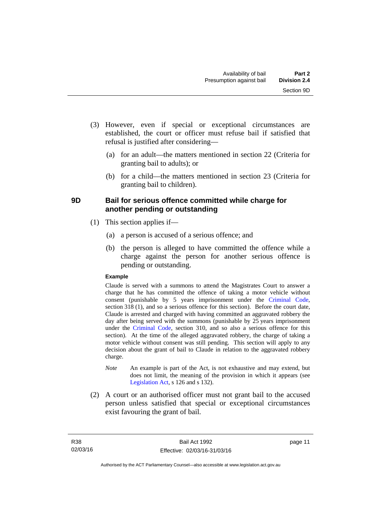- (3) However, even if special or exceptional circumstances are established, the court or officer must refuse bail if satisfied that refusal is justified after considering—
	- (a) for an adult—the matters mentioned in section 22 (Criteria for granting bail to adults); or
	- (b) for a child—the matters mentioned in section 23 (Criteria for granting bail to children).

#### <span id="page-18-0"></span>**9D Bail for serious offence committed while charge for another pending or outstanding**

- (1) This section applies if—
	- (a) a person is accused of a serious offence; and
	- (b) the person is alleged to have committed the offence while a charge against the person for another serious offence is pending or outstanding.

#### **Example**

Claude is served with a summons to attend the Magistrates Court to answer a charge that he has committed the offence of taking a motor vehicle without consent (punishable by 5 years imprisonment under the [Criminal Code,](http://www.legislation.act.gov.au/a/2002-51) section 318 (1), and so a serious offence for this section). Before the court date, Claude is arrested and charged with having committed an aggravated robbery the day after being served with the summons (punishable by 25 years imprisonment under the [Criminal Code](http://www.legislation.act.gov.au/a/2002-51), section 310, and so also a serious offence for this section). At the time of the alleged aggravated robbery, the charge of taking a motor vehicle without consent was still pending. This section will apply to any decision about the grant of bail to Claude in relation to the aggravated robbery charge.

- *Note* An example is part of the Act, is not exhaustive and may extend, but does not limit, the meaning of the provision in which it appears (see [Legislation Act,](http://www.legislation.act.gov.au/a/2001-14) s 126 and s 132).
- (2) A court or an authorised officer must not grant bail to the accused person unless satisfied that special or exceptional circumstances exist favouring the grant of bail.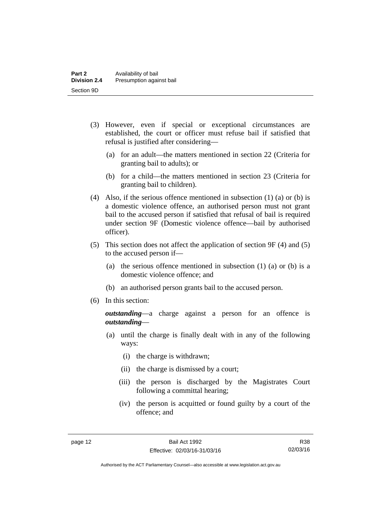- (3) However, even if special or exceptional circumstances are established, the court or officer must refuse bail if satisfied that refusal is justified after considering—
	- (a) for an adult—the matters mentioned in section 22 (Criteria for granting bail to adults); or
	- (b) for a child—the matters mentioned in section 23 (Criteria for granting bail to children).
- (4) Also, if the serious offence mentioned in subsection (1) (a) or (b) is a domestic violence offence, an authorised person must not grant bail to the accused person if satisfied that refusal of bail is required under section 9F (Domestic violence offence—bail by authorised officer).
- (5) This section does not affect the application of section 9F (4) and (5) to the accused person if—
	- (a) the serious offence mentioned in subsection (1) (a) or (b) is a domestic violence offence; and
	- (b) an authorised person grants bail to the accused person.
- (6) In this section:

*outstanding*—a charge against a person for an offence is *outstanding*—

- (a) until the charge is finally dealt with in any of the following ways:
	- (i) the charge is withdrawn;
	- (ii) the charge is dismissed by a court;
	- (iii) the person is discharged by the Magistrates Court following a committal hearing;
	- (iv) the person is acquitted or found guilty by a court of the offence; and

R38 02/03/16

Authorised by the ACT Parliamentary Counsel—also accessible at www.legislation.act.gov.au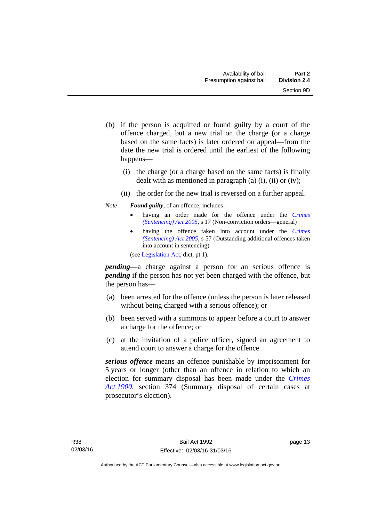- (b) if the person is acquitted or found guilty by a court of the offence charged, but a new trial on the charge (or a charge based on the same facts) is later ordered on appeal—from the date the new trial is ordered until the earliest of the following happens—
	- (i) the charge (or a charge based on the same facts) is finally dealt with as mentioned in paragraph (a)  $(i)$ ,  $(ii)$  or  $(iv)$ ;
	- (ii) the order for the new trial is reversed on a further appeal.

#### *Note Found guilty*, of an offence, includes—

- having an order made for the offence under the *[Crimes](http://www.legislation.act.gov.au/a/2005-58)  [\(Sentencing\) Act 2005](http://www.legislation.act.gov.au/a/2005-58)*, s 17 (Non-conviction orders—general)
- having the offence taken into account under the *[Crimes](http://www.legislation.act.gov.au/a/2005-58)  [\(Sentencing\) Act 2005](http://www.legislation.act.gov.au/a/2005-58)*, s 57 (Outstanding additional offences taken into account in sentencing)

(see [Legislation Act,](http://www.legislation.act.gov.au/a/2001-14) dict, pt 1).

*pending*—a charge against a person for an serious offence is *pending* if the person has not yet been charged with the offence, but the person has—

- (a) been arrested for the offence (unless the person is later released without being charged with a serious offence); or
- (b) been served with a summons to appear before a court to answer a charge for the offence; or
- (c) at the invitation of a police officer, signed an agreement to attend court to answer a charge for the offence.

*serious offence* means an offence punishable by imprisonment for 5 years or longer (other than an offence in relation to which an election for summary disposal has been made under the *[Crimes](http://www.legislation.act.gov.au/a/1900-40)  [Act 1900](http://www.legislation.act.gov.au/a/1900-40)*, section 374 (Summary disposal of certain cases at prosecutor's election).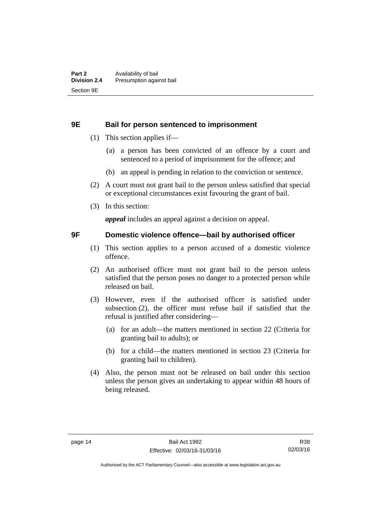#### <span id="page-21-0"></span>**9E Bail for person sentenced to imprisonment**

- (1) This section applies if—
	- (a) a person has been convicted of an offence by a court and sentenced to a period of imprisonment for the offence; and
	- (b) an appeal is pending in relation to the conviction or sentence.
- (2) A court must not grant bail to the person unless satisfied that special or exceptional circumstances exist favouring the grant of bail.
- (3) In this section:

*appeal* includes an appeal against a decision on appeal.

#### <span id="page-21-1"></span>**9F Domestic violence offence—bail by authorised officer**

- (1) This section applies to a person accused of a domestic violence offence.
- (2) An authorised officer must not grant bail to the person unless satisfied that the person poses no danger to a protected person while released on bail.
- (3) However, even if the authorised officer is satisfied under subsection (2), the officer must refuse bail if satisfied that the refusal is justified after considering—
	- (a) for an adult—the matters mentioned in section 22 (Criteria for granting bail to adults); or
	- (b) for a child—the matters mentioned in section 23 (Criteria for granting bail to children).
- (4) Also, the person must not be released on bail under this section unless the person gives an undertaking to appear within 48 hours of being released.

R38 02/03/16

Authorised by the ACT Parliamentary Counsel—also accessible at www.legislation.act.gov.au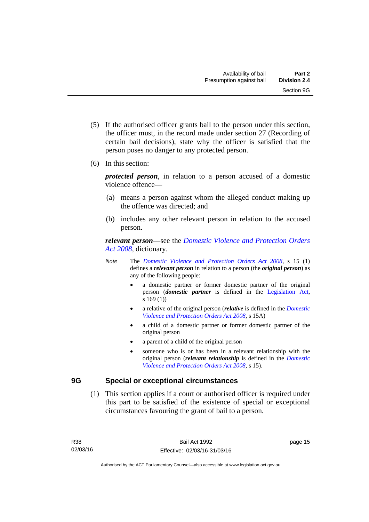- (5) If the authorised officer grants bail to the person under this section, the officer must, in the record made under section 27 (Recording of certain bail decisions), state why the officer is satisfied that the person poses no danger to any protected person.
- (6) In this section:

*protected person*, in relation to a person accused of a domestic violence offence—

- (a) means a person against whom the alleged conduct making up the offence was directed; and
- (b) includes any other relevant person in relation to the accused person.

*relevant person*—see the *[Domestic Violence and Protection Orders](http://www.legislation.act.gov.au/a/2008-46)  [Act 2008](http://www.legislation.act.gov.au/a/2008-46)*, dictionary.

- *Note* The *[Domestic Violence and Protection Orders Act 2008](http://www.legislation.act.gov.au/a/2008-46)*, s 15 (1) defines a *relevant person* in relation to a person (the *original person*) as any of the following people:
	- a domestic partner or former domestic partner of the original person (*domestic partner* is defined in the [Legislation Act,](http://www.legislation.act.gov.au/a/2001-14) s 169 (1))
	- a relative of the original person (*relative* is defined in the *[Domestic](http://www.legislation.act.gov.au/a/2008-46)  [Violence and Protection Orders Act 2008](http://www.legislation.act.gov.au/a/2008-46)*, s 15A)
	- a child of a domestic partner or former domestic partner of the original person
	- a parent of a child of the original person
	- someone who is or has been in a relevant relationship with the original person (*relevant relationship* is defined in the *[Domestic](http://www.legislation.act.gov.au/a/2008-46)  [Violence and Protection Orders Act 2008](http://www.legislation.act.gov.au/a/2008-46)*, s 15).

#### <span id="page-22-0"></span>**9G Special or exceptional circumstances**

 (1) This section applies if a court or authorised officer is required under this part to be satisfied of the existence of special or exceptional circumstances favouring the grant of bail to a person.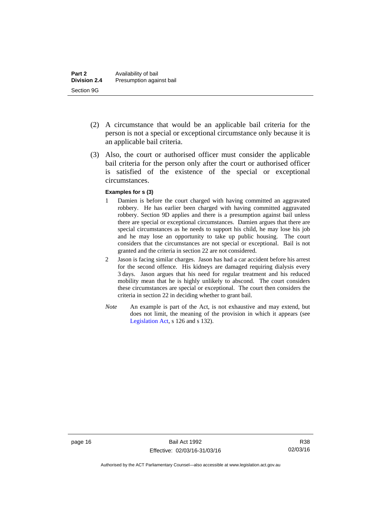- (2) A circumstance that would be an applicable bail criteria for the person is not a special or exceptional circumstance only because it is an applicable bail criteria.
- (3) Also, the court or authorised officer must consider the applicable bail criteria for the person only after the court or authorised officer is satisfied of the existence of the special or exceptional circumstances.

#### **Examples for s (3)**

- 1 Damien is before the court charged with having committed an aggravated robbery. He has earlier been charged with having committed aggravated robbery. Section 9D applies and there is a presumption against bail unless there are special or exceptional circumstances. Damien argues that there are special circumstances as he needs to support his child, he may lose his job and he may lose an opportunity to take up public housing. The court considers that the circumstances are not special or exceptional. Bail is not granted and the criteria in section 22 are not considered.
- 2 Jason is facing similar charges. Jason has had a car accident before his arrest for the second offence. His kidneys are damaged requiring dialysis every 3 days. Jason argues that his need for regular treatment and his reduced mobility mean that he is highly unlikely to abscond. The court considers these circumstances are special or exceptional. The court then considers the criteria in section 22 in deciding whether to grant bail.
- *Note* An example is part of the Act, is not exhaustive and may extend, but does not limit, the meaning of the provision in which it appears (see [Legislation Act,](http://www.legislation.act.gov.au/a/2001-14) s 126 and s 132).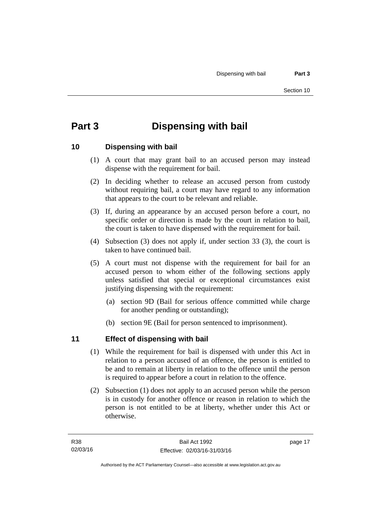# <span id="page-24-0"></span>**Part 3 Dispensing with bail**

#### <span id="page-24-1"></span>**10 Dispensing with bail**

- (1) A court that may grant bail to an accused person may instead dispense with the requirement for bail.
- (2) In deciding whether to release an accused person from custody without requiring bail, a court may have regard to any information that appears to the court to be relevant and reliable.
- (3) If, during an appearance by an accused person before a court, no specific order or direction is made by the court in relation to bail, the court is taken to have dispensed with the requirement for bail.
- (4) Subsection (3) does not apply if, under section 33 (3), the court is taken to have continued bail.
- (5) A court must not dispense with the requirement for bail for an accused person to whom either of the following sections apply unless satisfied that special or exceptional circumstances exist justifying dispensing with the requirement:
	- (a) section 9D (Bail for serious offence committed while charge for another pending or outstanding);
	- (b) section 9E (Bail for person sentenced to imprisonment).

#### <span id="page-24-2"></span>**11 Effect of dispensing with bail**

- (1) While the requirement for bail is dispensed with under this Act in relation to a person accused of an offence, the person is entitled to be and to remain at liberty in relation to the offence until the person is required to appear before a court in relation to the offence.
- (2) Subsection (1) does not apply to an accused person while the person is in custody for another offence or reason in relation to which the person is not entitled to be at liberty, whether under this Act or otherwise.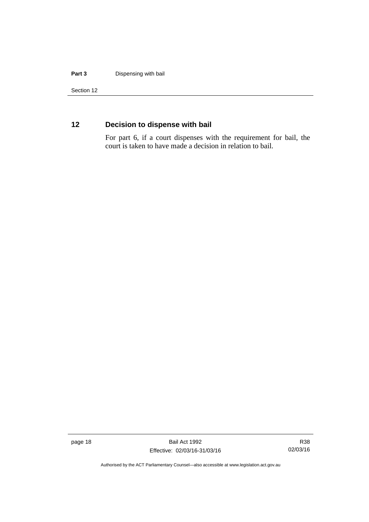#### **Part 3** Dispensing with bail

Section 12

### <span id="page-25-0"></span>**12 Decision to dispense with bail**

For part 6, if a court dispenses with the requirement for bail, the court is taken to have made a decision in relation to bail.

page 18 Bail Act 1992 Effective: 02/03/16-31/03/16

R38 02/03/16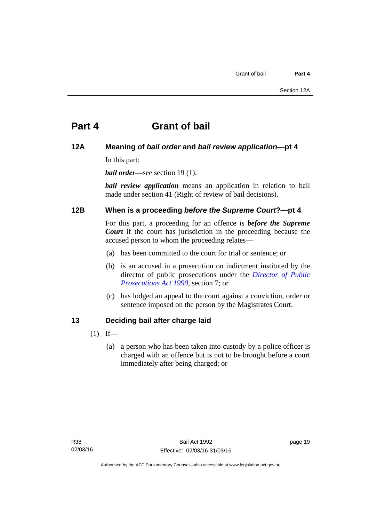# <span id="page-26-0"></span>**Part 4 Grant of bail**

#### <span id="page-26-1"></span>**12A Meaning of** *bail order* **and** *bail review application***—pt 4**

In this part:

*bail order*—see section 19(1).

*bail review application* means an application in relation to bail made under section 41 (Right of review of bail decisions).

#### <span id="page-26-2"></span>**12B When is a proceeding** *before the Supreme Court***?—pt 4**

For this part, a proceeding for an offence is *before the Supreme Court* if the court has jurisdiction in the proceeding because the accused person to whom the proceeding relates—

- (a) has been committed to the court for trial or sentence; or
- (b) is an accused in a prosecution on indictment instituted by the director of public prosecutions under the *[Director of Public](http://www.legislation.act.gov.au/a/1990-22)  [Prosecutions Act 1990](http://www.legislation.act.gov.au/a/1990-22)*, section 7; or
- (c) has lodged an appeal to the court against a conviction, order or sentence imposed on the person by the Magistrates Court.

#### <span id="page-26-3"></span>**13 Deciding bail after charge laid**

- $(1)$  If—
	- (a) a person who has been taken into custody by a police officer is charged with an offence but is not to be brought before a court immediately after being charged; or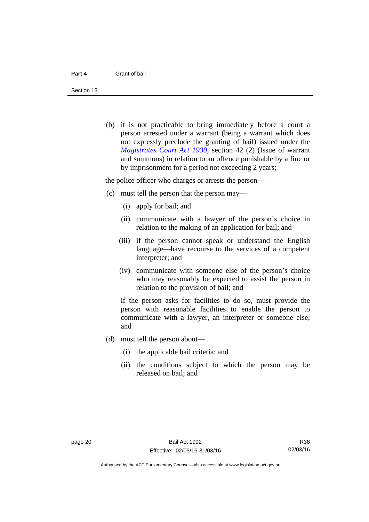Section 13

 (b) it is not practicable to bring immediately before a court a person arrested under a warrant (being a warrant which does not expressly preclude the granting of bail) issued under the *[Magistrates Court Act 1930](http://www.legislation.act.gov.au/a/1930-21)*, section 42 (2) (Issue of warrant and summons) in relation to an offence punishable by a fine or by imprisonment for a period not exceeding 2 years;

the police officer who charges or arrests the person—

- (c) must tell the person that the person may—
	- (i) apply for bail; and
	- (ii) communicate with a lawyer of the person's choice in relation to the making of an application for bail; and
	- (iii) if the person cannot speak or understand the English language—have recourse to the services of a competent interpreter; and
	- (iv) communicate with someone else of the person's choice who may reasonably be expected to assist the person in relation to the provision of bail; and

if the person asks for facilities to do so, must provide the person with reasonable facilities to enable the person to communicate with a lawyer, an interpreter or someone else; and

- (d) must tell the person about—
	- (i) the applicable bail criteria; and
	- (ii) the conditions subject to which the person may be released on bail; and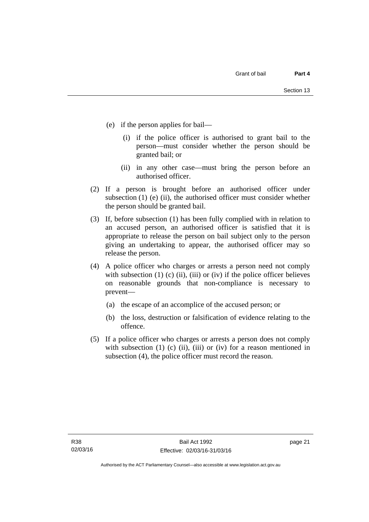- (e) if the person applies for bail—
	- (i) if the police officer is authorised to grant bail to the person—must consider whether the person should be granted bail; or
	- (ii) in any other case—must bring the person before an authorised officer.
- (2) If a person is brought before an authorised officer under subsection (1) (e) (ii), the authorised officer must consider whether the person should be granted bail.
- (3) If, before subsection (1) has been fully complied with in relation to an accused person, an authorised officer is satisfied that it is appropriate to release the person on bail subject only to the person giving an undertaking to appear, the authorised officer may so release the person.
- (4) A police officer who charges or arrests a person need not comply with subsection  $(1)$   $(c)$   $(ii)$ ,  $(iii)$  or  $(iv)$  if the police officer believes on reasonable grounds that non-compliance is necessary to prevent—
	- (a) the escape of an accomplice of the accused person; or
	- (b) the loss, destruction or falsification of evidence relating to the offence.
- (5) If a police officer who charges or arrests a person does not comply with subsection  $(1)$   $(c)$   $(ii)$ ,  $(iii)$  or  $(iv)$  for a reason mentioned in subsection (4), the police officer must record the reason.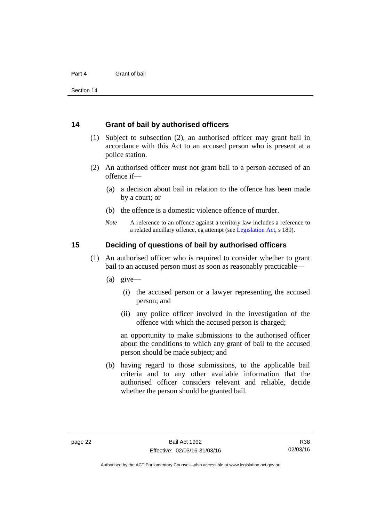#### <span id="page-29-0"></span>**14 Grant of bail by authorised officers**

- (1) Subject to subsection (2), an authorised officer may grant bail in accordance with this Act to an accused person who is present at a police station.
- (2) An authorised officer must not grant bail to a person accused of an offence if—
	- (a) a decision about bail in relation to the offence has been made by a court; or
	- (b) the offence is a domestic violence offence of murder.
	- *Note* A reference to an offence against a territory law includes a reference to a related ancillary offence, eg attempt (see [Legislation Act](http://www.legislation.act.gov.au/a/2001-14), s 189).

#### <span id="page-29-1"></span>**15 Deciding of questions of bail by authorised officers**

- (1) An authorised officer who is required to consider whether to grant bail to an accused person must as soon as reasonably practicable—
	- (a) give—
		- (i) the accused person or a lawyer representing the accused person; and
		- (ii) any police officer involved in the investigation of the offence with which the accused person is charged;

an opportunity to make submissions to the authorised officer about the conditions to which any grant of bail to the accused person should be made subject; and

 (b) having regard to those submissions, to the applicable bail criteria and to any other available information that the authorised officer considers relevant and reliable, decide whether the person should be granted bail.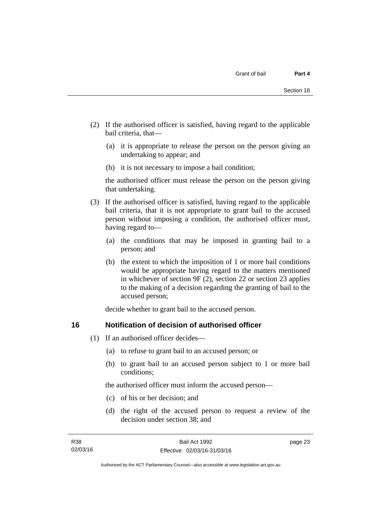- (2) If the authorised officer is satisfied, having regard to the applicable bail criteria, that—
	- (a) it is appropriate to release the person on the person giving an undertaking to appear; and
	- (b) it is not necessary to impose a bail condition;

the authorised officer must release the person on the person giving that undertaking.

- (3) If the authorised officer is satisfied, having regard to the applicable bail criteria, that it is not appropriate to grant bail to the accused person without imposing a condition, the authorised officer must, having regard to—
	- (a) the conditions that may be imposed in granting bail to a person; and
	- (b) the extent to which the imposition of 1 or more bail conditions would be appropriate having regard to the matters mentioned in whichever of section 9F (2), section 22 or section 23 applies to the making of a decision regarding the granting of bail to the accused person;

decide whether to grant bail to the accused person.

#### <span id="page-30-0"></span>**16 Notification of decision of authorised officer**

- (1) If an authorised officer decides—
	- (a) to refuse to grant bail to an accused person; or
	- (b) to grant bail to an accused person subject to 1 or more bail conditions;

the authorised officer must inform the accused person—

- (c) of his or her decision; and
- (d) the right of the accused person to request a review of the decision under section 38; and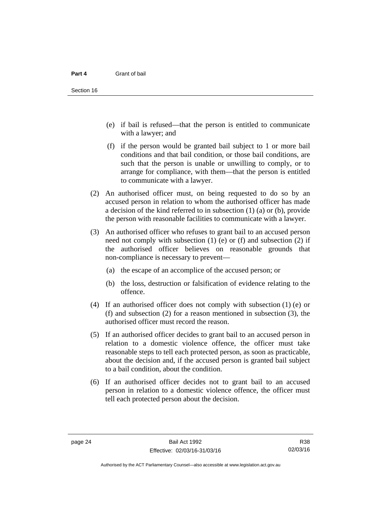- (e) if bail is refused—that the person is entitled to communicate with a lawyer; and
- (f) if the person would be granted bail subject to 1 or more bail conditions and that bail condition, or those bail conditions, are such that the person is unable or unwilling to comply, or to arrange for compliance, with them—that the person is entitled to communicate with a lawyer.
- (2) An authorised officer must, on being requested to do so by an accused person in relation to whom the authorised officer has made a decision of the kind referred to in subsection (1) (a) or (b), provide the person with reasonable facilities to communicate with a lawyer.
- (3) An authorised officer who refuses to grant bail to an accused person need not comply with subsection  $(1)$  (e) or  $(f)$  and subsection  $(2)$  if the authorised officer believes on reasonable grounds that non-compliance is necessary to prevent—
	- (a) the escape of an accomplice of the accused person; or
	- (b) the loss, destruction or falsification of evidence relating to the offence.
- (4) If an authorised officer does not comply with subsection (1) (e) or (f) and subsection (2) for a reason mentioned in subsection (3), the authorised officer must record the reason.
- (5) If an authorised officer decides to grant bail to an accused person in relation to a domestic violence offence, the officer must take reasonable steps to tell each protected person, as soon as practicable, about the decision and, if the accused person is granted bail subject to a bail condition, about the condition.
- (6) If an authorised officer decides not to grant bail to an accused person in relation to a domestic violence offence, the officer must tell each protected person about the decision.

R38 02/03/16

Authorised by the ACT Parliamentary Counsel—also accessible at www.legislation.act.gov.au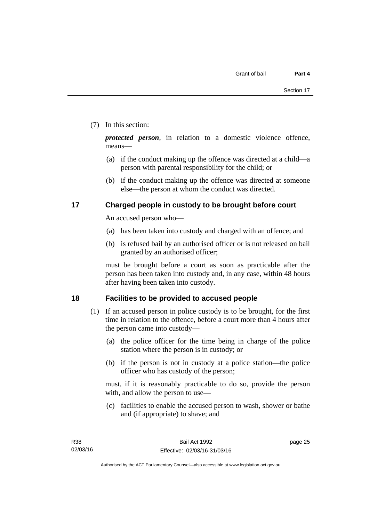#### (7) In this section:

*protected person*, in relation to a domestic violence offence, means—

- (a) if the conduct making up the offence was directed at a child—a person with parental responsibility for the child; or
- (b) if the conduct making up the offence was directed at someone else—the person at whom the conduct was directed.

#### <span id="page-32-0"></span>**17 Charged people in custody to be brought before court**

An accused person who—

- (a) has been taken into custody and charged with an offence; and
- (b) is refused bail by an authorised officer or is not released on bail granted by an authorised officer;

must be brought before a court as soon as practicable after the person has been taken into custody and, in any case, within 48 hours after having been taken into custody.

#### <span id="page-32-1"></span>**18 Facilities to be provided to accused people**

- (1) If an accused person in police custody is to be brought, for the first time in relation to the offence, before a court more than 4 hours after the person came into custody—
	- (a) the police officer for the time being in charge of the police station where the person is in custody; or
	- (b) if the person is not in custody at a police station—the police officer who has custody of the person;

must, if it is reasonably practicable to do so, provide the person with, and allow the person to use—

 (c) facilities to enable the accused person to wash, shower or bathe and (if appropriate) to shave; and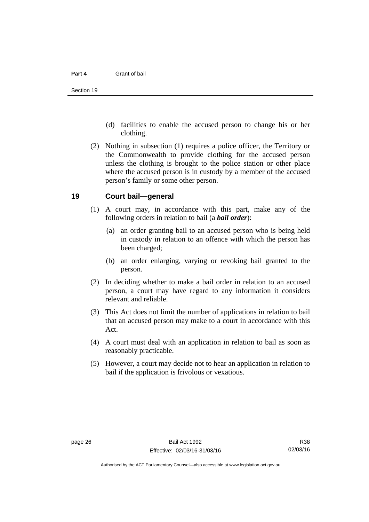- (d) facilities to enable the accused person to change his or her clothing.
- (2) Nothing in subsection (1) requires a police officer, the Territory or the Commonwealth to provide clothing for the accused person unless the clothing is brought to the police station or other place where the accused person is in custody by a member of the accused person's family or some other person.

#### <span id="page-33-0"></span>**19 Court bail—general**

- (1) A court may, in accordance with this part, make any of the following orders in relation to bail (a *bail order*):
	- (a) an order granting bail to an accused person who is being held in custody in relation to an offence with which the person has been charged;
	- (b) an order enlarging, varying or revoking bail granted to the person.
- (2) In deciding whether to make a bail order in relation to an accused person, a court may have regard to any information it considers relevant and reliable.
- (3) This Act does not limit the number of applications in relation to bail that an accused person may make to a court in accordance with this Act.
- (4) A court must deal with an application in relation to bail as soon as reasonably practicable.
- (5) However, a court may decide not to hear an application in relation to bail if the application is frivolous or vexatious.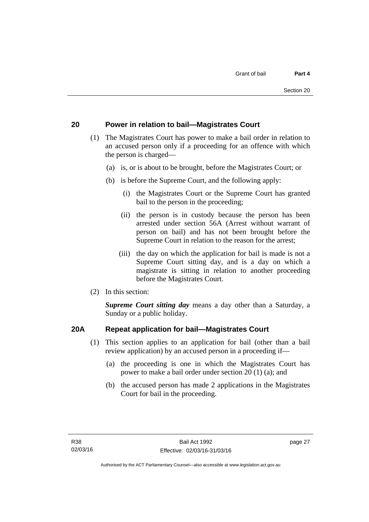#### <span id="page-34-0"></span>**20 Power in relation to bail—Magistrates Court**

- (1) The Magistrates Court has power to make a bail order in relation to an accused person only if a proceeding for an offence with which the person is charged—
	- (a) is, or is about to be brought, before the Magistrates Court; or
	- (b) is before the Supreme Court, and the following apply:
		- (i) the Magistrates Court or the Supreme Court has granted bail to the person in the proceeding;
		- (ii) the person is in custody because the person has been arrested under section 56A (Arrest without warrant of person on bail) and has not been brought before the Supreme Court in relation to the reason for the arrest;
		- (iii) the day on which the application for bail is made is not a Supreme Court sitting day, and is a day on which a magistrate is sitting in relation to another proceeding before the Magistrates Court.
- (2) In this section:

*Supreme Court sitting day* means a day other than a Saturday, a Sunday or a public holiday.

#### <span id="page-34-1"></span>**20A Repeat application for bail—Magistrates Court**

- (1) This section applies to an application for bail (other than a bail review application) by an accused person in a proceeding if—
	- (a) the proceeding is one in which the Magistrates Court has power to make a bail order under section 20 (1) (a); and
	- (b) the accused person has made 2 applications in the Magistrates Court for bail in the proceeding.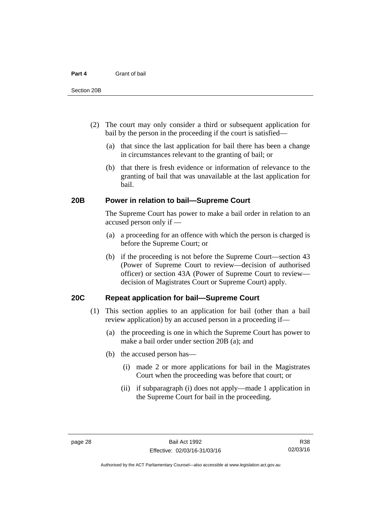- (2) The court may only consider a third or subsequent application for bail by the person in the proceeding if the court is satisfied—
	- (a) that since the last application for bail there has been a change in circumstances relevant to the granting of bail; or
	- (b) that there is fresh evidence or information of relevance to the granting of bail that was unavailable at the last application for bail.

#### <span id="page-35-0"></span>**20B Power in relation to bail—Supreme Court**

 The Supreme Court has power to make a bail order in relation to an accused person only if —

- (a) a proceeding for an offence with which the person is charged is before the Supreme Court; or
- (b) if the proceeding is not before the Supreme Court—section 43 (Power of Supreme Court to review—decision of authorised officer) or section 43A (Power of Supreme Court to review decision of Magistrates Court or Supreme Court) apply.

#### <span id="page-35-1"></span>**20C Repeat application for bail—Supreme Court**

- (1) This section applies to an application for bail (other than a bail review application) by an accused person in a proceeding if—
	- (a) the proceeding is one in which the Supreme Court has power to make a bail order under section 20B (a); and
	- (b) the accused person has—
		- (i) made 2 or more applications for bail in the Magistrates Court when the proceeding was before that court; or
		- (ii) if subparagraph (i) does not apply—made 1 application in the Supreme Court for bail in the proceeding.

Authorised by the ACT Parliamentary Counsel—also accessible at www.legislation.act.gov.au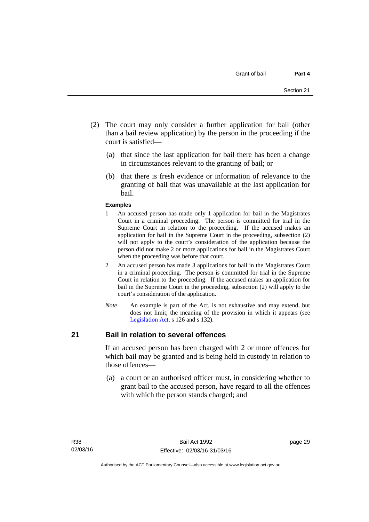- (2) The court may only consider a further application for bail (other than a bail review application) by the person in the proceeding if the court is satisfied—
	- (a) that since the last application for bail there has been a change in circumstances relevant to the granting of bail; or
	- (b) that there is fresh evidence or information of relevance to the granting of bail that was unavailable at the last application for bail.

#### **Examples**

- 1 An accused person has made only 1 application for bail in the Magistrates Court in a criminal proceeding. The person is committed for trial in the Supreme Court in relation to the proceeding. If the accused makes an application for bail in the Supreme Court in the proceeding, subsection (2) will not apply to the court's consideration of the application because the person did not make 2 or more applications for bail in the Magistrates Court when the proceeding was before that court.
- 2 An accused person has made 3 applications for bail in the Magistrates Court in a criminal proceeding. The person is committed for trial in the Supreme Court in relation to the proceeding. If the accused makes an application for bail in the Supreme Court in the proceeding, subsection (2) will apply to the court's consideration of the application.
- *Note* An example is part of the Act, is not exhaustive and may extend, but does not limit, the meaning of the provision in which it appears (see [Legislation Act,](http://www.legislation.act.gov.au/a/2001-14) s 126 and s 132).

#### **21 Bail in relation to several offences**

If an accused person has been charged with 2 or more offences for which bail may be granted and is being held in custody in relation to those offences—

 (a) a court or an authorised officer must, in considering whether to grant bail to the accused person, have regard to all the offences with which the person stands charged; and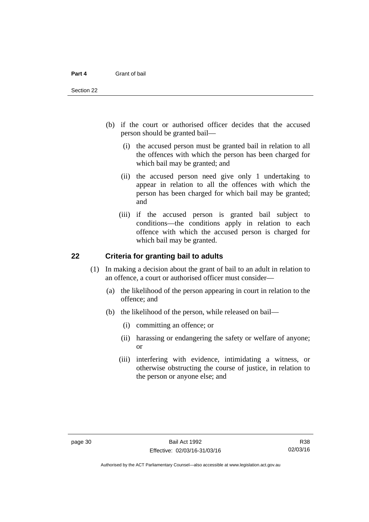- (b) if the court or authorised officer decides that the accused person should be granted bail—
	- (i) the accused person must be granted bail in relation to all the offences with which the person has been charged for which bail may be granted; and
	- (ii) the accused person need give only 1 undertaking to appear in relation to all the offences with which the person has been charged for which bail may be granted; and
	- (iii) if the accused person is granted bail subject to conditions—the conditions apply in relation to each offence with which the accused person is charged for which bail may be granted.

#### **22 Criteria for granting bail to adults**

- (1) In making a decision about the grant of bail to an adult in relation to an offence, a court or authorised officer must consider—
	- (a) the likelihood of the person appearing in court in relation to the offence; and
	- (b) the likelihood of the person, while released on bail—
		- (i) committing an offence; or
		- (ii) harassing or endangering the safety or welfare of anyone; or
		- (iii) interfering with evidence, intimidating a witness, or otherwise obstructing the course of justice, in relation to the person or anyone else; and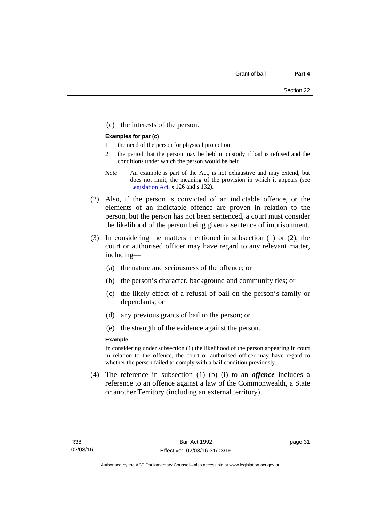(c) the interests of the person.

#### **Examples for par (c)**

- 1 the need of the person for physical protection
- 2 the period that the person may be held in custody if bail is refused and the conditions under which the person would be held
- *Note* An example is part of the Act, is not exhaustive and may extend, but does not limit, the meaning of the provision in which it appears (see [Legislation Act,](http://www.legislation.act.gov.au/a/2001-14) s 126 and s 132).
- (2) Also, if the person is convicted of an indictable offence, or the elements of an indictable offence are proven in relation to the person, but the person has not been sentenced, a court must consider the likelihood of the person being given a sentence of imprisonment.
- (3) In considering the matters mentioned in subsection (1) or (2), the court or authorised officer may have regard to any relevant matter, including—
	- (a) the nature and seriousness of the offence; or
	- (b) the person's character, background and community ties; or
	- (c) the likely effect of a refusal of bail on the person's family or dependants; or
	- (d) any previous grants of bail to the person; or
	- (e) the strength of the evidence against the person.

#### **Example**

In considering under subsection (1) the likelihood of the person appearing in court in relation to the offence, the court or authorised officer may have regard to whether the person failed to comply with a bail condition previously.

 (4) The reference in subsection (1) (b) (i) to an *offence* includes a reference to an offence against a law of the Commonwealth, a State or another Territory (including an external territory).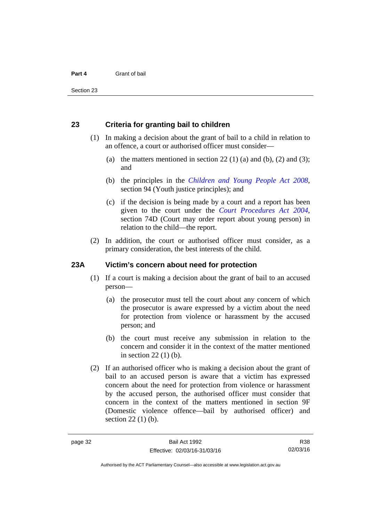#### **23 Criteria for granting bail to children**

- (1) In making a decision about the grant of bail to a child in relation to an offence, a court or authorised officer must consider—
	- (a) the matters mentioned in section 22 (1) (a) and (b), (2) and (3); and
	- (b) the principles in the *[Children and Young People Act 2008](http://www.legislation.act.gov.au/a/2008-19)*, section 94 (Youth justice principles); and
	- (c) if the decision is being made by a court and a report has been given to the court under the *[Court Procedures Act 2004](http://www.legislation.act.gov.au/a/2004-59)*, section 74D (Court may order report about young person) in relation to the child—the report.
- (2) In addition, the court or authorised officer must consider, as a primary consideration, the best interests of the child.

#### **23A Victim's concern about need for protection**

- (1) If a court is making a decision about the grant of bail to an accused person—
	- (a) the prosecutor must tell the court about any concern of which the prosecutor is aware expressed by a victim about the need for protection from violence or harassment by the accused person; and
	- (b) the court must receive any submission in relation to the concern and consider it in the context of the matter mentioned in section 22 (1) (b).
- (2) If an authorised officer who is making a decision about the grant of bail to an accused person is aware that a victim has expressed concern about the need for protection from violence or harassment by the accused person, the authorised officer must consider that concern in the context of the matters mentioned in section 9F (Domestic violence offence—bail by authorised officer) and section 22 (1) (b).

R38 02/03/16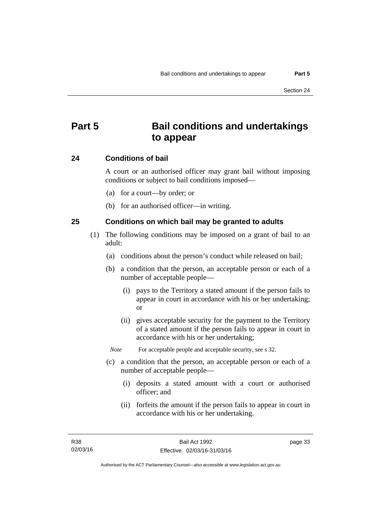# **Part 5 Bail conditions and undertakings to appear**

#### **24 Conditions of bail**

A court or an authorised officer may grant bail without imposing conditions or subject to bail conditions imposed—

- (a) for a court—by order; or
- (b) for an authorised officer—in writing.

#### **25 Conditions on which bail may be granted to adults**

- (1) The following conditions may be imposed on a grant of bail to an adult:
	- (a) conditions about the person's conduct while released on bail;
	- (b) a condition that the person, an acceptable person or each of a number of acceptable people—
		- (i) pays to the Territory a stated amount if the person fails to appear in court in accordance with his or her undertaking; or
		- (ii) gives acceptable security for the payment to the Territory of a stated amount if the person fails to appear in court in accordance with his or her undertaking;

*Note* For acceptable people and acceptable security, see s 32.

- (c) a condition that the person, an acceptable person or each of a number of acceptable people—
	- (i) deposits a stated amount with a court or authorised officer; and
	- (ii) forfeits the amount if the person fails to appear in court in accordance with his or her undertaking.

page 33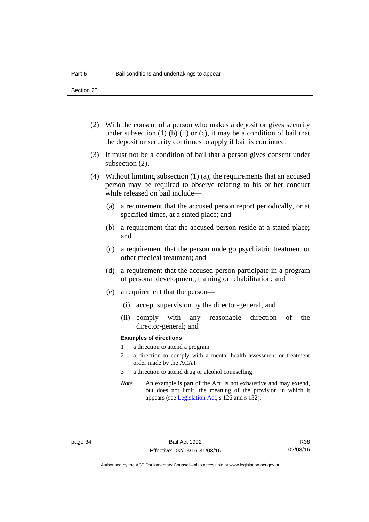Section 25

- (2) With the consent of a person who makes a deposit or gives security under subsection  $(1)$  (b)  $(ii)$  or  $(c)$ , it may be a condition of bail that the deposit or security continues to apply if bail is continued.
- (3) It must not be a condition of bail that a person gives consent under subsection (2).
- (4) Without limiting subsection (1) (a), the requirements that an accused person may be required to observe relating to his or her conduct while released on bail include—
	- (a) a requirement that the accused person report periodically, or at specified times, at a stated place; and
	- (b) a requirement that the accused person reside at a stated place; and
	- (c) a requirement that the person undergo psychiatric treatment or other medical treatment; and
	- (d) a requirement that the accused person participate in a program of personal development, training or rehabilitation; and
	- (e) a requirement that the person—
		- (i) accept supervision by the director-general; and
		- (ii) comply with any reasonable direction of the director-general; and

#### **Examples of directions**

- 1 a direction to attend a program
- 2 a direction to comply with a mental health assessment or treatment order made by the ACAT
- 3 a direction to attend drug or alcohol counselling
- *Note* An example is part of the Act, is not exhaustive and may extend, but does not limit, the meaning of the provision in which it appears (see [Legislation Act,](http://www.legislation.act.gov.au/a/2001-14) s 126 and s 132).

R38 02/03/16

Authorised by the ACT Parliamentary Counsel—also accessible at www.legislation.act.gov.au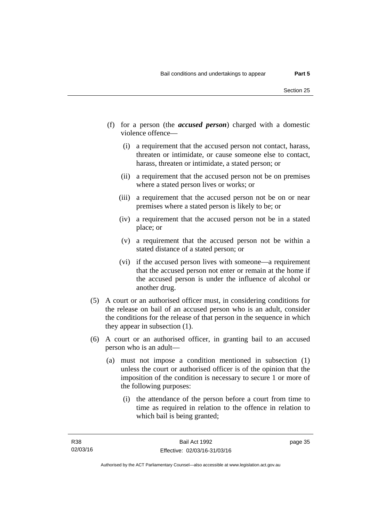- (f) for a person (the *accused person*) charged with a domestic violence offence—
	- (i) a requirement that the accused person not contact, harass, threaten or intimidate, or cause someone else to contact, harass, threaten or intimidate, a stated person; or
	- (ii) a requirement that the accused person not be on premises where a stated person lives or works; or
	- (iii) a requirement that the accused person not be on or near premises where a stated person is likely to be; or
	- (iv) a requirement that the accused person not be in a stated place; or
	- (v) a requirement that the accused person not be within a stated distance of a stated person; or
	- (vi) if the accused person lives with someone—a requirement that the accused person not enter or remain at the home if the accused person is under the influence of alcohol or another drug.
- (5) A court or an authorised officer must, in considering conditions for the release on bail of an accused person who is an adult, consider the conditions for the release of that person in the sequence in which they appear in subsection (1).
- (6) A court or an authorised officer, in granting bail to an accused person who is an adult—
	- (a) must not impose a condition mentioned in subsection (1) unless the court or authorised officer is of the opinion that the imposition of the condition is necessary to secure 1 or more of the following purposes:
		- (i) the attendance of the person before a court from time to time as required in relation to the offence in relation to which bail is being granted;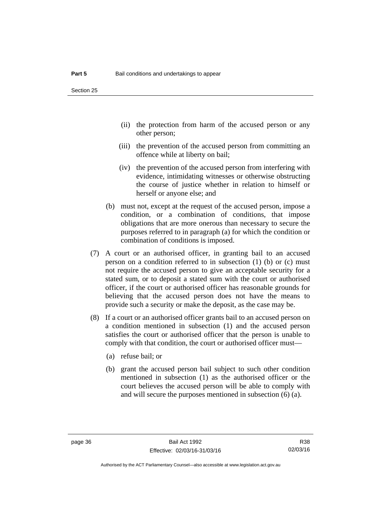- (ii) the protection from harm of the accused person or any other person;
- (iii) the prevention of the accused person from committing an offence while at liberty on bail;
- (iv) the prevention of the accused person from interfering with evidence, intimidating witnesses or otherwise obstructing the course of justice whether in relation to himself or herself or anyone else; and
- (b) must not, except at the request of the accused person, impose a condition, or a combination of conditions, that impose obligations that are more onerous than necessary to secure the purposes referred to in paragraph (a) for which the condition or combination of conditions is imposed.
- (7) A court or an authorised officer, in granting bail to an accused person on a condition referred to in subsection (1) (b) or (c) must not require the accused person to give an acceptable security for a stated sum, or to deposit a stated sum with the court or authorised officer, if the court or authorised officer has reasonable grounds for believing that the accused person does not have the means to provide such a security or make the deposit, as the case may be.
- (8) If a court or an authorised officer grants bail to an accused person on a condition mentioned in subsection (1) and the accused person satisfies the court or authorised officer that the person is unable to comply with that condition, the court or authorised officer must—
	- (a) refuse bail; or
	- (b) grant the accused person bail subject to such other condition mentioned in subsection (1) as the authorised officer or the court believes the accused person will be able to comply with and will secure the purposes mentioned in subsection (6) (a).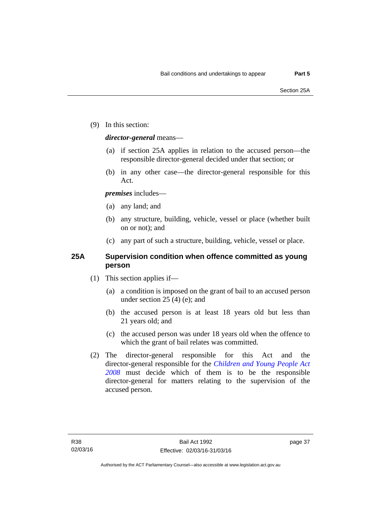(9) In this section:

#### *director-general* means—

- (a) if section 25A applies in relation to the accused person—the responsible director-general decided under that section; or
- (b) in any other case—the director-general responsible for this Act.

#### *premises* includes—

- (a) any land; and
- (b) any structure, building, vehicle, vessel or place (whether built on or not); and
- (c) any part of such a structure, building, vehicle, vessel or place.

#### **25A Supervision condition when offence committed as young person**

- (1) This section applies if—
	- (a) a condition is imposed on the grant of bail to an accused person under section 25 (4) (e); and
	- (b) the accused person is at least 18 years old but less than 21 years old; and
	- (c) the accused person was under 18 years old when the offence to which the grant of bail relates was committed.
- (2) The director-general responsible for this Act and the director-general responsible for the *[Children and Young People Act](http://www.legislation.act.gov.au/a/2008-19)  [2008](http://www.legislation.act.gov.au/a/2008-19)* must decide which of them is to be the responsible director-general for matters relating to the supervision of the accused person.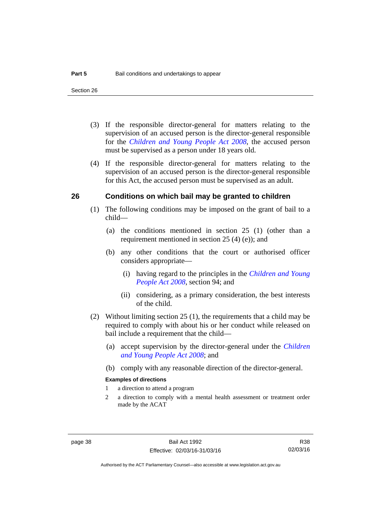- (3) If the responsible director-general for matters relating to the supervision of an accused person is the director-general responsible for the *[Children and Young People Act 2008](http://www.legislation.act.gov.au/a/2008-19)*, the accused person must be supervised as a person under 18 years old.
- (4) If the responsible director-general for matters relating to the supervision of an accused person is the director-general responsible for this Act, the accused person must be supervised as an adult.

#### **26 Conditions on which bail may be granted to children**

- (1) The following conditions may be imposed on the grant of bail to a child—
	- (a) the conditions mentioned in section 25 (1) (other than a requirement mentioned in section 25 (4) (e)); and
	- (b) any other conditions that the court or authorised officer considers appropriate—
		- (i) having regard to the principles in the *[Children and Young](http://www.legislation.act.gov.au/a/2008-19)  [People Act 2008](http://www.legislation.act.gov.au/a/2008-19)*, section 94; and
		- (ii) considering, as a primary consideration, the best interests of the child.
- (2) Without limiting section 25 (1), the requirements that a child may be required to comply with about his or her conduct while released on bail include a requirement that the child—
	- (a) accept supervision by the director-general under the *[Children](http://www.legislation.act.gov.au/a/2008-19)  [and Young People Act 2008](http://www.legislation.act.gov.au/a/2008-19)*; and
	- (b) comply with any reasonable direction of the director-general.

#### **Examples of directions**

- 1 a direction to attend a program
- 2 a direction to comply with a mental health assessment or treatment order made by the ACAT

R38 02/03/16

Authorised by the ACT Parliamentary Counsel—also accessible at www.legislation.act.gov.au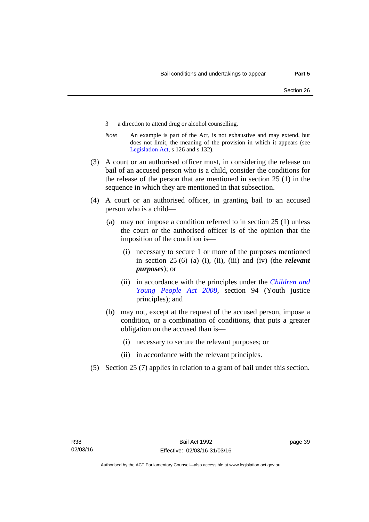- 3 a direction to attend drug or alcohol counselling.
- *Note* An example is part of the Act, is not exhaustive and may extend, but does not limit, the meaning of the provision in which it appears (see [Legislation Act,](http://www.legislation.act.gov.au/a/2001-14) s 126 and s 132).
- (3) A court or an authorised officer must, in considering the release on bail of an accused person who is a child, consider the conditions for the release of the person that are mentioned in section 25 (1) in the sequence in which they are mentioned in that subsection.
- (4) A court or an authorised officer, in granting bail to an accused person who is a child—
	- (a) may not impose a condition referred to in section 25 (1) unless the court or the authorised officer is of the opinion that the imposition of the condition is—
		- (i) necessary to secure 1 or more of the purposes mentioned in section 25 (6) (a) (i), (ii), (iii) and (iv) (the *relevant purposes*); or
		- (ii) in accordance with the principles under the *[Children and](http://www.legislation.act.gov.au/a/2008-19)  [Young People Act 2008](http://www.legislation.act.gov.au/a/2008-19)*, section 94 (Youth justice principles); and
	- (b) may not, except at the request of the accused person, impose a condition, or a combination of conditions, that puts a greater obligation on the accused than is—
		- (i) necessary to secure the relevant purposes; or
		- (ii) in accordance with the relevant principles.
- (5) Section 25 (7) applies in relation to a grant of bail under this section.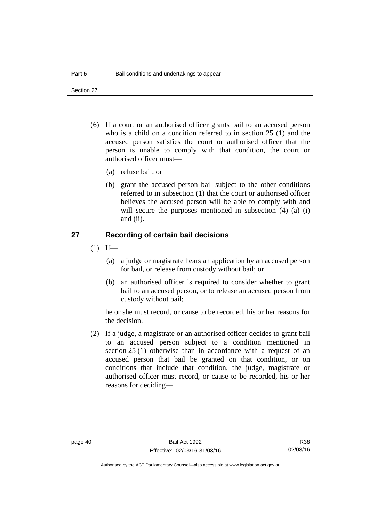Section 27

- (6) If a court or an authorised officer grants bail to an accused person who is a child on a condition referred to in section 25 (1) and the accused person satisfies the court or authorised officer that the person is unable to comply with that condition, the court or authorised officer must—
	- (a) refuse bail; or
	- (b) grant the accused person bail subject to the other conditions referred to in subsection (1) that the court or authorised officer believes the accused person will be able to comply with and will secure the purposes mentioned in subsection (4) (a) (i) and (ii).

#### **27 Recording of certain bail decisions**

- $(1)$  If—
	- (a) a judge or magistrate hears an application by an accused person for bail, or release from custody without bail; or
	- (b) an authorised officer is required to consider whether to grant bail to an accused person, or to release an accused person from custody without bail;

he or she must record, or cause to be recorded, his or her reasons for the decision.

 (2) If a judge, a magistrate or an authorised officer decides to grant bail to an accused person subject to a condition mentioned in section 25 (1) otherwise than in accordance with a request of an accused person that bail be granted on that condition, or on conditions that include that condition, the judge, magistrate or authorised officer must record, or cause to be recorded, his or her reasons for deciding—

R38 02/03/16

Authorised by the ACT Parliamentary Counsel—also accessible at www.legislation.act.gov.au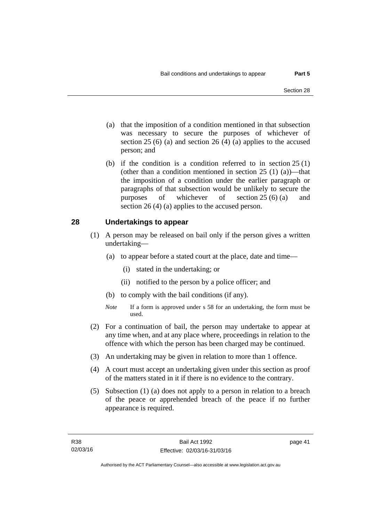- (a) that the imposition of a condition mentioned in that subsection was necessary to secure the purposes of whichever of section  $25(6)$  (a) and section  $26(4)$  (a) applies to the accused person; and
- (b) if the condition is a condition referred to in section 25 (1) (other than a condition mentioned in section  $25(1)(a)$ —that the imposition of a condition under the earlier paragraph or paragraphs of that subsection would be unlikely to secure the purposes of whichever of section 25 (6) (a) and section 26 (4) (a) applies to the accused person.

#### **28 Undertakings to appear**

- (1) A person may be released on bail only if the person gives a written undertaking—
	- (a) to appear before a stated court at the place, date and time—
		- (i) stated in the undertaking; or
		- (ii) notified to the person by a police officer; and
	- (b) to comply with the bail conditions (if any).
	- *Note* If a form is approved under s 58 for an undertaking, the form must be used.
- (2) For a continuation of bail, the person may undertake to appear at any time when, and at any place where, proceedings in relation to the offence with which the person has been charged may be continued.
- (3) An undertaking may be given in relation to more than 1 offence.
- (4) A court must accept an undertaking given under this section as proof of the matters stated in it if there is no evidence to the contrary.
- (5) Subsection (1) (a) does not apply to a person in relation to a breach of the peace or apprehended breach of the peace if no further appearance is required.

page 41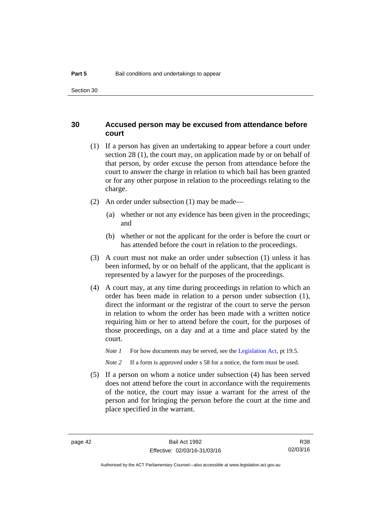#### **30 Accused person may be excused from attendance before court**

- (1) If a person has given an undertaking to appear before a court under section 28 (1), the court may, on application made by or on behalf of that person, by order excuse the person from attendance before the court to answer the charge in relation to which bail has been granted or for any other purpose in relation to the proceedings relating to the charge.
- (2) An order under subsection (1) may be made—
	- (a) whether or not any evidence has been given in the proceedings; and
	- (b) whether or not the applicant for the order is before the court or has attended before the court in relation to the proceedings.
- (3) A court must not make an order under subsection (1) unless it has been informed, by or on behalf of the applicant, that the applicant is represented by a lawyer for the purposes of the proceedings.
- (4) A court may, at any time during proceedings in relation to which an order has been made in relation to a person under subsection (1), direct the informant or the registrar of the court to serve the person in relation to whom the order has been made with a written notice requiring him or her to attend before the court, for the purposes of those proceedings, on a day and at a time and place stated by the court.
	- *Note 1* For how documents may be served, see the [Legislation Act,](http://www.legislation.act.gov.au/a/2001-14) pt 19.5.

*Note* 2 If a form is approved under s 58 for a notice, the form must be used.

 (5) If a person on whom a notice under subsection (4) has been served does not attend before the court in accordance with the requirements of the notice, the court may issue a warrant for the arrest of the person and for bringing the person before the court at the time and place specified in the warrant.

R38 02/03/16

Authorised by the ACT Parliamentary Counsel—also accessible at www.legislation.act.gov.au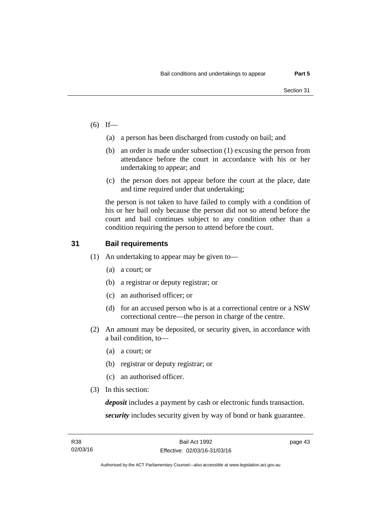- $(6)$  If—
	- (a) a person has been discharged from custody on bail; and
	- (b) an order is made under subsection (1) excusing the person from attendance before the court in accordance with his or her undertaking to appear; and
	- (c) the person does not appear before the court at the place, date and time required under that undertaking;

the person is not taken to have failed to comply with a condition of his or her bail only because the person did not so attend before the court and bail continues subject to any condition other than a condition requiring the person to attend before the court.

#### **31 Bail requirements**

- (1) An undertaking to appear may be given to—
	- (a) a court; or
	- (b) a registrar or deputy registrar; or
	- (c) an authorised officer; or
	- (d) for an accused person who is at a correctional centre or a NSW correctional centre—the person in charge of the centre.
- (2) An amount may be deposited, or security given, in accordance with a bail condition, to—
	- (a) a court; or
	- (b) registrar or deputy registrar; or
	- (c) an authorised officer.
- (3) In this section:

*deposit* includes a payment by cash or electronic funds transaction. *security* includes security given by way of bond or bank guarantee.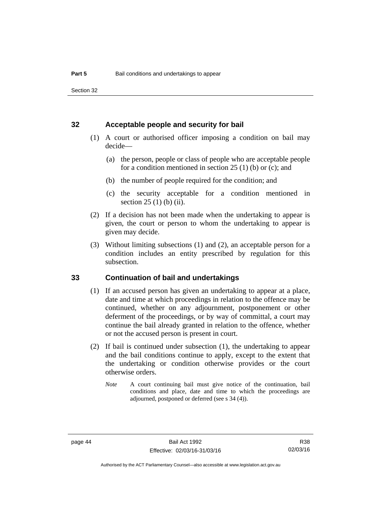Section 32

#### **32 Acceptable people and security for bail**

- (1) A court or authorised officer imposing a condition on bail may decide—
	- (a) the person, people or class of people who are acceptable people for a condition mentioned in section  $25(1)$  (b) or (c); and
	- (b) the number of people required for the condition; and
	- (c) the security acceptable for a condition mentioned in section 25 (1) (b) (ii).
- (2) If a decision has not been made when the undertaking to appear is given, the court or person to whom the undertaking to appear is given may decide.
- (3) Without limiting subsections (1) and (2), an acceptable person for a condition includes an entity prescribed by regulation for this subsection.

#### **33 Continuation of bail and undertakings**

- (1) If an accused person has given an undertaking to appear at a place, date and time at which proceedings in relation to the offence may be continued, whether on any adjournment, postponement or other deferment of the proceedings, or by way of committal, a court may continue the bail already granted in relation to the offence, whether or not the accused person is present in court.
- (2) If bail is continued under subsection (1), the undertaking to appear and the bail conditions continue to apply, except to the extent that the undertaking or condition otherwise provides or the court otherwise orders.
	- *Note* A court continuing bail must give notice of the continuation, bail conditions and place, date and time to which the proceedings are adjourned, postponed or deferred (see s 34 (4)).

R38 02/03/16

Authorised by the ACT Parliamentary Counsel—also accessible at www.legislation.act.gov.au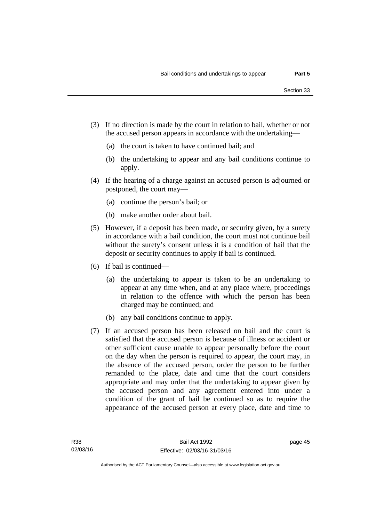- (3) If no direction is made by the court in relation to bail, whether or not the accused person appears in accordance with the undertaking—
	- (a) the court is taken to have continued bail; and
	- (b) the undertaking to appear and any bail conditions continue to apply.
- (4) If the hearing of a charge against an accused person is adjourned or postponed, the court may—
	- (a) continue the person's bail; or
	- (b) make another order about bail.
- (5) However, if a deposit has been made, or security given, by a surety in accordance with a bail condition, the court must not continue bail without the surety's consent unless it is a condition of bail that the deposit or security continues to apply if bail is continued.
- (6) If bail is continued—
	- (a) the undertaking to appear is taken to be an undertaking to appear at any time when, and at any place where, proceedings in relation to the offence with which the person has been charged may be continued; and
	- (b) any bail conditions continue to apply.
- (7) If an accused person has been released on bail and the court is satisfied that the accused person is because of illness or accident or other sufficient cause unable to appear personally before the court on the day when the person is required to appear, the court may, in the absence of the accused person, order the person to be further remanded to the place, date and time that the court considers appropriate and may order that the undertaking to appear given by the accused person and any agreement entered into under a condition of the grant of bail be continued so as to require the appearance of the accused person at every place, date and time to

page 45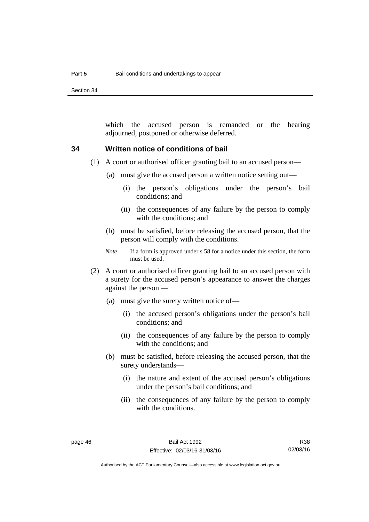Section 34

which the accused person is remanded or the hearing adjourned, postponed or otherwise deferred.

#### **34 Written notice of conditions of bail**

- (1) A court or authorised officer granting bail to an accused person—
	- (a) must give the accused person a written notice setting out—
		- (i) the person's obligations under the person's bail conditions; and
		- (ii) the consequences of any failure by the person to comply with the conditions; and
	- (b) must be satisfied, before releasing the accused person, that the person will comply with the conditions.
	- *Note* If a form is approved under s 58 for a notice under this section, the form must be used.
- (2) A court or authorised officer granting bail to an accused person with a surety for the accused person's appearance to answer the charges against the person —
	- (a) must give the surety written notice of—
		- (i) the accused person's obligations under the person's bail conditions; and
		- (ii) the consequences of any failure by the person to comply with the conditions; and
	- (b) must be satisfied, before releasing the accused person, that the surety understands—
		- (i) the nature and extent of the accused person's obligations under the person's bail conditions; and
		- (ii) the consequences of any failure by the person to comply with the conditions.

Authorised by the ACT Parliamentary Counsel—also accessible at www.legislation.act.gov.au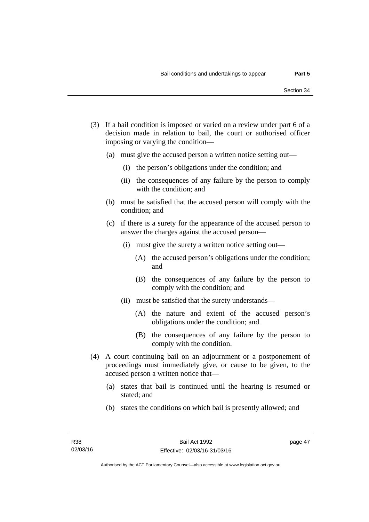- (3) If a bail condition is imposed or varied on a review under part 6 of a decision made in relation to bail, the court or authorised officer imposing or varying the condition—
	- (a) must give the accused person a written notice setting out—
		- (i) the person's obligations under the condition; and
		- (ii) the consequences of any failure by the person to comply with the condition; and
	- (b) must be satisfied that the accused person will comply with the condition; and
	- (c) if there is a surety for the appearance of the accused person to answer the charges against the accused person—
		- (i) must give the surety a written notice setting out—
			- (A) the accused person's obligations under the condition; and
			- (B) the consequences of any failure by the person to comply with the condition; and
		- (ii) must be satisfied that the surety understands—
			- (A) the nature and extent of the accused person's obligations under the condition; and
			- (B) the consequences of any failure by the person to comply with the condition.
- (4) A court continuing bail on an adjournment or a postponement of proceedings must immediately give, or cause to be given, to the accused person a written notice that—
	- (a) states that bail is continued until the hearing is resumed or stated; and
	- (b) states the conditions on which bail is presently allowed; and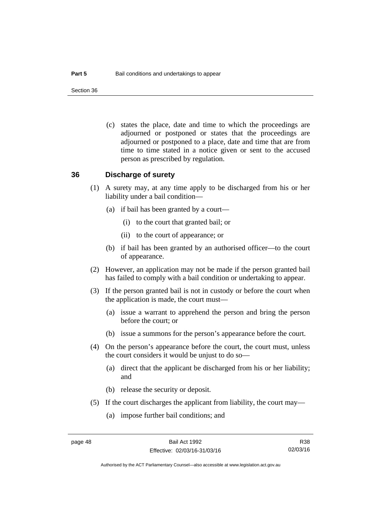Section 36

 (c) states the place, date and time to which the proceedings are adjourned or postponed or states that the proceedings are adjourned or postponed to a place, date and time that are from time to time stated in a notice given or sent to the accused person as prescribed by regulation.

#### **36 Discharge of surety**

- (1) A surety may, at any time apply to be discharged from his or her liability under a bail condition—
	- (a) if bail has been granted by a court—
		- (i) to the court that granted bail; or
		- (ii) to the court of appearance; or
	- (b) if bail has been granted by an authorised officer—to the court of appearance.
- (2) However, an application may not be made if the person granted bail has failed to comply with a bail condition or undertaking to appear.
- (3) If the person granted bail is not in custody or before the court when the application is made, the court must—
	- (a) issue a warrant to apprehend the person and bring the person before the court; or
	- (b) issue a summons for the person's appearance before the court.
- (4) On the person's appearance before the court, the court must, unless the court considers it would be unjust to do so—
	- (a) direct that the applicant be discharged from his or her liability; and
	- (b) release the security or deposit.
- (5) If the court discharges the applicant from liability, the court may—
	- (a) impose further bail conditions; and

R38 02/03/16

Authorised by the ACT Parliamentary Counsel—also accessible at www.legislation.act.gov.au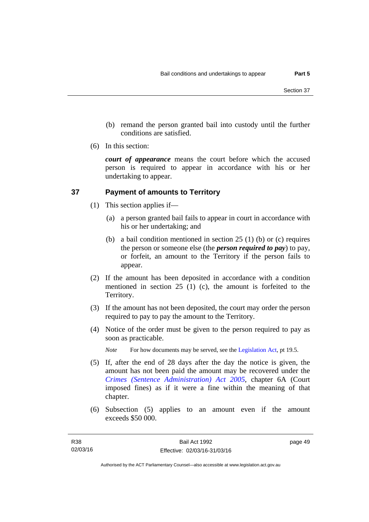- (b) remand the person granted bail into custody until the further conditions are satisfied.
- (6) In this section:

*court of appearance* means the court before which the accused person is required to appear in accordance with his or her undertaking to appear.

### **37 Payment of amounts to Territory**

- (1) This section applies if—
	- (a) a person granted bail fails to appear in court in accordance with his or her undertaking; and
	- (b) a bail condition mentioned in section 25 (1) (b) or (c) requires the person or someone else (the *person required to pay*) to pay, or forfeit, an amount to the Territory if the person fails to appear.
- (2) If the amount has been deposited in accordance with a condition mentioned in section 25 (1) (c), the amount is forfeited to the Territory.
- (3) If the amount has not been deposited, the court may order the person required to pay to pay the amount to the Territory.
- (4) Notice of the order must be given to the person required to pay as soon as practicable.

*Note* For how documents may be served, see the [Legislation Act,](http://www.legislation.act.gov.au/a/2001-14) pt 19.5.

- (5) If, after the end of 28 days after the day the notice is given, the amount has not been paid the amount may be recovered under the *[Crimes \(Sentence Administration\) Act 2005](http://www.legislation.act.gov.au/a/2005-59)*, chapter 6A (Court imposed fines) as if it were a fine within the meaning of that chapter.
- (6) Subsection (5) applies to an amount even if the amount exceeds \$50 000.

page 49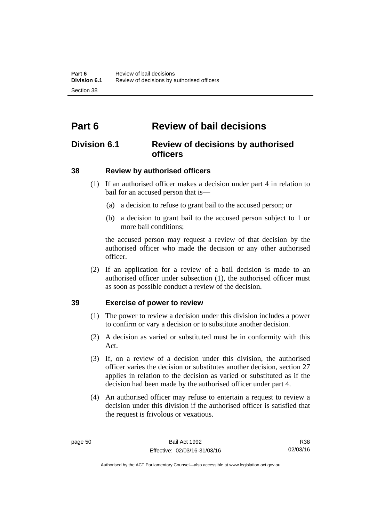# **Part 6 Review of bail decisions**

## **Division 6.1 Review of decisions by authorised officers**

### **38 Review by authorised officers**

- (1) If an authorised officer makes a decision under part 4 in relation to bail for an accused person that is—
	- (a) a decision to refuse to grant bail to the accused person; or
	- (b) a decision to grant bail to the accused person subject to 1 or more bail conditions;

the accused person may request a review of that decision by the authorised officer who made the decision or any other authorised officer.

 (2) If an application for a review of a bail decision is made to an authorised officer under subsection (1), the authorised officer must as soon as possible conduct a review of the decision.

#### **39 Exercise of power to review**

- (1) The power to review a decision under this division includes a power to confirm or vary a decision or to substitute another decision.
- (2) A decision as varied or substituted must be in conformity with this Act.
- (3) If, on a review of a decision under this division, the authorised officer varies the decision or substitutes another decision, section 27 applies in relation to the decision as varied or substituted as if the decision had been made by the authorised officer under part 4.
- (4) An authorised officer may refuse to entertain a request to review a decision under this division if the authorised officer is satisfied that the request is frivolous or vexatious.

R38 02/03/16

Authorised by the ACT Parliamentary Counsel—also accessible at www.legislation.act.gov.au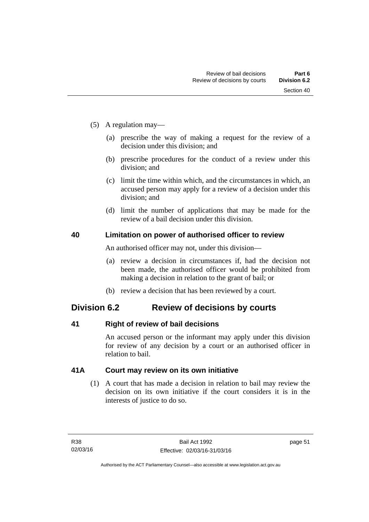- (5) A regulation may—
	- (a) prescribe the way of making a request for the review of a decision under this division; and
	- (b) prescribe procedures for the conduct of a review under this division; and
	- (c) limit the time within which, and the circumstances in which, an accused person may apply for a review of a decision under this division; and
	- (d) limit the number of applications that may be made for the review of a bail decision under this division.

#### **40 Limitation on power of authorised officer to review**

An authorised officer may not, under this division—

- (a) review a decision in circumstances if, had the decision not been made, the authorised officer would be prohibited from making a decision in relation to the grant of bail; or
- (b) review a decision that has been reviewed by a court.

## **Division 6.2 Review of decisions by courts**

#### **41 Right of review of bail decisions**

An accused person or the informant may apply under this division for review of any decision by a court or an authorised officer in relation to bail.

#### **41A Court may review on its own initiative**

 (1) A court that has made a decision in relation to bail may review the decision on its own initiative if the court considers it is in the interests of justice to do so.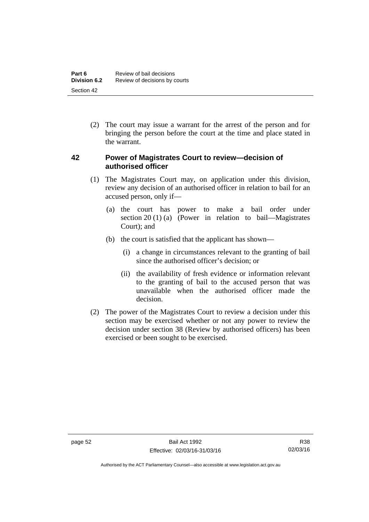(2) The court may issue a warrant for the arrest of the person and for bringing the person before the court at the time and place stated in the warrant.

#### **42 Power of Magistrates Court to review—decision of authorised officer**

- (1) The Magistrates Court may, on application under this division, review any decision of an authorised officer in relation to bail for an accused person, only if—
	- (a) the court has power to make a bail order under section 20 (1) (a) (Power in relation to bail—Magistrates Court); and
	- (b) the court is satisfied that the applicant has shown—
		- (i) a change in circumstances relevant to the granting of bail since the authorised officer's decision; or
		- (ii) the availability of fresh evidence or information relevant to the granting of bail to the accused person that was unavailable when the authorised officer made the decision.
- (2) The power of the Magistrates Court to review a decision under this section may be exercised whether or not any power to review the decision under section 38 (Review by authorised officers) has been exercised or been sought to be exercised.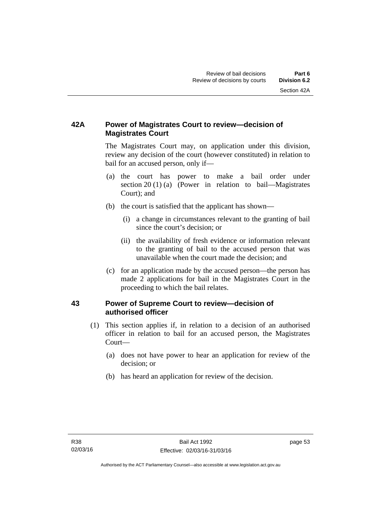## **42A Power of Magistrates Court to review—decision of Magistrates Court**

 The Magistrates Court may, on application under this division, review any decision of the court (however constituted) in relation to bail for an accused person, only if—

- (a) the court has power to make a bail order under section 20 (1) (a) (Power in relation to bail—Magistrates Court); and
- (b) the court is satisfied that the applicant has shown—
	- (i) a change in circumstances relevant to the granting of bail since the court's decision; or
	- (ii) the availability of fresh evidence or information relevant to the granting of bail to the accused person that was unavailable when the court made the decision; and
- (c) for an application made by the accused person—the person has made 2 applications for bail in the Magistrates Court in the proceeding to which the bail relates.

#### **43 Power of Supreme Court to review—decision of authorised officer**

- (1) This section applies if, in relation to a decision of an authorised officer in relation to bail for an accused person, the Magistrates Court—
	- (a) does not have power to hear an application for review of the decision; or
	- (b) has heard an application for review of the decision.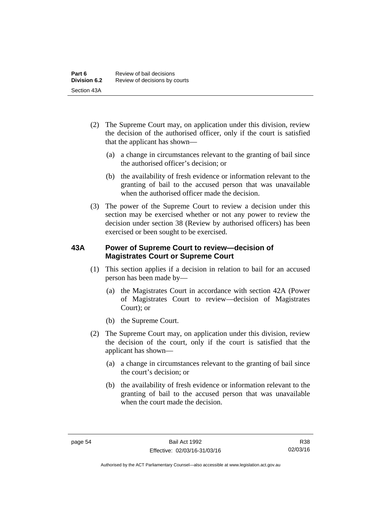- (2) The Supreme Court may, on application under this division, review the decision of the authorised officer, only if the court is satisfied that the applicant has shown—
	- (a) a change in circumstances relevant to the granting of bail since the authorised officer's decision; or
	- (b) the availability of fresh evidence or information relevant to the granting of bail to the accused person that was unavailable when the authorised officer made the decision.
- (3) The power of the Supreme Court to review a decision under this section may be exercised whether or not any power to review the decision under section 38 (Review by authorised officers) has been exercised or been sought to be exercised.

#### **43A Power of Supreme Court to review—decision of Magistrates Court or Supreme Court**

- (1) This section applies if a decision in relation to bail for an accused person has been made by—
	- (a) the Magistrates Court in accordance with section 42A (Power of Magistrates Court to review—decision of Magistrates Court); or
	- (b) the Supreme Court.
- (2) The Supreme Court may, on application under this division, review the decision of the court, only if the court is satisfied that the applicant has shown—
	- (a) a change in circumstances relevant to the granting of bail since the court's decision; or
	- (b) the availability of fresh evidence or information relevant to the granting of bail to the accused person that was unavailable when the court made the decision.

Authorised by the ACT Parliamentary Counsel—also accessible at www.legislation.act.gov.au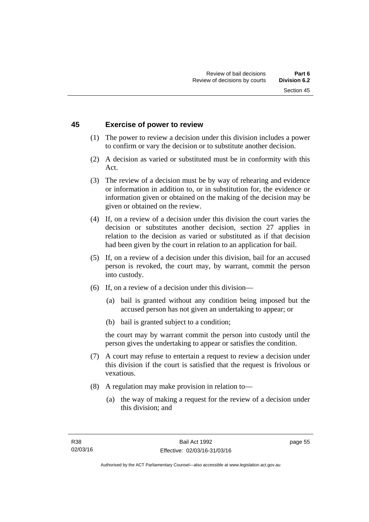#### **45 Exercise of power to review**

- (1) The power to review a decision under this division includes a power to confirm or vary the decision or to substitute another decision.
- (2) A decision as varied or substituted must be in conformity with this Act.
- (3) The review of a decision must be by way of rehearing and evidence or information in addition to, or in substitution for, the evidence or information given or obtained on the making of the decision may be given or obtained on the review.
- (4) If, on a review of a decision under this division the court varies the decision or substitutes another decision, section 27 applies in relation to the decision as varied or substituted as if that decision had been given by the court in relation to an application for bail.
- (5) If, on a review of a decision under this division, bail for an accused person is revoked, the court may, by warrant, commit the person into custody.
- (6) If, on a review of a decision under this division—
	- (a) bail is granted without any condition being imposed but the accused person has not given an undertaking to appear; or
	- (b) bail is granted subject to a condition;

the court may by warrant commit the person into custody until the person gives the undertaking to appear or satisfies the condition.

- (7) A court may refuse to entertain a request to review a decision under this division if the court is satisfied that the request is frivolous or vexatious.
- (8) A regulation may make provision in relation to—
	- (a) the way of making a request for the review of a decision under this division; and

page 55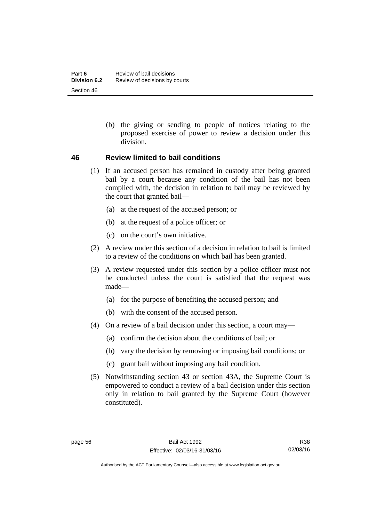(b) the giving or sending to people of notices relating to the proposed exercise of power to review a decision under this division.

#### **46 Review limited to bail conditions**

- (1) If an accused person has remained in custody after being granted bail by a court because any condition of the bail has not been complied with, the decision in relation to bail may be reviewed by the court that granted bail—
	- (a) at the request of the accused person; or
	- (b) at the request of a police officer; or
	- (c) on the court's own initiative.
- (2) A review under this section of a decision in relation to bail is limited to a review of the conditions on which bail has been granted.
- (3) A review requested under this section by a police officer must not be conducted unless the court is satisfied that the request was made—
	- (a) for the purpose of benefiting the accused person; and
	- (b) with the consent of the accused person.
- (4) On a review of a bail decision under this section, a court may—
	- (a) confirm the decision about the conditions of bail; or
	- (b) vary the decision by removing or imposing bail conditions; or
	- (c) grant bail without imposing any bail condition.
- (5) Notwithstanding section 43 or section 43A, the Supreme Court is empowered to conduct a review of a bail decision under this section only in relation to bail granted by the Supreme Court (however constituted).

Authorised by the ACT Parliamentary Counsel—also accessible at www.legislation.act.gov.au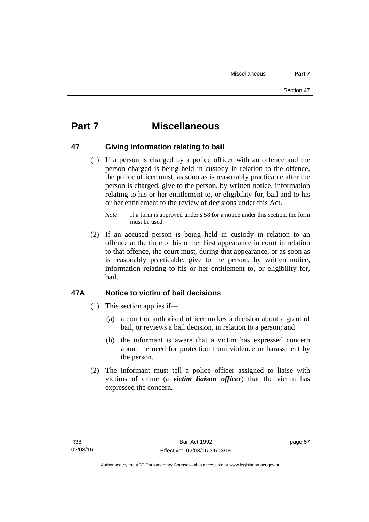# **Part 7 Miscellaneous**

#### **47 Giving information relating to bail**

 (1) If a person is charged by a police officer with an offence and the person charged is being held in custody in relation to the offence, the police officer must, as soon as is reasonably practicable after the person is charged, give to the person, by written notice, information relating to his or her entitlement to, or eligibility for, bail and to his or her entitlement to the review of decisions under this Act.

 (2) If an accused person is being held in custody in relation to an offence at the time of his or her first appearance in court in relation to that offence, the court must, during that appearance, or as soon as is reasonably practicable, give to the person, by written notice, information relating to his or her entitlement to, or eligibility for, bail.

#### **47A Notice to victim of bail decisions**

- (1) This section applies if—
	- (a) a court or authorised officer makes a decision about a grant of bail, or reviews a bail decision, in relation to a person; and
	- (b) the informant is aware that a victim has expressed concern about the need for protection from violence or harassment by the person.
- (2) The informant must tell a police officer assigned to liaise with victims of crime (a *victim liaison officer*) that the victim has expressed the concern.

*Note* If a form is approved under s 58 for a notice under this section, the form must be used.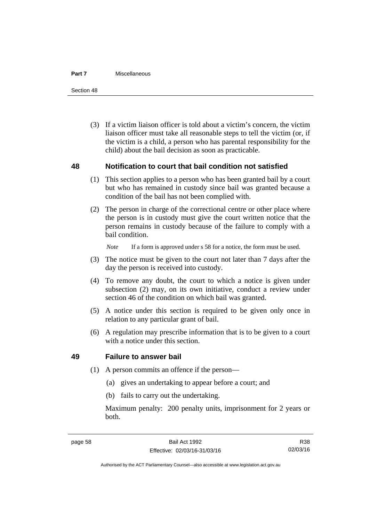#### **Part 7** Miscellaneous

Section 48

 (3) If a victim liaison officer is told about a victim's concern, the victim liaison officer must take all reasonable steps to tell the victim (or, if the victim is a child, a person who has parental responsibility for the child) about the bail decision as soon as practicable.

#### **48 Notification to court that bail condition not satisfied**

- (1) This section applies to a person who has been granted bail by a court but who has remained in custody since bail was granted because a condition of the bail has not been complied with.
- (2) The person in charge of the correctional centre or other place where the person is in custody must give the court written notice that the person remains in custody because of the failure to comply with a bail condition.

*Note* If a form is approved under s 58 for a notice, the form must be used.

- (3) The notice must be given to the court not later than 7 days after the day the person is received into custody.
- (4) To remove any doubt, the court to which a notice is given under subsection (2) may, on its own initiative, conduct a review under section 46 of the condition on which bail was granted.
- (5) A notice under this section is required to be given only once in relation to any particular grant of bail.
- (6) A regulation may prescribe information that is to be given to a court with a notice under this section.

#### **49 Failure to answer bail**

- (1) A person commits an offence if the person—
	- (a) gives an undertaking to appear before a court; and
	- (b) fails to carry out the undertaking.

Maximum penalty: 200 penalty units, imprisonment for 2 years or both.

Authorised by the ACT Parliamentary Counsel—also accessible at www.legislation.act.gov.au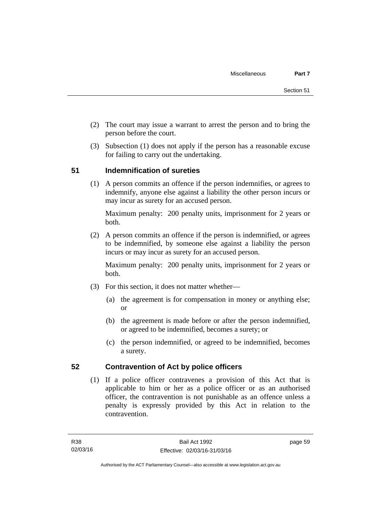- (2) The court may issue a warrant to arrest the person and to bring the person before the court.
- (3) Subsection (1) does not apply if the person has a reasonable excuse for failing to carry out the undertaking.

### **51 Indemnification of sureties**

(1) A person commits an offence if the person indemnifies, or agrees to indemnify, anyone else against a liability the other person incurs or may incur as surety for an accused person.

Maximum penalty: 200 penalty units, imprisonment for 2 years or both.

 (2) A person commits an offence if the person is indemnified, or agrees to be indemnified, by someone else against a liability the person incurs or may incur as surety for an accused person.

Maximum penalty: 200 penalty units, imprisonment for 2 years or both.

- (3) For this section, it does not matter whether—
	- (a) the agreement is for compensation in money or anything else; or
	- (b) the agreement is made before or after the person indemnified, or agreed to be indemnified, becomes a surety; or
	- (c) the person indemnified, or agreed to be indemnified, becomes a surety.

#### **52 Contravention of Act by police officers**

(1) If a police officer contravenes a provision of this Act that is applicable to him or her as a police officer or as an authorised officer, the contravention is not punishable as an offence unless a penalty is expressly provided by this Act in relation to the contravention.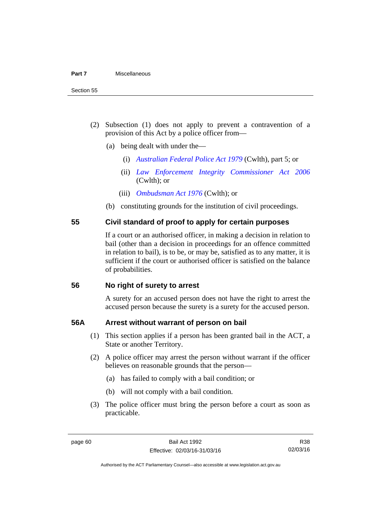- (2) Subsection (1) does not apply to prevent a contravention of a provision of this Act by a police officer from—
	- (a) being dealt with under the—
		- (i) *[Australian Federal Police Act 1979](http://www.comlaw.gov.au/Series/C2004A02068)* (Cwlth), part 5; or
		- (ii) *[Law Enforcement Integrity Commissioner Act 2006](http://www.comlaw.gov.au/Series/C2006A00085)* (Cwlth); or
		- (iii) *[Ombudsman Act 1976](http://www.comlaw.gov.au/Series/C2004A01611)* (Cwlth); or
	- (b) constituting grounds for the institution of civil proceedings.

#### **55 Civil standard of proof to apply for certain purposes**

If a court or an authorised officer, in making a decision in relation to bail (other than a decision in proceedings for an offence committed in relation to bail), is to be, or may be, satisfied as to any matter, it is sufficient if the court or authorised officer is satisfied on the balance of probabilities.

#### **56 No right of surety to arrest**

A surety for an accused person does not have the right to arrest the accused person because the surety is a surety for the accused person.

#### **56A Arrest without warrant of person on bail**

- (1) This section applies if a person has been granted bail in the ACT, a State or another Territory.
- (2) A police officer may arrest the person without warrant if the officer believes on reasonable grounds that the person—
	- (a) has failed to comply with a bail condition; or
	- (b) will not comply with a bail condition.
- (3) The police officer must bring the person before a court as soon as practicable.

Authorised by the ACT Parliamentary Counsel—also accessible at www.legislation.act.gov.au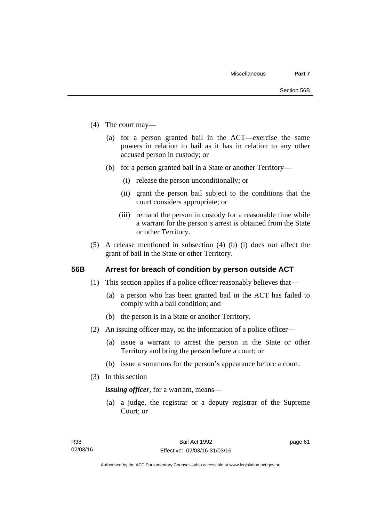- (4) The court may—
	- (a) for a person granted bail in the ACT—exercise the same powers in relation to bail as it has in relation to any other accused person in custody; or
	- (b) for a person granted bail in a State or another Territory—
		- (i) release the person unconditionally; or
		- (ii) grant the person bail subject to the conditions that the court considers appropriate; or
		- (iii) remand the person in custody for a reasonable time while a warrant for the person's arrest is obtained from the State or other Territory.
- (5) A release mentioned in subsection (4) (b) (i) does not affect the grant of bail in the State or other Territory.

#### **56B Arrest for breach of condition by person outside ACT**

- (1) This section applies if a police officer reasonably believes that—
	- (a) a person who has been granted bail in the ACT has failed to comply with a bail condition; and
	- (b) the person is in a State or another Territory.
- (2) An issuing officer may, on the information of a police officer—
	- (a) issue a warrant to arrest the person in the State or other Territory and bring the person before a court; or
	- (b) issue a summons for the person's appearance before a court.
- (3) In this section

*issuing officer*, for a warrant, means—

 (a) a judge, the registrar or a deputy registrar of the Supreme Court; or

page 61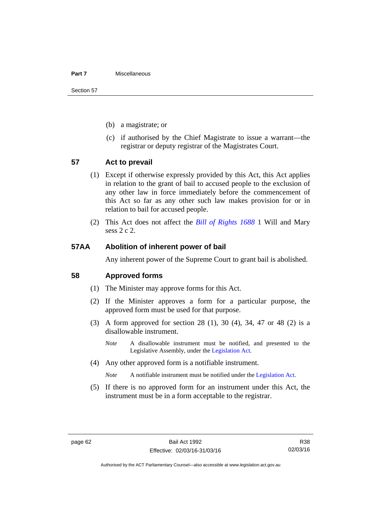#### **Part 7** Miscellaneous

Section 57

- (b) a magistrate; or
- (c) if authorised by the Chief Magistrate to issue a warrant—the registrar or deputy registrar of the Magistrates Court.

#### **57 Act to prevail**

- (1) Except if otherwise expressly provided by this Act, this Act applies in relation to the grant of bail to accused people to the exclusion of any other law in force immediately before the commencement of this Act so far as any other such law makes provision for or in relation to bail for accused people.
- (2) This Act does not affect the *[Bill of Rights 1688](http://www.legislation.act.gov.au/a/db_1792/default.asp)* 1 Will and Mary sess 2 c 2.

#### **57AA Abolition of inherent power of bail**

Any inherent power of the Supreme Court to grant bail is abolished.

#### **58 Approved forms**

- (1) The Minister may approve forms for this Act.
- (2) If the Minister approves a form for a particular purpose, the approved form must be used for that purpose.
- (3) A form approved for section 28 (1), 30 (4), 34, 47 or 48 (2) is a disallowable instrument.
	- *Note* A disallowable instrument must be notified, and presented to the Legislative Assembly, under the [Legislation Act.](http://www.legislation.act.gov.au/a/2001-14)
- (4) Any other approved form is a notifiable instrument.

*Note* A notifiable instrument must be notified under the [Legislation Act](http://www.legislation.act.gov.au/a/2001-14).

 (5) If there is no approved form for an instrument under this Act, the instrument must be in a form acceptable to the registrar.

R38 02/03/16

Authorised by the ACT Parliamentary Counsel—also accessible at www.legislation.act.gov.au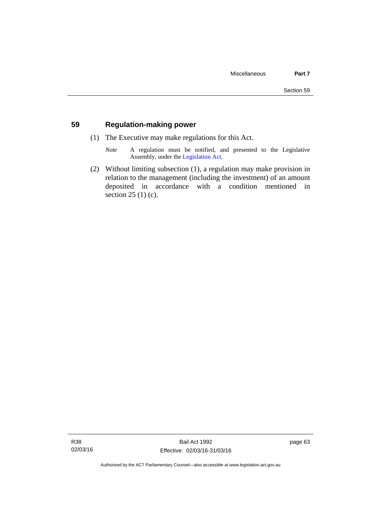#### **59 Regulation-making power**

- (1) The Executive may make regulations for this Act.
	- *Note* A regulation must be notified, and presented to the Legislative Assembly, under the [Legislation Act](http://www.legislation.act.gov.au/a/2001-14).
- (2) Without limiting subsection (1), a regulation may make provision in relation to the management (including the investment) of an amount deposited in accordance with a condition mentioned in section 25 (1) (c).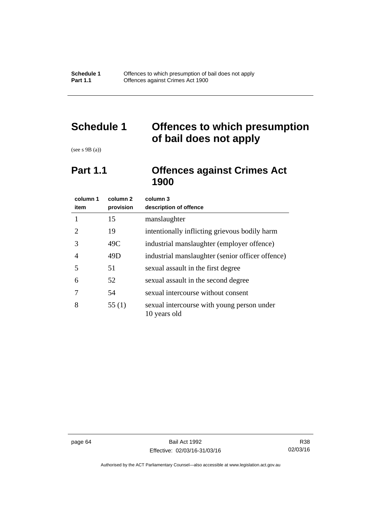# **Schedule 1 Offences to which presumption of bail does not apply**

(see s 9B (a))

## **Part 1.1 Offences against Crimes Act 1900**

| column 1<br>item      | column 2<br>provision | column 3<br>description of offence                         |
|-----------------------|-----------------------|------------------------------------------------------------|
|                       | 15                    | manslaughter                                               |
| $\mathcal{D}_{\cdot}$ | 19                    | intentionally inflicting grievous bodily harm              |
| 3                     | 49C                   | industrial manslaughter (employer offence)                 |
| 4                     | 49D                   | industrial manslaughter (senior officer offence)           |
| 5                     | 51                    | sexual assault in the first degree                         |
| 6                     | 52                    | sexual assault in the second degree                        |
|                       | 54                    | sexual intercourse without consent                         |
| 8                     | 55(1)                 | sexual intercourse with young person under<br>10 years old |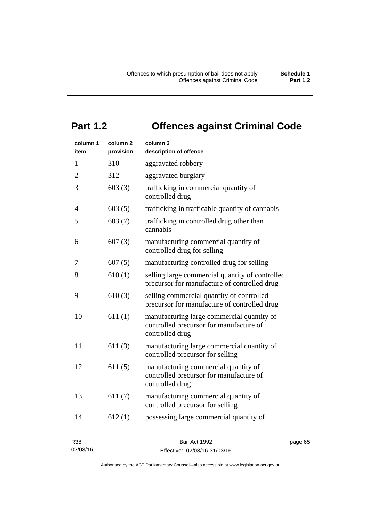# **Part 1.2 Offences against Criminal Code**

| column 1<br>item | column <sub>2</sub><br>provision | column 3<br>description of offence                                                                       |
|------------------|----------------------------------|----------------------------------------------------------------------------------------------------------|
| 1                | 310                              | aggravated robbery                                                                                       |
| $\overline{2}$   | 312                              | aggravated burglary                                                                                      |
| 3                | 603(3)                           | trafficking in commercial quantity of<br>controlled drug                                                 |
| 4                | 603(5)                           | trafficking in trafficable quantity of cannabis                                                          |
| 5                | 603(7)                           | trafficking in controlled drug other than<br>cannabis                                                    |
| 6                | 607(3)                           | manufacturing commercial quantity of<br>controlled drug for selling                                      |
| 7                | 607(5)                           | manufacturing controlled drug for selling                                                                |
| 8                | 610(1)                           | selling large commercial quantity of controlled<br>precursor for manufacture of controlled drug          |
| 9                | 610(3)                           | selling commercial quantity of controlled<br>precursor for manufacture of controlled drug                |
| 10               | 611(1)                           | manufacturing large commercial quantity of<br>controlled precursor for manufacture of<br>controlled drug |
| 11               | 611(3)                           | manufacturing large commercial quantity of<br>controlled precursor for selling                           |
| 12               | 611(5)                           | manufacturing commercial quantity of<br>controlled precursor for manufacture of<br>controlled drug       |
| 13               | 611(7)                           | manufacturing commercial quantity of<br>controlled precursor for selling                                 |
| 14               | 612(1)                           | possessing large commercial quantity of                                                                  |
|                  |                                  |                                                                                                          |

R38 02/03/16

Bail Act 1992 Effective: 02/03/16-31/03/16 page 65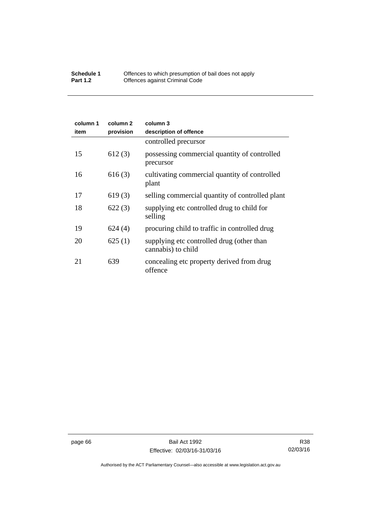#### **Schedule 1** Offences to which presumption of bail does not apply **Part 1.2 C** Offences against Criminal Code

| column 1<br>item | column 2<br>provision | column 3<br>description of offence                              |
|------------------|-----------------------|-----------------------------------------------------------------|
|                  |                       | controlled precursor                                            |
| 15               | 612(3)                | possessing commercial quantity of controlled<br>precursor       |
| 16               | 616(3)                | cultivating commercial quantity of controlled<br>plant          |
| 17               | 619(3)                | selling commercial quantity of controlled plant                 |
| 18               | 622(3)                | supplying etc controlled drug to child for<br>selling           |
| 19               | 624(4)                | procuring child to traffic in controlled drug                   |
| 20               | 625(1)                | supplying etc controlled drug (other than<br>cannabis) to child |
| 21               | 639                   | concealing etc property derived from drug<br>offence            |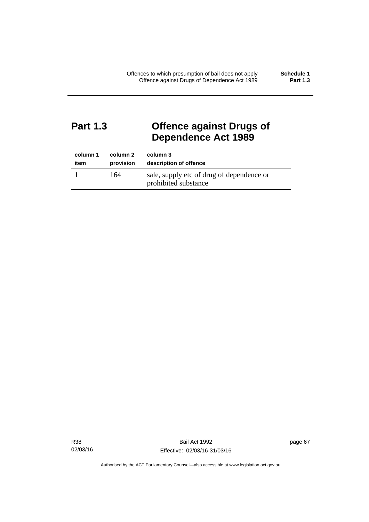# **Part 1.3 Offence against Drugs of Dependence Act 1989**

| column 1 | column 2  | column 3                                                          |
|----------|-----------|-------------------------------------------------------------------|
| item     | provision | description of offence                                            |
|          | 164       | sale, supply etc of drug of dependence or<br>prohibited substance |

R38 02/03/16 page 67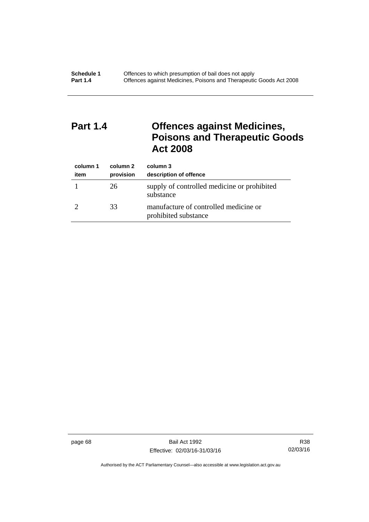# **Part 1.4 Offences against Medicines, Poisons and Therapeutic Goods Act 2008**

| column 1<br>item | column 2<br>provision | column 3<br>description of offence                            |
|------------------|-----------------------|---------------------------------------------------------------|
|                  | 26                    | supply of controlled medicine or prohibited<br>substance      |
|                  | 33                    | manufacture of controlled medicine or<br>prohibited substance |

page 68 Bail Act 1992 Effective: 02/03/16-31/03/16

R38 02/03/16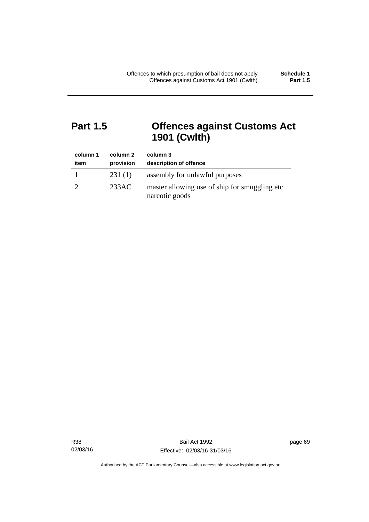# **Part 1.5 Offences against Customs Act 1901 (Cwlth)**

| column 1<br>item | column 2<br>provision | column 3<br>description of offence                               |
|------------------|-----------------------|------------------------------------------------------------------|
|                  | 231(1)                | assembly for unlawful purposes                                   |
|                  | 233AC                 | master allowing use of ship for smuggling etc.<br>narcotic goods |

R38 02/03/16 page 69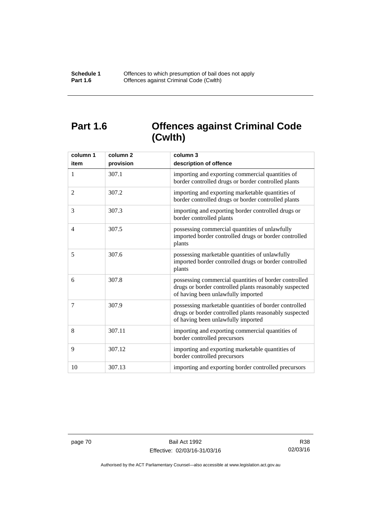# **Part 1.6 Offences against Criminal Code (Cwlth)**

| column 1<br>item | column <sub>2</sub><br>provision | column 3<br>description of offence                                                                                                                    |
|------------------|----------------------------------|-------------------------------------------------------------------------------------------------------------------------------------------------------|
| 1                | 307.1                            | importing and exporting commercial quantities of<br>border controlled drugs or border controlled plants                                               |
| 2                | 307.2                            | importing and exporting marketable quantities of<br>border controlled drugs or border controlled plants                                               |
| 3                | 307.3                            | importing and exporting border controlled drugs or<br>border controlled plants                                                                        |
| $\overline{4}$   | 307.5                            | possessing commercial quantities of unlawfully<br>imported border controlled drugs or border controlled<br>plants                                     |
| 5                | 307.6                            | possessing marketable quantities of unlawfully<br>imported border controlled drugs or border controlled<br>plants                                     |
| 6                | 307.8                            | possessing commercial quantities of border controlled<br>drugs or border controlled plants reasonably suspected<br>of having been unlawfully imported |
| 7                | 307.9                            | possessing marketable quantities of border controlled<br>drugs or border controlled plants reasonably suspected<br>of having been unlawfully imported |
| 8                | 307.11                           | importing and exporting commercial quantities of<br>border controlled precursors                                                                      |
| 9                | 307.12                           | importing and exporting marketable quantities of<br>border controlled precursors                                                                      |
| 10               | 307.13                           | importing and exporting border controlled precursors                                                                                                  |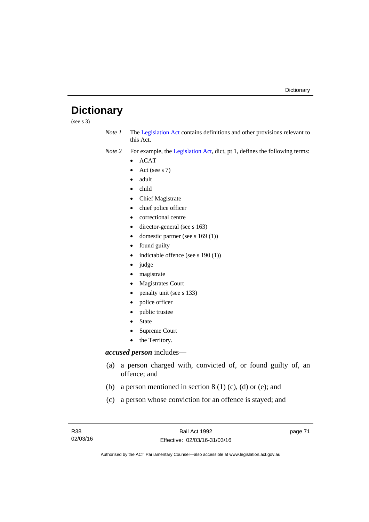# **Dictionary**

(see s 3)

*Note 1* The [Legislation Act](http://www.legislation.act.gov.au/a/2001-14) contains definitions and other provisions relevant to this Act.

*Note 2* For example, the [Legislation Act,](http://www.legislation.act.gov.au/a/2001-14) dict, pt 1, defines the following terms:

- $\bullet$  ACAT
- Act (see s 7)
- adult
- child
- Chief Magistrate
- chief police officer
- correctional centre
- director-general (see s 163)
- domestic partner (see s 169 (1))
- found guilty
- indictable offence (see s 190 (1))
- judge
- magistrate
- Magistrates Court
- penalty unit (see s 133)
- police officer
- public trustee
- State
- Supreme Court
- the Territory.

# *accused person* includes—

- (a) a person charged with, convicted of, or found guilty of, an offence; and
- (b) a person mentioned in section  $8(1)$  (c), (d) or (e); and
- (c) a person whose conviction for an offence is stayed; and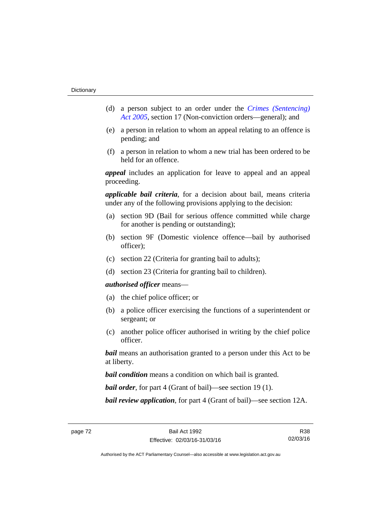- (d) a person subject to an order under the *[Crimes \(Sentencing\)](http://www.legislation.act.gov.au/a/2005-58)  [Act 2005](http://www.legislation.act.gov.au/a/2005-58)*, section 17 (Non-conviction orders—general); and
- (e) a person in relation to whom an appeal relating to an offence is pending; and
- (f) a person in relation to whom a new trial has been ordered to be held for an offence.

*appeal* includes an application for leave to appeal and an appeal proceeding.

*applicable bail criteria*, for a decision about bail, means criteria under any of the following provisions applying to the decision:

- (a) section 9D (Bail for serious offence committed while charge for another is pending or outstanding);
- (b) section 9F (Domestic violence offence—bail by authorised officer);
- (c) section 22 (Criteria for granting bail to adults);
- (d) section 23 (Criteria for granting bail to children).

### *authorised officer* means—

- (a) the chief police officer; or
- (b) a police officer exercising the functions of a superintendent or sergeant; or
- (c) another police officer authorised in writing by the chief police officer.

*bail* means an authorisation granted to a person under this Act to be at liberty.

*bail condition* means a condition on which bail is granted.

*bail order*, for part 4 (Grant of bail)—see section 19 (1).

*bail review application*, for part 4 (Grant of bail)—see section 12A.

R38 02/03/16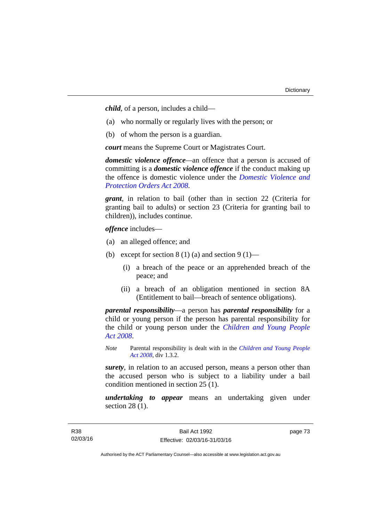*child*, of a person, includes a child—

- (a) who normally or regularly lives with the person; or
- (b) of whom the person is a guardian.

*court* means the Supreme Court or Magistrates Court.

*domestic violence offence—*an offence that a person is accused of committing is a *domestic violence offence* if the conduct making up the offence is domestic violence under the *[Domestic Violence and](http://www.legislation.act.gov.au/a/2008-46)  [Protection Orders Act 2008](http://www.legislation.act.gov.au/a/2008-46)*.

*grant*, in relation to bail (other than in section 22 (Criteria for granting bail to adults) or section 23 (Criteria for granting bail to children)), includes continue.

*offence* includes—

- (a) an alleged offence; and
- (b) except for section  $8(1)(a)$  and section  $9(1)$ 
	- (i) a breach of the peace or an apprehended breach of the peace; and
	- (ii) a breach of an obligation mentioned in section 8A (Entitlement to bail—breach of sentence obligations).

*parental responsibility*—a person has *parental responsibility* for a child or young person if the person has parental responsibility for the child or young person under the *[Children and Young People](http://www.legislation.act.gov.au/a/2008-19)  [Act 2008](http://www.legislation.act.gov.au/a/2008-19)*.

*Note* Parental responsibility is dealt with in the *[Children and Young People](http://www.legislation.act.gov.au/a/2008-19)  [Act 2008](http://www.legislation.act.gov.au/a/2008-19)*, div 1.3.2.

*surety*, in relation to an accused person, means a person other than the accused person who is subject to a liability under a bail condition mentioned in section 25 (1).

*undertaking to appear* means an undertaking given under section 28 (1).

page 73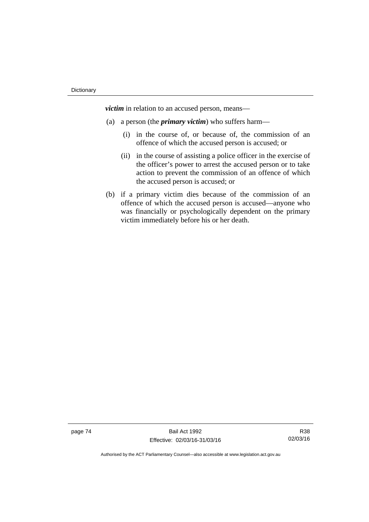*victim* in relation to an accused person, means—

- (a) a person (the *primary victim*) who suffers harm—
	- (i) in the course of, or because of, the commission of an offence of which the accused person is accused; or
	- (ii) in the course of assisting a police officer in the exercise of the officer's power to arrest the accused person or to take action to prevent the commission of an offence of which the accused person is accused; or
- (b) if a primary victim dies because of the commission of an offence of which the accused person is accused—anyone who was financially or psychologically dependent on the primary victim immediately before his or her death.

page 74 Bail Act 1992 Effective: 02/03/16-31/03/16

R38 02/03/16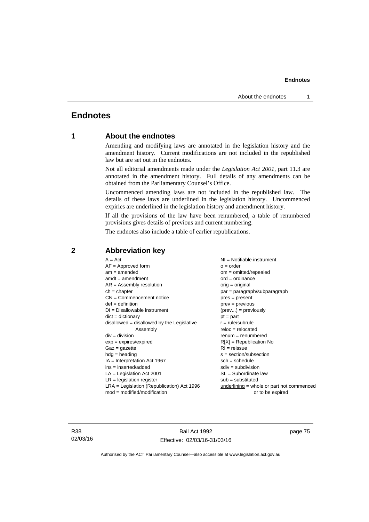# **Endnotes**

# **1 About the endnotes**

Amending and modifying laws are annotated in the legislation history and the amendment history. Current modifications are not included in the republished law but are set out in the endnotes.

Not all editorial amendments made under the *Legislation Act 2001*, part 11.3 are annotated in the amendment history. Full details of any amendments can be obtained from the Parliamentary Counsel's Office.

Uncommenced amending laws are not included in the republished law. The details of these laws are underlined in the legislation history. Uncommenced expiries are underlined in the legislation history and amendment history.

If all the provisions of the law have been renumbered, a table of renumbered provisions gives details of previous and current numbering.

The endnotes also include a table of earlier republications.

| $A = Act$                                    | $NI = Notifiable$ instrument                |
|----------------------------------------------|---------------------------------------------|
| $AF =$ Approved form                         | $o = order$                                 |
| $am = amended$                               | $om = omitted/repealed$                     |
| $amdt = amendment$                           | $ord = ordinance$                           |
| $AR = Assembly resolution$                   | $orig = original$                           |
| $ch = chapter$                               | par = paragraph/subparagraph                |
| $CN =$ Commencement notice                   | $pres = present$                            |
| $def = definition$                           | $prev = previous$                           |
| $DI = Disallowable instrument$               | $(\text{prev}) = \text{previously}$         |
| $dict = dictionary$                          | $pt = part$                                 |
| $disallowed = disallowed by the Legislative$ | $r = rule/subrule$                          |
| Assembly                                     | $reloc = relocated$                         |
| $div =$ division                             | $remum = renumbered$                        |
| $exp = expires/expired$                      | $R[X]$ = Republication No                   |
| $Gaz = gazette$                              | $RI = reissue$                              |
| $h dq =$ heading                             | $s = section/subsection$                    |
| $IA = Interpretation Act 1967$               | $sch = schedule$                            |
| ins = inserted/added                         | $sdiv = subdivision$                        |
| $LA =$ Legislation Act 2001                  | $SL = Subordinate$ law                      |
| $LR =$ legislation register                  | $sub =$ substituted                         |
| $LRA =$ Legislation (Republication) Act 1996 | $underlining = whole or part not commenced$ |
| $mod = modified/modification$                | or to be expired                            |
|                                              |                                             |

# **2 Abbreviation key**

R38 02/03/16

Bail Act 1992 Effective: 02/03/16-31/03/16 page 75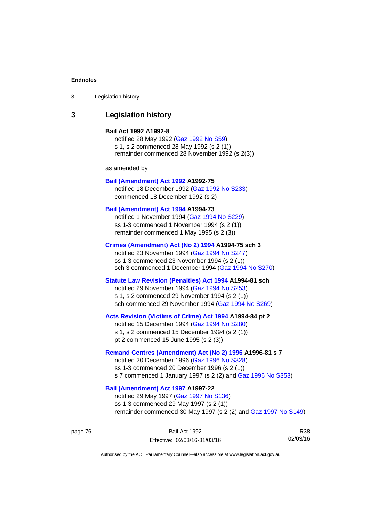| Legislation history<br>3 |  |
|--------------------------|--|
|--------------------------|--|

# **3 Legislation history**

#### **Bail Act 1992 A1992-8**

notified 28 May 1992 ([Gaz 1992 No S59](http://www.legislation.act.gov.au/gaz/1992-S59/default.asp)) s 1, s 2 commenced 28 May 1992 (s 2 (1)) remainder commenced 28 November 1992 (s 2(3))

as amended by

#### **[Bail \(Amendment\) Act 1992](http://www.legislation.act.gov.au/a/1992-75) A1992-75**

notified 18 December 1992 [\(Gaz 1992 No S233](http://www.legislation.act.gov.au/gaz/1992-S233/default.asp)) commenced 18 December 1992 (s 2)

#### **[Bail \(Amendment\) Act 1994](http://www.legislation.act.gov.au/a/1994-73) A1994-73**

notified 1 November 1994 ([Gaz 1994 No S229\)](http://www.legislation.act.gov.au/gaz/1994-S229/default.asp) ss 1-3 commenced 1 November 1994 (s 2 (1)) remainder commenced 1 May 1995 (s 2 (3))

#### **[Crimes \(Amendment\) Act \(No 2\) 1994](http://www.legislation.act.gov.au/a/1994-75) A1994-75 sch 3**

notified 23 November 1994 [\(Gaz 1994 No S247](http://www.legislation.act.gov.au/gaz/1994-S247/default.asp)) ss 1-3 commenced 23 November 1994 (s 2 (1)) sch 3 commenced 1 December 1994 ([Gaz 1994 No S270\)](http://www.legislation.act.gov.au/gaz/1994-S270/default.asp)

# **[Statute Law Revision \(Penalties\) Act 1994](http://www.legislation.act.gov.au/a/1994-81) A1994-81 sch**

notified 29 November 1994 [\(Gaz 1994 No S253](http://www.legislation.act.gov.au/gaz/1994-S253/default.asp)) s 1, s 2 commenced 29 November 1994 (s 2 (1)) sch commenced 29 November 1994 ([Gaz 1994 No S269\)](http://www.legislation.act.gov.au/gaz/1994-S269/default.asp)

#### **[Acts Revision \(Victims of Crime\) Act 1994](http://www.legislation.act.gov.au/a/1994-84) A1994-84 pt 2**

notified 15 December 1994 [\(Gaz 1994 No S280](http://www.legislation.act.gov.au/gaz/1994-S280/default.asp)) s 1, s 2 commenced 15 December 1994 (s 2 (1)) pt 2 commenced 15 June 1995 (s 2 (3))

#### **[Remand Centres \(Amendment\) Act \(No 2\) 1996](http://www.legislation.act.gov.au/a/1996-81) A1996-81 s 7**

notified 20 December 1996 [\(Gaz 1996 No S328](http://www.legislation.act.gov.au/gaz/1996-S328/default.asp)) ss 1-3 commenced 20 December 1996 (s 2 (1)) s 7 commenced 1 January 1997 (s 2 (2) and [Gaz 1996 No S353](http://www.legislation.act.gov.au/gaz/1996-S353/default.asp))

# **[Bail \(Amendment\) Act 1997](http://www.legislation.act.gov.au/a/1997-22) A1997-22**

notified 29 May 1997 ([Gaz 1997 No S136](http://www.legislation.act.gov.au/gaz/1997-S136/default.asp)) ss 1-3 commenced 29 May 1997 (s 2 (1)) remainder commenced 30 May 1997 (s 2 (2) and [Gaz 1997 No S149\)](http://www.legislation.act.gov.au/gaz/1997-S149/default.asp)

R38 02/03/16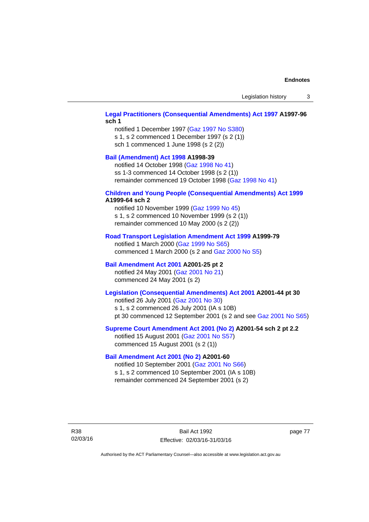# **[Legal Practitioners \(Consequential Amendments\) Act 1997](http://www.legislation.act.gov.au/a/1997-96) A1997-96 sch 1**

notified 1 December 1997 ([Gaz 1997 No S380\)](http://www.legislation.act.gov.au/gaz/1997-S380/default.asp) s 1, s 2 commenced 1 December 1997 (s 2 (1)) sch 1 commenced 1 June 1998 (s 2 (2))

# **[Bail \(Amendment\) Act 1998](http://www.legislation.act.gov.au/a/1998-39) A1998-39**

notified 14 October 1998 ([Gaz 1998 No 41](http://www.legislation.act.gov.au/gaz/1998-41/default.asp)) ss 1-3 commenced 14 October 1998 (s 2 (1)) remainder commenced 19 October 1998 ([Gaz 1998 No 41\)](http://www.legislation.act.gov.au/gaz/1998-41/default.asp)

#### **[Children and Young People \(Consequential Amendments\) Act 1999](http://www.legislation.act.gov.au/a/1999-64) A1999-64 sch 2**

notified 10 November 1999 [\(Gaz 1999 No 45](http://www.legislation.act.gov.au/gaz/1999-45/default.asp)) s 1, s 2 commenced 10 November 1999 (s 2 (1)) remainder commenced 10 May 2000 (s 2 (2))

#### **[Road Transport Legislation Amendment Act 1999](http://www.legislation.act.gov.au/a/1999-79) A1999-79**

notified 1 March 2000 [\(Gaz 1999 No S65\)](http://www.legislation.act.gov.au/gaz/1999-S65/default.asp) commenced 1 March 2000 (s 2 and [Gaz 2000 No S5](http://www.legislation.act.gov.au/gaz/2000-S5/default.asp))

## **[Bail Amendment Act 2001](http://www.legislation.act.gov.au/a/2001-25) A2001-25 pt 2**

notified 24 May 2001 ([Gaz 2001 No 21\)](http://www.legislation.act.gov.au/gaz/2001-21/default.asp) commenced 24 May 2001 (s 2)

# **[Legislation \(Consequential Amendments\) Act 2001](http://www.legislation.act.gov.au/a/2001-44) A2001-44 pt 30**

notified 26 July 2001 ([Gaz 2001 No 30\)](http://www.legislation.act.gov.au/gaz/2001-30/default.asp) s 1, s 2 commenced 26 July 2001 (IA s 10B) pt 30 commenced 12 September 2001 (s 2 and see [Gaz 2001 No S65](http://www.legislation.act.gov.au/gaz/2001-S65/default.asp))

#### **[Supreme Court Amendment Act 2001 \(No 2\)](http://www.legislation.act.gov.au/a/2001-54) A2001-54 sch 2 pt 2.2**

notified 15 August 2001 [\(Gaz 2001 No S57\)](http://www.legislation.act.gov.au/gaz/2001-S57/default.asp) commenced 15 August 2001 (s 2 (1))

#### **[Bail Amendment Act 2001 \(No 2\)](http://www.legislation.act.gov.au/a/2001-60) A2001-60**

notified 10 September 2001 [\(Gaz 2001 No S66\)](http://www.legislation.act.gov.au/gaz/2001-S66/default.asp) s 1, s 2 commenced 10 September 2001 (IA s 10B) remainder commenced 24 September 2001 (s 2)

R38 02/03/16

Bail Act 1992 Effective: 02/03/16-31/03/16 page 77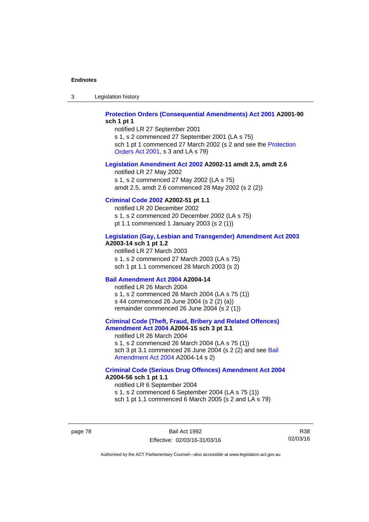3 Legislation history

### **[Protection Orders \(Consequential Amendments\) Act 2001](http://www.legislation.act.gov.au/a/2001-90) A2001-90 sch 1 pt 1**

notified LR 27 September 2001

s 1, s 2 commenced 27 September 2001 (LA s 75) sch 1 pt 1 commenced 27 March 2002 (s 2 and see the [Protection](http://www.legislation.act.gov.au/a/2001-89)  [Orders Act 2001,](http://www.legislation.act.gov.au/a/2001-89) s 3 and LA s 79)

### **[Legislation Amendment Act 2002](http://www.legislation.act.gov.au/a/2002-11) A2002-11 amdt 2.5, amdt 2.6**

notified LR 27 May 2002 s 1, s 2 commenced 27 May 2002 (LA s 75) amdt 2.5, amdt 2.6 commenced 28 May 2002 (s 2 (2))

# **[Criminal Code 2002](http://www.legislation.act.gov.au/a/2002-51) A2002-51 pt 1.1**

notified LR 20 December 2002 s 1, s 2 commenced 20 December 2002 (LA s 75) pt 1.1 commenced 1 January 2003 (s 2 (1))

#### **[Legislation \(Gay, Lesbian and Transgender\) Amendment Act 2003](http://www.legislation.act.gov.au/a/2003-14) A2003-14 sch 1 pt 1.2**

notified LR 27 March 2003 s 1, s 2 commenced 27 March 2003 (LA s 75) sch 1 pt 1.1 commenced 28 March 2003 (s 2)

#### **[Bail Amendment Act 2004](http://www.legislation.act.gov.au/a/2004-14) A2004-14**

notified LR 26 March 2004 s 1, s 2 commenced 26 March 2004 (LA s 75 (1)) s 44 commenced 26 June 2004 (s 2 (2) (a)) remainder commenced 26 June 2004 (s 2 (1))

# **[Criminal Code \(Theft, Fraud, Bribery and Related Offences\)](http://www.legislation.act.gov.au/a/2004-15)  [Amendment Act 2004](http://www.legislation.act.gov.au/a/2004-15) A2004-15 sch 3 pt 3.1**

notified LR 26 March 2004 s 1, s 2 commenced 26 March 2004 (LA s 75 (1)) sch 3 pt 3.1 commenced 26 June 2004 (s 2 (2) and see Bail [Amendment Act 2004](http://www.legislation.act.gov.au/a/2004-14) A2004-14 s 2)

#### **[Criminal Code \(Serious Drug Offences\) Amendment Act 2004](http://www.legislation.act.gov.au/a/2004-56) A2004-56 sch 1 pt 1.1**

notified LR 6 September 2004 s 1, s 2 commenced 6 September 2004 (LA s 75 (1)) sch 1 pt 1.1 commenced 6 March 2005 (s 2 and LA s 79)

page 78 Bail Act 1992 Effective: 02/03/16-31/03/16

R38 02/03/16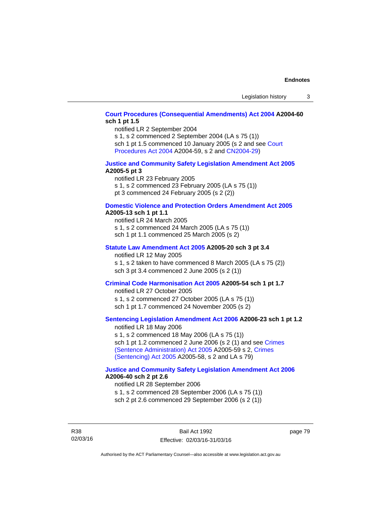# **[Court Procedures \(Consequential Amendments\) Act 2004](http://www.legislation.act.gov.au/a/2004-60) A2004-60 sch 1 pt 1.5**

notified LR 2 September 2004

s 1, s 2 commenced 2 September 2004 (LA s 75 (1)) sch 1 pt 1.5 commenced 10 January 2005 (s 2 and see [Court](http://www.legislation.act.gov.au/a/2004-59) 

[Procedures Act 2004](http://www.legislation.act.gov.au/a/2004-59) A2004-59, s 2 and [CN2004-29\)](http://www.legislation.act.gov.au/cn/2004-29/default.asp)

#### **[Justice and Community Safety Legislation Amendment Act 2005](http://www.legislation.act.gov.au/a/2005-5) A2005-5 pt 3**

notified LR 23 February 2005 s 1, s 2 commenced 23 February 2005 (LA s 75 (1)) pt 3 commenced 24 February 2005 (s 2 (2))

#### **[Domestic Violence and Protection Orders Amendment Act 2005](http://www.legislation.act.gov.au/a/2005-13) A2005-13 sch 1 pt 1.1**

notified LR 24 March 2005 s 1, s 2 commenced 24 March 2005 (LA s 75 (1)) sch 1 pt 1.1 commenced 25 March 2005 (s 2)

#### **[Statute Law Amendment Act 2005](http://www.legislation.act.gov.au/a/2005-20) A2005-20 sch 3 pt 3.4**

notified LR 12 May 2005 s 1, s 2 taken to have commenced 8 March 2005 (LA s 75 (2)) sch 3 pt 3.4 commenced 2 June 2005 (s 2 (1))

# **[Criminal Code Harmonisation Act 2005](http://www.legislation.act.gov.au/a/2005-54) A2005-54 sch 1 pt 1.7**

notified LR 27 October 2005 s 1, s 2 commenced 27 October 2005 (LA s 75 (1)) sch 1 pt 1.7 commenced 24 November 2005 (s 2)

# **[Sentencing Legislation Amendment Act 2006](http://www.legislation.act.gov.au/a/2006-23) A2006-23 sch 1 pt 1.2**

notified LR 18 May 2006 s 1, s 2 commenced 18 May 2006 (LA s 75 (1)) sch 1 pt 1.2 commenced 2 June 2006 (s 2 (1) and see [Crimes](http://www.legislation.act.gov.au/a/2005-59)  [\(Sentence Administration\) Act 2005](http://www.legislation.act.gov.au/a/2005-59) A2005-59 s 2, [Crimes](http://www.legislation.act.gov.au/a/2005-58)  [\(Sentencing\) Act 2005](http://www.legislation.act.gov.au/a/2005-58) A2005-58, s 2 and LA s 79)

#### **[Justice and Community Safety Legislation Amendment Act 2006](http://www.legislation.act.gov.au/a/2006-40) A2006-40 sch 2 pt 2.6**

notified LR 28 September 2006 s 1, s 2 commenced 28 September 2006 (LA s 75 (1)) sch 2 pt 2.6 commenced 29 September 2006 (s 2 (1))

R38 02/03/16 page 79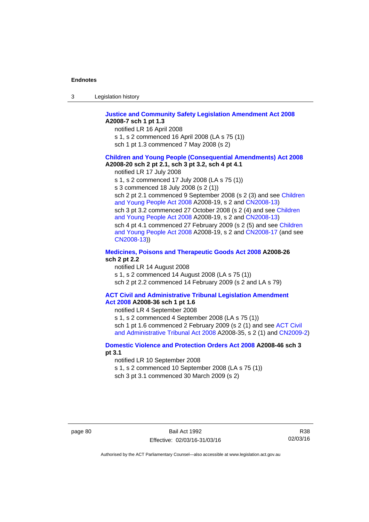| -3 | Legislation history |  |
|----|---------------------|--|
|----|---------------------|--|

#### **[Justice and Community Safety Legislation Amendment Act 2008](http://www.legislation.act.gov.au/a/2008-7) A2008-7 sch 1 pt 1.3**

notified LR 16 April 2008

- s 1, s 2 commenced 16 April 2008 (LA s 75 (1))
- sch 1 pt 1.3 commenced 7 May 2008 (s 2)

#### **[Children and Young People \(Consequential Amendments\) Act 2008](http://www.legislation.act.gov.au/a/2008-20) A2008-20 sch 2 pt 2.1, sch 3 pt 3.2, sch 4 pt 4.1**

notified LR 17 July 2008

s 1, s 2 commenced 17 July 2008 (LA s 75 (1))

s 3 commenced 18 July 2008 (s 2 (1))

sch 2 pt 2.1 commenced 9 September 2008 (s 2 (3) and see [Children](http://www.legislation.act.gov.au/a/2008-19)  [and Young People Act 2008](http://www.legislation.act.gov.au/a/2008-19) A2008-19, s 2 and [CN2008-13](http://www.legislation.act.gov.au/cn/2008-13/default.asp)) sch 3 pt 3.2 commenced 27 October 2008 (s 2 (4) and see [Children](http://www.legislation.act.gov.au/a/2008-19)  [and Young People Act 2008](http://www.legislation.act.gov.au/a/2008-19) A2008-19, s 2 and [CN2008-13](http://www.legislation.act.gov.au/cn/2008-13/default.asp)) sch 4 pt 4.1 commenced 27 February 2009 (s 2 (5) and see [Children](http://www.legislation.act.gov.au/a/2008-19)  [and Young People Act 2008](http://www.legislation.act.gov.au/a/2008-19) A2008-19, s 2 and [CN2008-17 \(](http://www.legislation.act.gov.au/cn/2008-17/default.asp)and see [CN2008-13](http://www.legislation.act.gov.au/cn/2008-13/default.asp)))

#### **[Medicines, Poisons and Therapeutic Goods Act 2008](http://www.legislation.act.gov.au/a/2008-26) A2008-26 sch 2 pt 2.2**

notified LR 14 August 2008 s 1, s 2 commenced 14 August 2008 (LA s 75 (1)) sch 2 pt 2.2 commenced 14 February 2009 (s 2 and LA s 79)

#### **[ACT Civil and Administrative Tribunal Legislation Amendment](http://www.legislation.act.gov.au/a/2008-36)  [Act 2008](http://www.legislation.act.gov.au/a/2008-36) A2008-36 sch 1 pt 1.6**

notified LR 4 September 2008

s 1, s 2 commenced 4 September 2008 (LA s 75 (1)) sch 1 pt 1.6 commenced 2 February 2009 (s 2 (1) and see ACT Civil [and Administrative Tribunal Act 2008](http://www.legislation.act.gov.au/a/2008-35) A2008-35, s 2 (1) and [CN2009-2](http://www.legislation.act.gov.au/cn/2009-2/default.asp))

### **[Domestic Violence and Protection Orders Act 2008](http://www.legislation.act.gov.au/a/2008-46) A2008-46 sch 3 pt 3.1**

notified LR 10 September 2008

s 1, s 2 commenced 10 September 2008 (LA s 75 (1))

sch 3 pt 3.1 commenced 30 March 2009 (s 2)

R38 02/03/16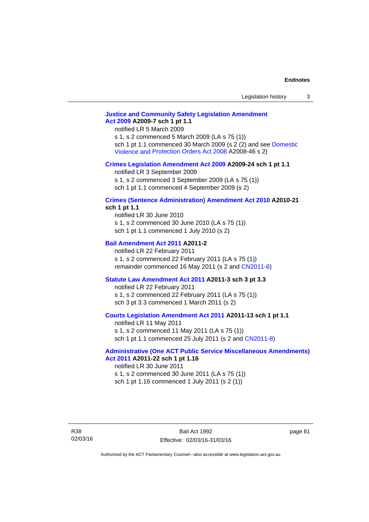# **[Justice and Community Safety Legislation Amendment](http://www.legislation.act.gov.au/a/2009-7)  [Act 2009](http://www.legislation.act.gov.au/a/2009-7) A2009-7 sch 1 pt 1.1**

notified LR 5 March 2009

s 1, s 2 commenced 5 March 2009 (LA s 75 (1)) sch 1 pt 1.1 commenced 30 March 2009 (s 2 (2) and see [Domestic](http://www.legislation.act.gov.au/a/2008-46)  [Violence and Protection Orders Act 2008](http://www.legislation.act.gov.au/a/2008-46) A2008-46 s 2)

#### **[Crimes Legislation Amendment Act 2009](http://www.legislation.act.gov.au/a/2009-24) A2009-24 sch 1 pt 1.1**

notified LR 3 September 2009 s 1, s 2 commenced 3 September 2009 (LA s 75 (1)) sch 1 pt 1.1 commenced 4 September 2009 (s 2)

# **[Crimes \(Sentence Administration\) Amendment Act 2010](http://www.legislation.act.gov.au/a/2010-21) A2010-21**

**sch 1 pt 1.1** 

notified LR 30 June 2010 s 1, s 2 commenced 30 June 2010 (LA s 75 (1)) sch 1 pt 1.1 commenced 1 July 2010 (s 2)

#### **[Bail Amendment Act 2011](http://www.legislation.act.gov.au/a/2011-2) A2011-2**

notified LR 22 February 2011 s 1, s 2 commenced 22 February 2011 (LA s 75 (1)) remainder commenced 16 May 2011 (s 2 and [CN2011-6](http://www.legislation.act.gov.au/cn/2011-6/default.asp))

#### **[Statute Law Amendment Act 2011](http://www.legislation.act.gov.au/a/2011-3) A2011-3 sch 3 pt 3.3**

notified LR 22 February 2011 s 1, s 2 commenced 22 February 2011 (LA s 75 (1)) sch 3 pt 3.3 commenced 1 March 2011 (s 2)

### **[Courts Legislation Amendment Act 2011](http://www.legislation.act.gov.au/a/2011-13) A2011-13 sch 1 pt 1.1**

notified LR 11 May 2011 s 1, s 2 commenced 11 May 2011 (LA s 75 (1)) sch 1 pt 1.1 commenced 25 July 2011 (s 2 and [CN2011-8\)](http://www.legislation.act.gov.au/cn/2011-8/default.asp)

#### **[Administrative \(One ACT Public Service Miscellaneous Amendments\)](http://www.legislation.act.gov.au/a/2011-22)  [Act 2011](http://www.legislation.act.gov.au/a/2011-22) A2011-22 sch 1 pt 1.16**

notified LR 30 June 2011 s 1, s 2 commenced 30 June 2011 (LA s 75 (1)) sch 1 pt 1.16 commenced 1 July 2011 (s 2 (1))

R38 02/03/16 page 81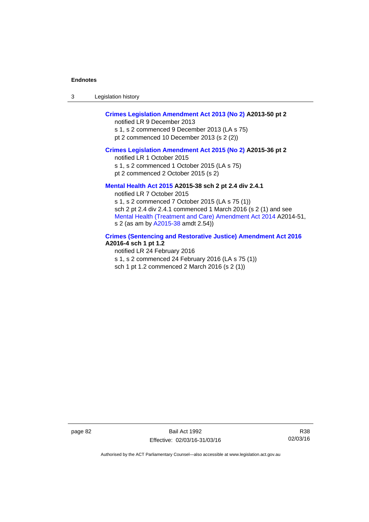| -3 | Legislation history |
|----|---------------------|
|----|---------------------|

# **[Crimes Legislation Amendment Act 2013 \(No 2\)](http://www.legislation.act.gov.au/a/2013-50) A2013-50 pt 2**

notified LR 9 December 2013

s 1, s 2 commenced 9 December 2013 (LA s 75) pt 2 commenced 10 December 2013 (s 2 (2))

#### **[Crimes Legislation Amendment Act 2015 \(No 2\)](http://www.legislation.act.gov.au/a/2015-36) A2015-36 pt 2**

notified LR 1 October 2015

s 1, s 2 commenced 1 October 2015 (LA s 75)

pt 2 commenced 2 October 2015 (s 2)

### **[Mental Health Act 2015](http://www.legislation.act.gov.au/a/2015-38) A2015-38 sch 2 pt 2.4 div 2.4.1**

notified LR 7 October 2015 s 1, s 2 commenced 7 October 2015 (LA s 75 (1)) sch 2 pt 2.4 div 2.4.1 commenced 1 March 2016 (s 2 (1) and see [Mental Health \(Treatment and Care\) Amendment Act 2014](http://www.legislation.act.gov.au/a/2014-51/default.asp) A2014-51, s 2 (as am by [A2015-38](http://www.legislation.act.gov.au/a/2015-38) amdt 2.54))

# **[Crimes \(Sentencing and Restorative Justice\) Amendment Act 2016](http://www.legislation.act.gov.au/a/2016-4/default.asp) A2016-4 sch 1 pt 1.2**

notified LR 24 February 2016 s 1, s 2 commenced 24 February 2016 (LA s 75 (1)) sch 1 pt 1.2 commenced 2 March 2016 (s 2 (1))

page 82 Bail Act 1992 Effective: 02/03/16-31/03/16

R38 02/03/16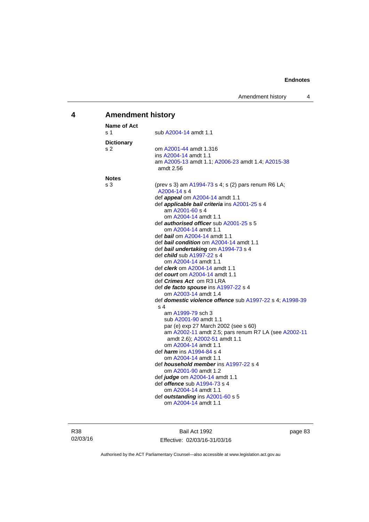# **4 Amendment history**

| <b>Name of Act</b> |                                                                                  |
|--------------------|----------------------------------------------------------------------------------|
| s 1                | sub A2004-14 amdt 1.1                                                            |
| <b>Dictionary</b>  |                                                                                  |
| s <sub>2</sub>     | om A2001-44 amdt 1.316                                                           |
|                    | ins A2004-14 amdt 1.1                                                            |
|                    | am A2005-13 amdt 1.1; A2006-23 amdt 1.4; A2015-38                                |
|                    | amdt 2.56                                                                        |
| <b>Notes</b>       |                                                                                  |
| s 3                | (prev s 3) am $A1994-73$ s 4; s (2) pars renum R6 LA;<br>A2004-14 s 4            |
|                    | def <i>appeal</i> om A2004-14 amdt 1.1                                           |
|                    | def <i>applicable bail criteria</i> ins A2001-25 s 4                             |
|                    | am A2001-60 s 4                                                                  |
|                    | om A2004-14 amdt 1.1                                                             |
|                    | def <i>authorised officer</i> sub A2001-25 s 5                                   |
|                    | om A2004-14 amdt 1.1                                                             |
|                    | def <i>bail</i> om A2004-14 amdt 1.1                                             |
|                    | def <b>bail condition</b> om A2004-14 amdt 1.1                                   |
|                    | def bail undertaking om A1994-73 s 4                                             |
|                    | def <i>child</i> sub A1997-22 s 4                                                |
|                    | om A2004-14 amdt 1.1                                                             |
|                    | def <i>clerk</i> om A2004-14 amdt 1.1                                            |
|                    | def <i>court</i> om A2004-14 amdt 1.1                                            |
|                    | def Crimes Act om R3 LRA                                                         |
|                    | def de facto spouse ins A1997-22 s 4                                             |
|                    | om A2003-14 amdt 1.4<br>def domestic violence offence sub A1997-22 s 4; A1998-39 |
|                    | s <sub>4</sub>                                                                   |
|                    | am A1999-79 sch 3                                                                |
|                    | sub A2001-90 amdt 1.1                                                            |
|                    | par (e) exp 27 March 2002 (see s 60)                                             |
|                    | am A2002-11 amdt 2.5; pars renum R7 LA (see A2002-11                             |
|                    | amdt 2.6); A2002-51 amdt 1.1                                                     |
|                    | om A2004-14 amdt 1.1                                                             |
|                    | def <i><b>harm</b></i> ins A1994-84 s 4                                          |
|                    | om A2004-14 amdt 1.1                                                             |
|                    | def <i>household member</i> ins A1997-22 s 4                                     |
|                    | om A2001-90 amdt 1.2                                                             |
|                    | def judge om A2004-14 amdt 1.1                                                   |
|                    | def <i>offence</i> sub A1994-73 s 4                                              |
|                    | om A2004-14 amdt 1.1                                                             |
|                    | def outstanding ins A2001-60 s 5                                                 |
|                    | om A2004-14 amdt 1.1                                                             |

Bail Act 1992 Effective: 02/03/16-31/03/16 page 83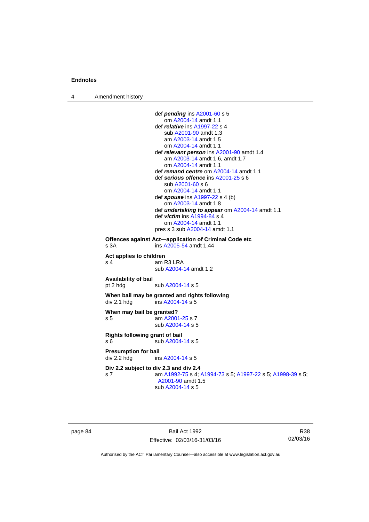4 Amendment history

```
 def pending ins A2001-60 s 5 
                     om A2004-14 amdt 1.1
                  def relative ins A1997-22 s 4 
                     sub A2001-90 amdt 1.3 
                     am A2003-14 amdt 1.5
                     om A2004-14 amdt 1.1
                  def relevant person ins A2001-90 amdt 1.4
                     am A2003-14 amdt 1.6, amdt 1.7 
                     om A2004-14 amdt 1.1
                  def remand centre om A2004-14 amdt 1.1
                  def serious offence ins A2001-25 s 6 
                     sub A2001-60 s 6 
                     om A2004-14 amdt 1.1
                  def spouse ins A1997-22 s 4 (b) 
                     om A2003-14 amdt 1.8
                  def undertaking to appear om A2004-14 amdt 1.1 
                  def victim ins A1994-84 s 4 
                     om A2004-14 amdt 1.1
                 pres s 3 sub A2004-14 amdt 1.1 
Offences against Act—application of Criminal Code etc 
s 3A ins A2005-54 amdt 1.44 
Act applies to children 
s 4 am R3 LRA
                  sub A2004-14 amdt 1.2 
Availability of bail 
                 A2004-14 s 5
When bail may be granted and rights following 
A2004-14 s 5
When may bail be granted? 
s 5 am A2001-25 s 7 
                  sub A2004-14 s 5 
Rights following grant of bail 
s 6 sub A2004-14 s 5 
Presumption for bail 
A2004-14 s 5
Div 2.2 subject to div 2.3 and div 2.4
s 7 am A1992-75 s 4; A1994-73 s 5; A1997-22 s 5; A1998-39 s 5; 
                  A2001-90 amdt 1.5 
                  sub A2004-14 s 5
```
page 84 Bail Act 1992 Effective: 02/03/16-31/03/16

R38 02/03/16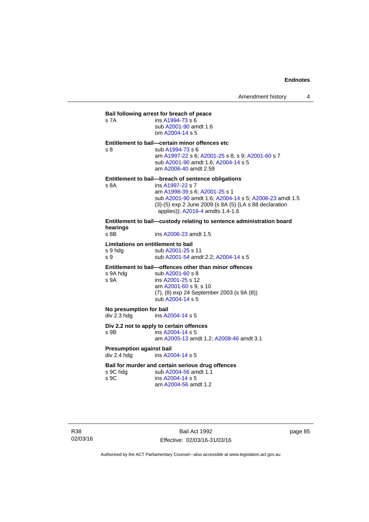|                | Bail following arrest for breach of peace                             |
|----------------|-----------------------------------------------------------------------|
| s 7A           | ins $A1994-73 s6$<br>sub A2001-90 amdt 1.6<br>om A2004-14 s 5         |
|                | Entitlement to bail-certain minor offences etc                        |
| s <sub>8</sub> | sub A1994-73 s 6                                                      |
|                | am A1997-22 s 6; A2001-25 s 8, s 9; A2001-60 s 7                      |
|                | sub A2001-90 amdt 1.6; A2004-14 s 5                                   |
|                | am A2006-40 amdt 2.59                                                 |
|                | Entitlement to bail-breach of sentence obligations                    |
| s 8A           | ins A1997-22 s 7                                                      |
|                | am A1998-39 s 6; A2001-25 s 1                                         |
|                | sub A2001-90 amdt 1.6; A2004-14 s 5; A2006-23 amdt 1.5                |
|                | (3)-(5) exp 2 June 2009 (s 8A (5) (LA s 88 declaration                |
|                | applies)); A2016-4 amdts 1.4-1.6                                      |
| hearings       | Entitlement to bail—custody relating to sentence administration board |

**hearings** ins [A2006-23](http://www.legislation.act.gov.au/a/2006-23) amdt 1.5

#### **Limitations on entitlement to bail**

| s 9 hdg | sub A2001-25 s 11                   |
|---------|-------------------------------------|
| s 9     | sub A2001-54 amdt 2.2; A2004-14 s 5 |

**Entitlement to bail—offences other than minor offences** 

| s 9A hda | sub A2001-60 s 8                                 |
|----------|--------------------------------------------------|
| s 9A     | ins A2001-25 s 12                                |
|          | am A2001-60 s 9, s 10                            |
|          | $(7)$ , $(8)$ exp 24 September 2003 $(s 9A (8))$ |
|          | sub A2004-14 s 5                                 |

**No presumption for bail<br>div 2.3 hdg ins A2** ins [A2004-14](http://www.legislation.act.gov.au/a/2004-14) s 5

#### **Div 2.2 not to apply to certain offences**

s 9B ins [A2004-14](http://www.legislation.act.gov.au/a/2004-14) s 5 am [A2005-13](http://www.legislation.act.gov.au/a/2005-13) amdt 1.2; [A2008-46](http://www.legislation.act.gov.au/a/2008-46) amdt 3.1

#### **Presumption against bail**  div 2.4 hdg ins [A2004-14](http://www.legislation.act.gov.au/a/2004-14) s 5

#### **Bail for murder and certain serious drug offences**

| s 9C hdg |  |
|----------|--|
| s 9C     |  |
|          |  |

sub [A2004-56](http://www.legislation.act.gov.au/a/2004-56) amdt 1.1 ins [A2004-14](http://www.legislation.act.gov.au/a/2004-14) s 5 am [A2004-56](http://www.legislation.act.gov.au/a/2004-56) amdt 1.2

R38 02/03/16

Bail Act 1992 Effective: 02/03/16-31/03/16 page 85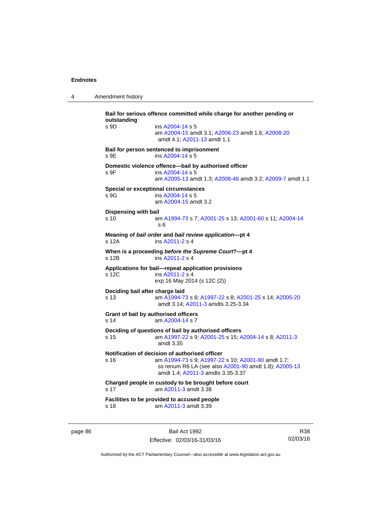4 Amendment history

**Bail for serious offence committed while charge for another pending or outstanding**  s 9D ins [A2004-14](http://www.legislation.act.gov.au/a/2004-14) s 5 am [A2004-15](http://www.legislation.act.gov.au/a/2004-15) amdt 3.1; [A2006-23](http://www.legislation.act.gov.au/a/2006-23) amdt 1.6; [A2008-20](http://www.legislation.act.gov.au/a/2008-20) amdt 4.1; [A2011-13](http://www.legislation.act.gov.au/a/2011-13) amdt 1.1 **Bail for person sentenced to imprisonment**  s 9E ins [A2004-14](http://www.legislation.act.gov.au/a/2004-14) s 5 **Domestic violence offence—bail by authorised officer**  s 9F ins [A2004-14](http://www.legislation.act.gov.au/a/2004-14) s 5 am [A2005-13](http://www.legislation.act.gov.au/a/2005-13) amdt 1.3; [A2008-46](http://www.legislation.act.gov.au/a/2008-46) amdt 3.2; [A2009-7](http://www.legislation.act.gov.au/a/2009-7) amdt 1.1 **Special or exceptional circumstances**  s 9G ins [A2004-14](http://www.legislation.act.gov.au/a/2004-14) s 5 am [A2004-15](http://www.legislation.act.gov.au/a/2004-15) amdt 3.2 **Dispensing with bail** s 10 am [A1994-73](http://www.legislation.act.gov.au/a/1994-73) s 7; [A2001-25](http://www.legislation.act.gov.au/a/2001-25) s 13; [A2001-60](http://www.legislation.act.gov.au/a/2001-60) s 11; [A2004-14](http://www.legislation.act.gov.au/a/2004-14) s 6 **Meaning of** *bail order* **and** *bail review application***—pt 4**  s 12A ins [A2011-2](http://www.legislation.act.gov.au/a/2011-2) s 4 **When is a proceeding** *before the Supreme Court***?—pt 4**  s 12B ins [A2011-2](http://www.legislation.act.gov.au/a/2011-2) s 4 **Applications for bail—repeat application provisions**  s 12C ins [A2011-2](http://www.legislation.act.gov.au/a/2011-2) s 4 exp 16 May 2014 (s 12C (2)) **Deciding bail after charge laid** s 13 am [A1994-73](http://www.legislation.act.gov.au/a/1994-73) s 8; [A1997-22](http://www.legislation.act.gov.au/a/1997-22) s 8; [A2001-25](http://www.legislation.act.gov.au/a/2001-25) s 14; [A2005-20](http://www.legislation.act.gov.au/a/2005-20) amdt 3.14; [A2011-3](http://www.legislation.act.gov.au/a/2011-3) amdts 3.25-3.34 **Grant of bail by authorised officers**  s 14 am [A2004-14](http://www.legislation.act.gov.au/a/2004-14) s 7 **Deciding of questions of bail by authorised officers** s 15 am [A1997-22](http://www.legislation.act.gov.au/a/1997-22) s 9; [A2001-25](http://www.legislation.act.gov.au/a/2001-25) s 15; [A2004-14](http://www.legislation.act.gov.au/a/2004-14) s 8; [A2011-3](http://www.legislation.act.gov.au/a/2011-3) amdt 3.35 **Notification of decision of authorised officer** s 16 am [A1994-73](http://www.legislation.act.gov.au/a/1994-73) s 9; [A1997-22](http://www.legislation.act.gov.au/a/1997-22) s 10; [A2001-90](http://www.legislation.act.gov.au/a/2001-90) amdt 1.7; ss renum R6 LA (see also [A2001-90](http://www.legislation.act.gov.au/a/2001-90) amdt 1.8); [A2005-13](http://www.legislation.act.gov.au/a/2005-13) amdt 1.4; [A2011-3](http://www.legislation.act.gov.au/a/2011-3) amdts 3.35-3.37 **Charged people in custody to be brought before court**  s 17 am [A2011-3](http://www.legislation.act.gov.au/a/2011-3) amdt 3.38 **Facilities to be provided to accused people**  s 18 am [A2011-3](http://www.legislation.act.gov.au/a/2011-3) amdt 3.39

page 86 Bail Act 1992 Effective: 02/03/16-31/03/16

R38 02/03/16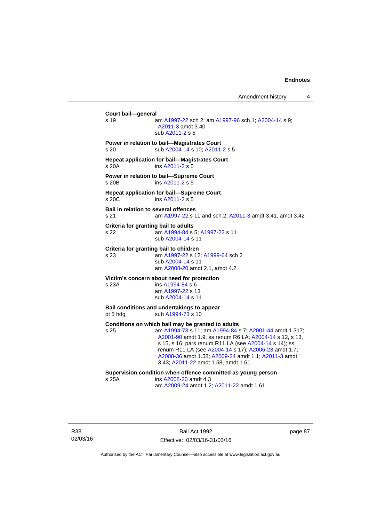Amendment history 4

**Court bail—general**  s 19 am [A1997-22](http://www.legislation.act.gov.au/a/1997-22) sch 2; am [A1997-96](http://www.legislation.act.gov.au/a/1997-96) sch 1; [A2004-14](http://www.legislation.act.gov.au/a/2004-14) s 9; [A2011-3](http://www.legislation.act.gov.au/a/2011-3) amdt 3.40 sub [A2011-2](http://www.legislation.act.gov.au/a/2011-2) s 5 **Power in relation to bail—Magistrates Court**  s 20 sub [A2004-14](http://www.legislation.act.gov.au/a/2004-14) s 10; [A2011-2](http://www.legislation.act.gov.au/a/2011-2) s 5 **Repeat application for bail—Magistrates Court**  s 20A ins [A2011-2](http://www.legislation.act.gov.au/a/2011-2) s 5 **Power in relation to bail—Supreme Court**  s 20B ins [A2011-2](http://www.legislation.act.gov.au/a/2011-2) s 5 **Repeat application for bail—Supreme Court**  s 20C ins [A2011-2](http://www.legislation.act.gov.au/a/2011-2) s 5 **Bail in relation to several offences** s 21 am [A1997-22](http://www.legislation.act.gov.au/a/1997-22) s 11 and sch 2; [A2011-3](http://www.legislation.act.gov.au/a/2011-3) amdt 3.41, amdt 3.42 **Criteria for granting bail to adults** s 22 am [A1994-84](http://www.legislation.act.gov.au/a/1994-84) s 5; [A1997-22](http://www.legislation.act.gov.au/a/1997-22) s 11 sub [A2004-14](http://www.legislation.act.gov.au/a/2004-14) s 11 **Criteria for granting bail to children** s 23 am [A1997-22](http://www.legislation.act.gov.au/a/1997-22) s 12; [A1999-64](http://www.legislation.act.gov.au/a/1999-64) sch 2 sub [A2004-14](http://www.legislation.act.gov.au/a/2004-14) s 11 am [A2008-20](http://www.legislation.act.gov.au/a/2008-20) amdt 2.1, amdt 4.2 **Victim's concern about need for protection** s 23A ins [A1994-84](http://www.legislation.act.gov.au/a/1994-84) s 6 am [A1997-22](http://www.legislation.act.gov.au/a/1997-22) s 13 sub [A2004-14](http://www.legislation.act.gov.au/a/2004-14) s 11 **Bail conditions and undertakings to appear** pt 5 hdg sub [A1994-73](http://www.legislation.act.gov.au/a/1994-73) s 10 **Conditions on which bail may be granted to adults** s 25 am [A1994-73](http://www.legislation.act.gov.au/a/1994-73) s 11; am [A1994-84](http://www.legislation.act.gov.au/a/1994-84) s 7; [A2001-44](http://www.legislation.act.gov.au/a/2001-44) amdt 1.317; [A2001-90](http://www.legislation.act.gov.au/a/2001-90) amdt 1.9; ss renum R6 LA; [A2004-14](http://www.legislation.act.gov.au/a/2004-14) s 12, s 13, s 15, s 16; pars renum R11 LA (see [A2004-14](http://www.legislation.act.gov.au/a/2004-14) s 14); ss renum R11 LA (see [A2004-14](http://www.legislation.act.gov.au/a/2004-14) s 17); [A2006-23](http://www.legislation.act.gov.au/a/2006-23) amdt 1.7; [A2008-36](http://www.legislation.act.gov.au/a/2008-36) amdt 1.58; [A2009-24](http://www.legislation.act.gov.au/a/2009-24) amdt 1.1; [A2011-3](http://www.legislation.act.gov.au/a/2011-3) amdt 3.43; [A2011-22](http://www.legislation.act.gov.au/a/2011-22) amdt 1.58, amdt 1.61 **Supervision condition when offence committed as young person**  s 25A ins [A2008-20](http://www.legislation.act.gov.au/a/2008-20) amdt 4.3 am [A2009-24](http://www.legislation.act.gov.au/a/2009-24) amdt 1.2; [A2011-22](http://www.legislation.act.gov.au/a/2011-22) amdt 1.61

R38 02/03/16

Bail Act 1992 Effective: 02/03/16-31/03/16 page 87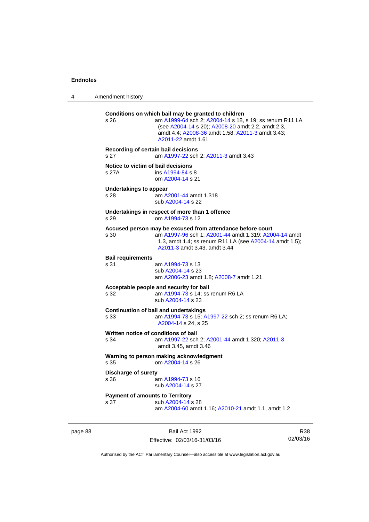page 88

4 Amendment history

| s 26                                           | Conditions on which bail may be granted to children<br>am A1999-64 sch 2; A2004-14 s 18, s 19; ss renum R11 LA<br>(see A2004-14 s 20); A2008-20 amdt 2.2, amdt 2.3,<br>amdt 4.4; A2008-36 amdt 1.58; A2011-3 amdt 3.43;<br>A2011-22 amdt 1.61 |                 |  |
|------------------------------------------------|-----------------------------------------------------------------------------------------------------------------------------------------------------------------------------------------------------------------------------------------------|-----------------|--|
| s 27                                           | Recording of certain bail decisions<br>am A1997-22 sch 2; A2011-3 amdt 3.43                                                                                                                                                                   |                 |  |
| Notice to victim of bail decisions<br>s 27A    | ins A1994-84 s 8<br>om A2004-14 s 21                                                                                                                                                                                                          |                 |  |
| <b>Undertakings to appear</b><br>s 28          | am A2001-44 amdt 1.318<br>sub A2004-14 s 22                                                                                                                                                                                                   |                 |  |
| s 29                                           | Undertakings in respect of more than 1 offence<br>om A1994-73 s 12                                                                                                                                                                            |                 |  |
| s 30                                           | Accused person may be excused from attendance before court<br>am A1997-96 sch 1; A2001-44 amdt 1.319; A2004-14 amdt<br>1.3, amdt 1.4; ss renum R11 LA (see A2004-14 amdt 1.5);<br>A2011-3 amdt 3.43, amdt 3.44                                |                 |  |
| <b>Bail requirements</b><br>s 31               | am A1994-73 s 13<br>sub A2004-14 s 23<br>am A2006-23 amdt 1.8; A2008-7 amdt 1.21                                                                                                                                                              |                 |  |
| s 32                                           | Acceptable people and security for bail<br>am A1994-73 s 14; ss renum R6 LA<br>sub A2004-14 s 23                                                                                                                                              |                 |  |
| s 33                                           | <b>Continuation of bail and undertakings</b><br>am A1994-73 s 15; A1997-22 sch 2; ss renum R6 LA;<br>A2004-14 s 24, s 25                                                                                                                      |                 |  |
| s 34                                           | Written notice of conditions of bail<br>am A1997-22 sch 2; A2001-44 amdt 1.320; A2011-3<br>amdt 3.45, amdt 3.46                                                                                                                               |                 |  |
| s 35                                           | Warning to person making acknowledgment<br>om A2004-14 s 26                                                                                                                                                                                   |                 |  |
| <b>Discharge of surety</b><br>s 36             | am A1994-73 s 16<br>sub A2004-14 s 27                                                                                                                                                                                                         |                 |  |
| <b>Payment of amounts to Territory</b><br>s 37 | sub A2004-14 s 28<br>am A2004-60 amdt 1.16; A2010-21 amdt 1.1, amdt 1.2                                                                                                                                                                       |                 |  |
|                                                | Bail Act 1992<br>Effective: 02/03/16-31/03/16                                                                                                                                                                                                 | R38<br>02/03/16 |  |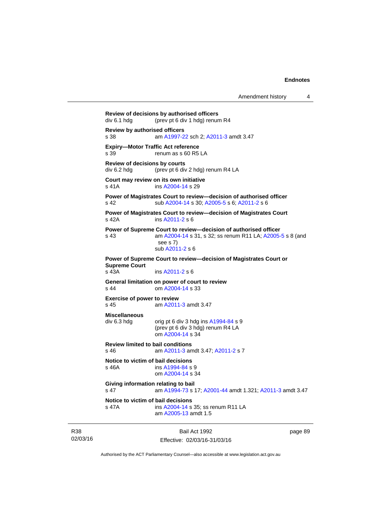```
Amendment history 4
```
**Review of decisions by authorised officers**  div 6.1 hdg (prev pt 6 div 1 hdg) renum R4 **Review by authorised officers** s 38 am [A1997-22](http://www.legislation.act.gov.au/a/1997-22) sch 2; [A2011-3](http://www.legislation.act.gov.au/a/2011-3) amdt 3.47 **Expiry—Motor Traffic Act reference**  s 39 renum as s 60 R5 LA **Review of decisions by courts**  div 6.2 hdg (prev pt 6 div 2 hdg) renum R4 LA **Court may review on its own initiative** s 41A **ins [A2004-14](http://www.legislation.act.gov.au/a/2004-14) s 29 Power of Magistrates Court to review—decision of authorised officer**  s 42 sub [A2004-14](http://www.legislation.act.gov.au/a/2004-14) s 30; [A2005-5](http://www.legislation.act.gov.au/a/2005-5) s 6; [A2011-2](http://www.legislation.act.gov.au/a/2011-2) s 6 **Power of Magistrates Court to review—decision of Magistrates Court**  s 42A ins [A2011-2](http://www.legislation.act.gov.au/a/2011-2) s 6 **Power of Supreme Court to review—decision of authorised officer**  s 43 am [A2004-14](http://www.legislation.act.gov.au/a/2004-14) s 31, s 32; ss renum R11 LA; [A2005-5](http://www.legislation.act.gov.au/a/2005-5) s 8 (and see s 7) sub [A2011-2](http://www.legislation.act.gov.au/a/2011-2) s 6 **Power of Supreme Court to review—decision of Magistrates Court or Supreme Court**  s 43A ins [A2011-2](http://www.legislation.act.gov.au/a/2011-2) s 6 **General limitation on power of court to review** s 44 om [A2004-14](http://www.legislation.act.gov.au/a/2004-14) s 33 **Exercise of power to review**  s 45 am [A2011-3](http://www.legislation.act.gov.au/a/2011-3) amdt 3.47 **Miscellaneous**   $div 6.3$  hdg orig pt 6 div 3 hdg ins  $A1994-84$  s 9 (prev pt 6 div 3 hdg) renum R4 LA om [A2004-14](http://www.legislation.act.gov.au/a/2004-14) s 34 **Review limited to bail conditions**  s 46 am [A2011-3](http://www.legislation.act.gov.au/a/2011-3) amdt 3.47; [A2011-2](http://www.legislation.act.gov.au/a/2011-2) s 7 **Notice to victim of bail decisions** s 46A ins [A1994-84](http://www.legislation.act.gov.au/a/1994-84) s 9 om [A2004-14](http://www.legislation.act.gov.au/a/2004-14) s 34 **Giving information relating to bail** s 47 am [A1994-73](http://www.legislation.act.gov.au/a/1994-73) s 17; [A2001-44](http://www.legislation.act.gov.au/a/2001-44) amdt 1.321; [A2011-3](http://www.legislation.act.gov.au/a/2011-3) amdt 3.47 **Notice to victim of bail decisions** s 47A ins [A2004-14](http://www.legislation.act.gov.au/a/2004-14) s 35; ss renum R11 LA am [A2005-13](http://www.legislation.act.gov.au/a/2005-13) amdt 1.5

R38 02/03/16

Bail Act 1992 Effective: 02/03/16-31/03/16 page 89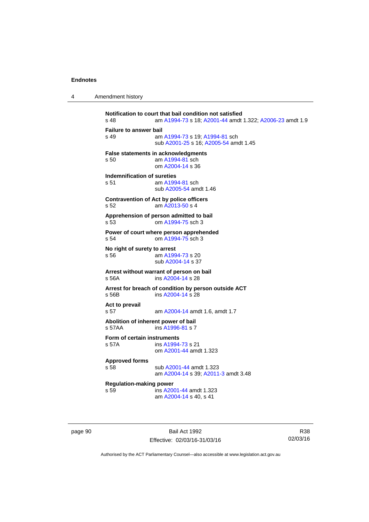| 4 | Amendment history |
|---|-------------------|
|---|-------------------|

```
Notification to court that bail condition not satisfied<br>s 48 am A1994-73 s 18: A2001-44 amdt
                 A1994-73A2001-44 A2006-23 amdt 1.9
Failure to answer bail
s 49 am A1994-73 s 19; A1994-81 sch 
                 sub A2001-25 s 16; A2005-54 amdt 1.45
False statements in acknowledgments
s 50 am A1994-81 sch 
                 om A2004-14 s 36 
Indemnification of sureties
 A1994-81 sch
                 sub A2005-54 amdt 1.46 
Contravention of Act by police officers 
s 52 am A2013-50 s 4 
Apprehension of person admitted to bail
s 53 om A1994-75 sch 3 
Power of court where person apprehended
s 54 om A1994-75 sch 3 
No right of surety to arrest
s 56 am A1994-73 s 20 
                 sub A2004-14 s 37 
Arrest without warrant of person on bail
s 56A ins A2004-14 s 28 
Arrest for breach of condition by person outside ACT
s 56B ins A2004-14 s 28 
Act to prevail 
s 57 am A2004-14 amdt 1.6, amdt 1.7 
Abolition of inherent power of bail
s 57AA  A1996-81 s 7
Form of certain instruments
s 57A ins A1994-73 s 21 
                 om A2001-44 amdt 1.323
Approved forms 
s 58 sub A2001-44 amdt 1.323 
                 am A2004-14 s 39; A2011-3 amdt 3.48 
Regulation-making power 
                A2001-44 amdt 1.323
                 am A2004-14 s 40, s 41
```
page 90 Bail Act 1992 Effective: 02/03/16-31/03/16

R38 02/03/16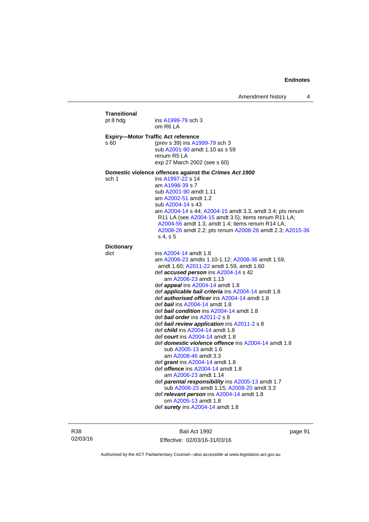| <b>Transitional</b><br>pt 8 hdg | ins A1999-79 sch 3<br>om R6 LA                                                                                                                                                                                                                                                                                                                                                                                                                                                                                                                                                                                                                                                                                                                                                                                                                                                                                                                                                                                    |
|---------------------------------|-------------------------------------------------------------------------------------------------------------------------------------------------------------------------------------------------------------------------------------------------------------------------------------------------------------------------------------------------------------------------------------------------------------------------------------------------------------------------------------------------------------------------------------------------------------------------------------------------------------------------------------------------------------------------------------------------------------------------------------------------------------------------------------------------------------------------------------------------------------------------------------------------------------------------------------------------------------------------------------------------------------------|
| s 60                            | <b>Expiry-Motor Traffic Act reference</b><br>(prev s 39) ins A1999-79 sch 3<br>sub A2001-90 amdt 1.10 as s 59<br>renum R5 LA<br>exp 27 March 2002 (see s 60)                                                                                                                                                                                                                                                                                                                                                                                                                                                                                                                                                                                                                                                                                                                                                                                                                                                      |
| sch 1                           | Domestic violence offences against the Crimes Act 1900<br>ins A1997-22 s 14<br>am A1998-39 s 7<br>sub A2001-90 amdt 1.11<br>am A2002-51 amdt 1.2<br>sub A2004-14 s 43<br>am A2004-14 s 44; A2004-15 amdt 3.3, amdt 3.4; pts renum<br>R11 LA (see A2004-15 amdt 3.5); items renum R11 LA;<br>A2004-56 amdt 1.3, amdt 1.4; items renum R14 LA;<br>A2008-26 amdt 2.2; pts renum A2008-26 amdt 2.3; A2015-36<br>s 4, s 5                                                                                                                                                                                                                                                                                                                                                                                                                                                                                                                                                                                              |
| <b>Dictionary</b><br>dict       | ins A2004-14 amdt 1.8                                                                                                                                                                                                                                                                                                                                                                                                                                                                                                                                                                                                                                                                                                                                                                                                                                                                                                                                                                                             |
|                                 | am A2006-23 amdts 1.10-1.12; A2008-36 amdt 1.59,<br>amdt 1.60; A2011-22 amdt 1.59, amdt 1.60<br>def accused person ins A2004-14 s 42<br>am A2006-23 amdt 1.13<br>def appeal ins A2004-14 amdt 1.8<br>def <i>applicable bail criteria</i> ins A2004-14 amdt 1.8<br>def authorised officer ins A2004-14 amdt 1.8<br>def bail ins A2004-14 amdt 1.8<br>def bail condition ins A2004-14 amdt 1.8<br>def <i>bail order</i> ins A2011-2 s 8<br>def bail review application ins A2011-2 s 8<br>def <i>child</i> ins A2004-14 amdt 1.8<br>def <i>court</i> ins A2004-14 amdt 1.8<br>def domestic violence offence ins A2004-14 amdt 1.8<br>sub A2005-13 amdt 1.6<br>am A2008-46 amdt 3.3<br>def <i>grant</i> ins A2004-14 amdt 1.8<br>def <i>offence</i> ins A2004-14 amdt 1.8<br>am A2006-23 amdt 1.14<br>def <b>parental responsibility</b> ins A2005-13 amdt 1.7<br>sub A2006-23 amdt 1.15; A2008-20 amdt 3.3<br>def relevant person ins A2004-14 amdt 1.8<br>om A2005-13 amdt 1.8<br>def surety ins A2004-14 amdt 1.8 |

R38 02/03/16

Bail Act 1992 Effective: 02/03/16-31/03/16 page 91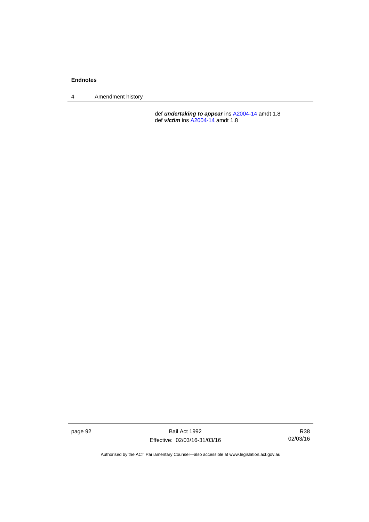4 Amendment history

 def *undertaking to appear* ins [A2004-14](http://www.legislation.act.gov.au/a/2004-14) amdt 1.8 def *victim* ins [A2004-14](http://www.legislation.act.gov.au/a/2004-14) amdt 1.8

page 92 Bail Act 1992 Effective: 02/03/16-31/03/16

R38 02/03/16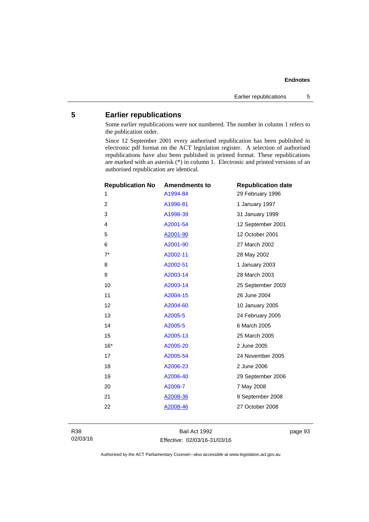# **5 Earlier republications**

Some earlier republications were not numbered. The number in column 1 refers to the publication order.

Since 12 September 2001 every authorised republication has been published in electronic pdf format on the ACT legislation register. A selection of authorised republications have also been published in printed format. These republications are marked with an asterisk (\*) in column 1. Electronic and printed versions of an authorised republication are identical.

| <b>Republication No</b> | <b>Amendments to</b> | <b>Republication date</b> |
|-------------------------|----------------------|---------------------------|
| 1                       | A1994-84             | 29 February 1996          |
| 2                       | A1996-81             | 1 January 1997            |
| 3                       | A1998-39             | 31 January 1999           |
| 4                       | A2001-54             | 12 September 2001         |
| 5                       | A2001-90             | 12 October 2001           |
| 6                       | A2001-90             | 27 March 2002             |
| $7^*$                   | A2002-11             | 28 May 2002               |
| 8                       | A2002-51             | 1 January 2003            |
| 9                       | A2003-14             | 28 March 2003             |
| 10                      | A2003-14             | 25 September 2003         |
| 11                      | A2004-15             | 26 June 2004              |
| 12                      | A2004-60             | 10 January 2005           |
| 13                      | A2005-5              | 24 February 2005          |
| 14                      | A2005-5              | 6 March 2005              |
| 15                      | A2005-13             | 25 March 2005             |
| $16*$                   | A2005-20             | 2 June 2005               |
| 17                      | A2005-54             | 24 November 2005          |
| 18                      | A2006-23             | 2 June 2006               |
| 19                      | A2006-40             | 29 September 2006         |
| 20                      | A2008-7              | 7 May 2008                |
| 21                      | A2008-36             | 9 September 2008          |
| 22                      | A2008-46             | 27 October 2008           |
|                         |                      |                           |

Bail Act 1992 Effective: 02/03/16-31/03/16 page 93